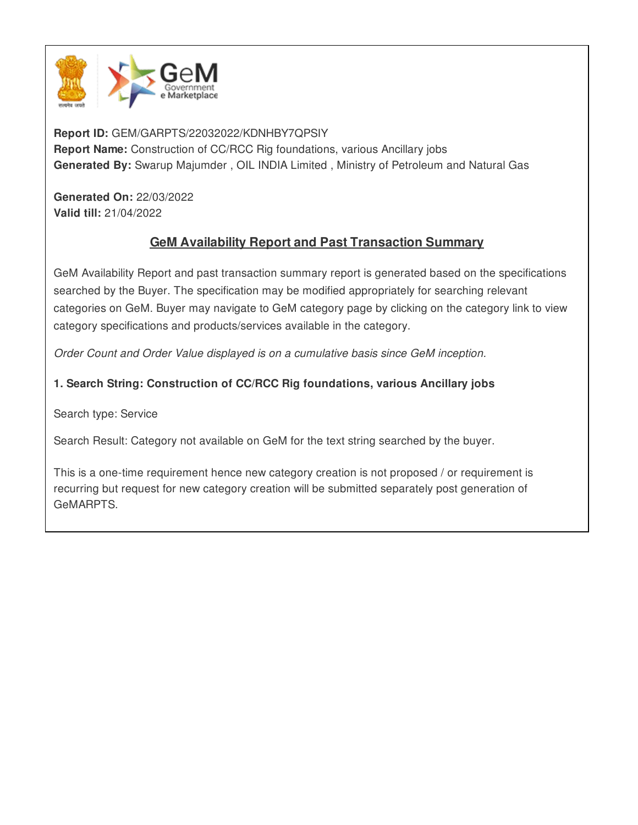

**Report ID:** GEM/GARPTS/22032022/KDNHBY7QPSIY **Report Name:** Construction of CC/RCC Rig foundations, various Ancillary jobs **Generated By:** Swarup Majumder , OIL INDIA Limited , Ministry of Petroleum and Natural Gas

**Generated On:** 22/03/2022 **Valid till:** 21/04/2022

# **GeM Availability Report and Past Transaction Summary**

GeM Availability Report and past transaction summary report is generated based on the specifications searched by the Buyer. The specification may be modified appropriately for searching relevant categories on GeM. Buyer may navigate to GeM category page by clicking on the category link to view category specifications and products/services available in the category.

*Order Count and Order Value displayed is on a cumulative basis since GeM inception.*

# **1. Search String: Construction of CC/RCC Rig foundations, various Ancillary jobs**

Search type: Service

Search Result: Category not available on GeM for the text string searched by the buyer.

This is a one-time requirement hence new category creation is not proposed / or requirement is recurring but request for new category creation will be submitted separately post generation of GeMARPTS.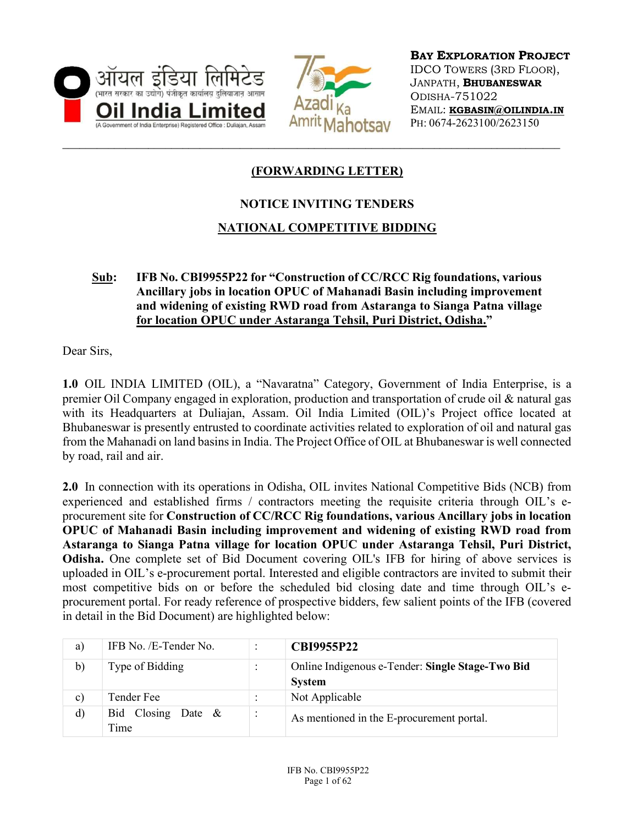



BAY EXPLORATION PROJECT IDCO TOWERS (3RD FLOOR), JANPATH, BHUBANESWAR ODISHA-751022 EMAIL: KGBASIN@OILINDIA.IN PH: 0674-2623100/2623150

## (FORWARDING LETTER)

## NOTICE INVITING TENDERS

## NATIONAL COMPETITIVE BIDDING

#### Sub: IFB No. CBI9955P22 for "Construction of CC/RCC Rig foundations, various Ancillary jobs in location OPUC of Mahanadi Basin including improvement and widening of existing RWD road from Astaranga to Sianga Patna village for location OPUC under Astaranga Tehsil, Puri District, Odisha."

Dear Sirs,

1.0 OIL INDIA LIMITED (OIL), a "Navaratna" Category, Government of India Enterprise, is a premier Oil Company engaged in exploration, production and transportation of crude oil & natural gas with its Headquarters at Duliajan, Assam. Oil India Limited (OIL)'s Project office located at Bhubaneswar is presently entrusted to coordinate activities related to exploration of oil and natural gas from the Mahanadi on land basins in India. The Project Office of OIL at Bhubaneswar is well connected by road, rail and air.

2.0 In connection with its operations in Odisha, OIL invites National Competitive Bids (NCB) from experienced and established firms / contractors meeting the requisite criteria through OIL's eprocurement site for Construction of CC/RCC Rig foundations, various Ancillary jobs in location OPUC of Mahanadi Basin including improvement and widening of existing RWD road from Astaranga to Sianga Patna village for location OPUC under Astaranga Tehsil, Puri District, Odisha. One complete set of Bid Document covering OIL's IFB for hiring of above services is uploaded in OIL's e-procurement portal. Interested and eligible contractors are invited to submit their most competitive bids on or before the scheduled bid closing date and time through OIL's eprocurement portal. For ready reference of prospective bidders, few salient points of the IFB (covered in detail in the Bid Document) are highlighted below:

| a)           | IFB No. /E-Tender No.         |                      | <b>CBI9955P22</b>                                                 |
|--------------|-------------------------------|----------------------|-------------------------------------------------------------------|
| b)           | Type of Bidding               |                      | Online Indigenous e-Tender: Single Stage-Two Bid<br><b>System</b> |
| $\mathbf{c}$ | Tender Fee                    |                      | Not Applicable                                                    |
| d)           | Bid Closing Date $\&$<br>Time | $\bullet$<br>$\cdot$ | As mentioned in the E-procurement portal.                         |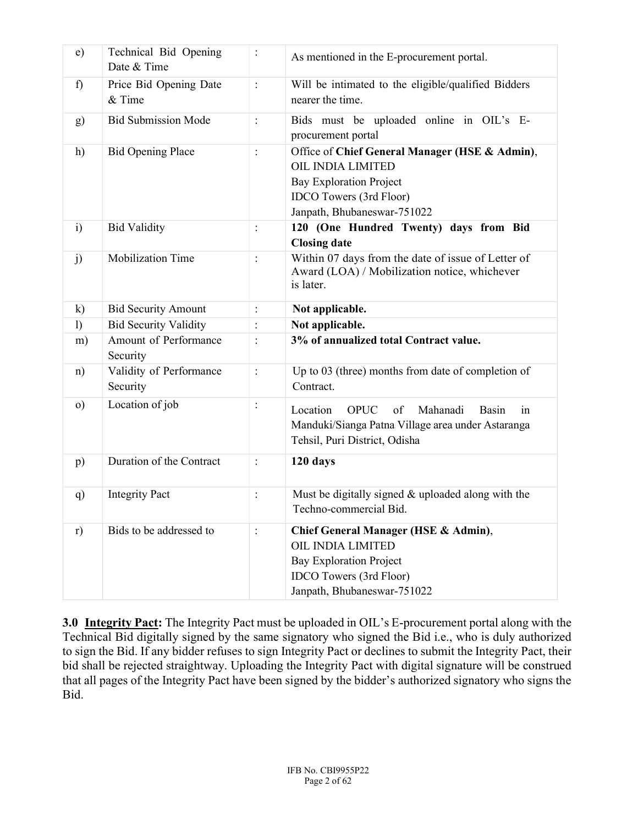| e)               | Technical Bid Opening<br>Date & Time | $\vdots$       | As mentioned in the E-procurement portal.                                                                                                                              |
|------------------|--------------------------------------|----------------|------------------------------------------------------------------------------------------------------------------------------------------------------------------------|
| f)               | Price Bid Opening Date<br>& Time     | $\vdots$       | Will be intimated to the eligible/qualified Bidders<br>nearer the time.                                                                                                |
| g)               | <b>Bid Submission Mode</b>           | $\ddot{\cdot}$ | Bids must be uploaded online in OIL's E-<br>procurement portal                                                                                                         |
| h)               | <b>Bid Opening Place</b>             | $\ddot{\cdot}$ | Office of Chief General Manager (HSE & Admin),<br>OIL INDIA LIMITED<br><b>Bay Exploration Project</b><br><b>IDCO</b> Towers (3rd Floor)<br>Janpath, Bhubaneswar-751022 |
| $\ddot{1}$       | <b>Bid Validity</b>                  | $\ddot{\cdot}$ | 120 (One Hundred Twenty) days from Bid<br><b>Closing date</b>                                                                                                          |
| j)               | <b>Mobilization Time</b>             | $\vdots$       | Within 07 days from the date of issue of Letter of<br>Award (LOA) / Mobilization notice, whichever<br>is later.                                                        |
| $\mathbf{k}$     | <b>Bid Security Amount</b>           | $\vdots$       | Not applicable.                                                                                                                                                        |
| $\left( \right)$ | <b>Bid Security Validity</b>         | :              | Not applicable.                                                                                                                                                        |
| m)               | Amount of Performance<br>Security    | $\ddot{\cdot}$ | 3% of annualized total Contract value.                                                                                                                                 |
| $\mathbf{n}$     | Validity of Performance<br>Security  | $\ddot{\cdot}$ | Up to 03 (three) months from date of completion of<br>Contract.                                                                                                        |
| $\circ$ )        | Location of job                      | :              | Location<br>of<br>Mahanadi<br><b>OPUC</b><br>Basin<br>1n<br>Manduki/Sianga Patna Village area under Astaranga<br>Tehsil, Puri District, Odisha                         |
| p)               | Duration of the Contract             | $\ddot{\cdot}$ | 120 days                                                                                                                                                               |
| q)               | <b>Integrity Pact</b>                | :              | Must be digitally signed $&$ uploaded along with the<br>Techno-commercial Bid.                                                                                         |
| r)               | Bids to be addressed to              | :              | Chief General Manager (HSE & Admin),<br>OIL INDIA LIMITED<br><b>Bay Exploration Project</b><br><b>IDCO</b> Towers (3rd Floor)<br>Janpath, Bhubaneswar-751022           |

3.0 Integrity Pact: The Integrity Pact must be uploaded in OIL's E-procurement portal along with the Technical Bid digitally signed by the same signatory who signed the Bid i.e., who is duly authorized to sign the Bid. If any bidder refuses to sign Integrity Pact or declines to submit the Integrity Pact, their bid shall be rejected straightway. Uploading the Integrity Pact with digital signature will be construed that all pages of the Integrity Pact have been signed by the bidder's authorized signatory who signs the Bid.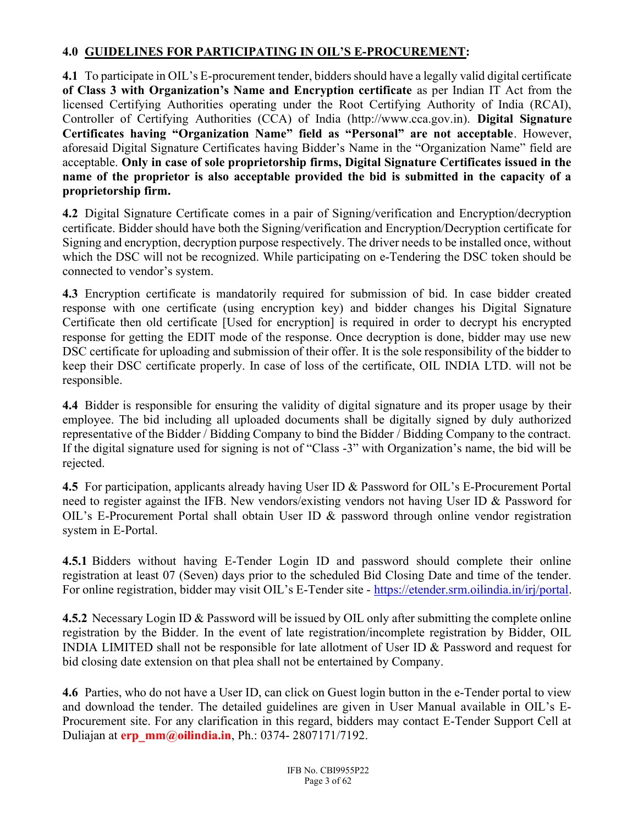## 4.0 GUIDELINES FOR PARTICIPATING IN OIL'S E-PROCUREMENT:

4.1 To participate in OIL's E-procurement tender, bidders should have a legally valid digital certificate of Class 3 with Organization's Name and Encryption certificate as per Indian IT Act from the licensed Certifying Authorities operating under the Root Certifying Authority of India (RCAI), Controller of Certifying Authorities (CCA) of India (http://www.cca.gov.in). Digital Signature Certificates having "Organization Name" field as "Personal" are not acceptable. However, aforesaid Digital Signature Certificates having Bidder's Name in the "Organization Name" field are acceptable. Only in case of sole proprietorship firms, Digital Signature Certificates issued in the name of the proprietor is also acceptable provided the bid is submitted in the capacity of a proprietorship firm.

4.2 Digital Signature Certificate comes in a pair of Signing/verification and Encryption/decryption certificate. Bidder should have both the Signing/verification and Encryption/Decryption certificate for Signing and encryption, decryption purpose respectively. The driver needs to be installed once, without which the DSC will not be recognized. While participating on e-Tendering the DSC token should be connected to vendor's system.

4.3 Encryption certificate is mandatorily required for submission of bid. In case bidder created response with one certificate (using encryption key) and bidder changes his Digital Signature Certificate then old certificate [Used for encryption] is required in order to decrypt his encrypted response for getting the EDIT mode of the response. Once decryption is done, bidder may use new DSC certificate for uploading and submission of their offer. It is the sole responsibility of the bidder to keep their DSC certificate properly. In case of loss of the certificate, OIL INDIA LTD. will not be responsible.

4.4 Bidder is responsible for ensuring the validity of digital signature and its proper usage by their employee. The bid including all uploaded documents shall be digitally signed by duly authorized representative of the Bidder / Bidding Company to bind the Bidder / Bidding Company to the contract. If the digital signature used for signing is not of "Class -3" with Organization's name, the bid will be rejected.

4.5 For participation, applicants already having User ID & Password for OIL's E-Procurement Portal need to register against the IFB. New vendors/existing vendors not having User ID & Password for OIL's E-Procurement Portal shall obtain User ID & password through online vendor registration system in E-Portal.

4.5.1 Bidders without having E-Tender Login ID and password should complete their online registration at least 07 (Seven) days prior to the scheduled Bid Closing Date and time of the tender. For online registration, bidder may visit OIL's E-Tender site - https://etender.srm.oilindia.in/irj/portal.

4.5.2 Necessary Login ID & Password will be issued by OIL only after submitting the complete online registration by the Bidder. In the event of late registration/incomplete registration by Bidder, OIL INDIA LIMITED shall not be responsible for late allotment of User ID & Password and request for bid closing date extension on that plea shall not be entertained by Company.

4.6 Parties, who do not have a User ID, can click on Guest login button in the e-Tender portal to view and download the tender. The detailed guidelines are given in User Manual available in OIL's E-Procurement site. For any clarification in this regard, bidders may contact E-Tender Support Cell at Duliajan at  $erp$  mm@oilindia.in, Ph.: 0374- 2807171/7192.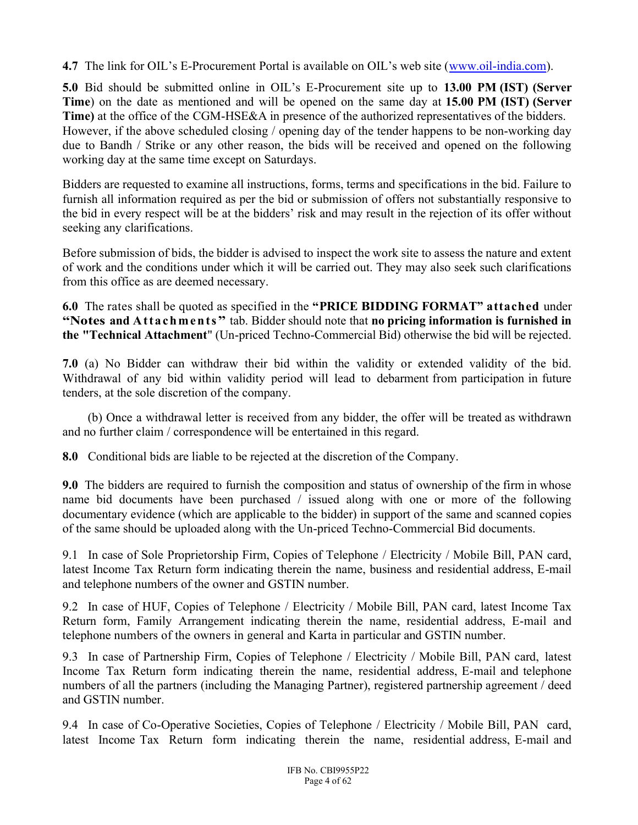4.7 The link for OIL's E-Procurement Portal is available on OIL's web site (www.oil-india.com).

5.0 Bid should be submitted online in OIL's E-Procurement site up to 13.00 PM (IST) (Server Time) on the date as mentioned and will be opened on the same day at 15.00 PM (IST) (Server Time) at the office of the CGM-HSE&A in presence of the authorized representatives of the bidders. However, if the above scheduled closing / opening day of the tender happens to be non-working day due to Bandh / Strike or any other reason, the bids will be received and opened on the following working day at the same time except on Saturdays.

Bidders are requested to examine all instructions, forms, terms and specifications in the bid. Failure to furnish all information required as per the bid or submission of offers not substantially responsive to the bid in every respect will be at the bidders' risk and may result in the rejection of its offer without seeking any clarifications.

Before submission of bids, the bidder is advised to inspect the work site to assess the nature and extent of work and the conditions under which it will be carried out. They may also seek such clarifications from this office as are deemed necessary.

6.0 The rates shall be quoted as specified in the "PRICE BIDDING FORMAT" attached under "Notes and Attachments" tab. Bidder should note that no pricing information is furnished in the "Technical Attachment" (Un-priced Techno-Commercial Bid) otherwise the bid will be rejected.

7.0 (a) No Bidder can withdraw their bid within the validity or extended validity of the bid. Withdrawal of any bid within validity period will lead to debarment from participation in future tenders, at the sole discretion of the company.

 (b) Once a withdrawal letter is received from any bidder, the offer will be treated as withdrawn and no further claim / correspondence will be entertained in this regard.

8.0 Conditional bids are liable to be rejected at the discretion of the Company.

9.0 The bidders are required to furnish the composition and status of ownership of the firm in whose name bid documents have been purchased / issued along with one or more of the following documentary evidence (which are applicable to the bidder) in support of the same and scanned copies of the same should be uploaded along with the Un-priced Techno-Commercial Bid documents.

9.1 In case of Sole Proprietorship Firm, Copies of Telephone / Electricity / Mobile Bill, PAN card, latest Income Tax Return form indicating therein the name, business and residential address, E-mail and telephone numbers of the owner and GSTIN number.

9.2 In case of HUF, Copies of Telephone / Electricity / Mobile Bill, PAN card, latest Income Tax Return form, Family Arrangement indicating therein the name, residential address, E-mail and telephone numbers of the owners in general and Karta in particular and GSTIN number.

9.3 In case of Partnership Firm, Copies of Telephone / Electricity / Mobile Bill, PAN card, latest Income Tax Return form indicating therein the name, residential address, E-mail and telephone numbers of all the partners (including the Managing Partner), registered partnership agreement / deed and GSTIN number.

9.4 In case of Co-Operative Societies, Copies of Telephone / Electricity / Mobile Bill, PAN card, latest Income Tax Return form indicating therein the name, residential address, E-mail and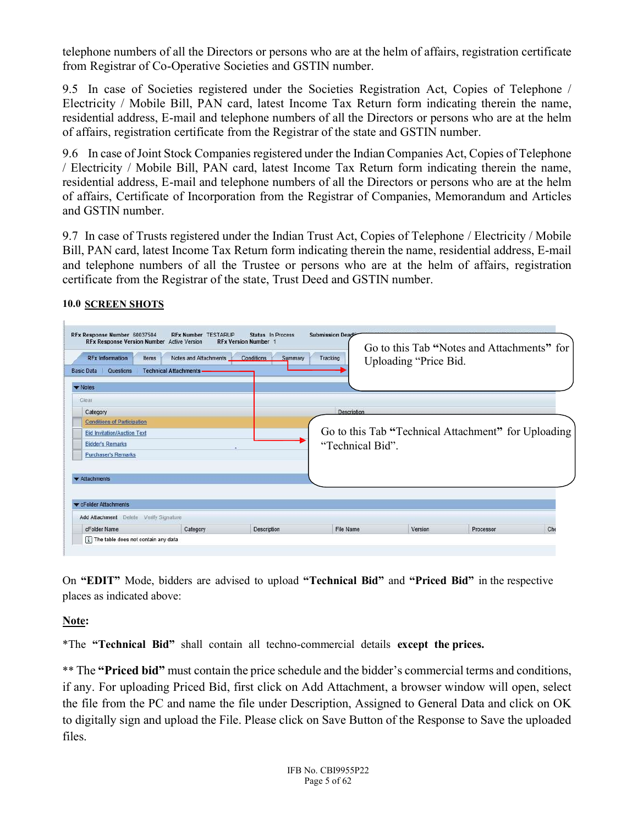telephone numbers of all the Directors or persons who are at the helm of affairs, registration certificate from Registrar of Co-Operative Societies and GSTIN number.

9.5 In case of Societies registered under the Societies Registration Act, Copies of Telephone / Electricity / Mobile Bill, PAN card, latest Income Tax Return form indicating therein the name, residential address, E-mail and telephone numbers of all the Directors or persons who are at the helm of affairs, registration certificate from the Registrar of the state and GSTIN number.

9.6 In case of Joint Stock Companies registered under the Indian Companies Act, Copies of Telephone / Electricity / Mobile Bill, PAN card, latest Income Tax Return form indicating therein the name, residential address, E-mail and telephone numbers of all the Directors or persons who are at the helm of affairs, Certificate of Incorporation from the Registrar of Companies, Memorandum and Articles and GSTIN number.

9.7 In case of Trusts registered under the Indian Trust Act, Copies of Telephone / Electricity / Mobile Bill, PAN card, latest Income Tax Return form indicating therein the name, residential address, E-mail and telephone numbers of all the Trustee or persons who are at the helm of affairs, registration certificate from the Registrar of the state, Trust Deed and GSTIN number.

| <b>RFx Information</b><br>Items<br>Questions<br><b>Basic Data</b>                                                   | <b>RFx Response Version Number</b> Active Version<br>Notes and Attachments<br><b>Technical Attachments.</b> | <b>RFx Version Number 1</b><br>Summary<br>Conditions | Tracking           | Uploading "Price Bid. | Go to this Tab "Notes and Attachments" for          |  |
|---------------------------------------------------------------------------------------------------------------------|-------------------------------------------------------------------------------------------------------------|------------------------------------------------------|--------------------|-----------------------|-----------------------------------------------------|--|
| $\blacktriangleright$ Notes                                                                                         |                                                                                                             |                                                      |                    |                       |                                                     |  |
| Clear                                                                                                               |                                                                                                             |                                                      |                    |                       |                                                     |  |
| Category                                                                                                            |                                                                                                             |                                                      | <b>Description</b> |                       |                                                     |  |
| <b>Bid Invitation/Auction Text</b><br><b>Bidder's Remarks</b><br><b>Purchaser's Remarks</b><br><b>*</b> Attachments |                                                                                                             |                                                      | "Technical Bid".   |                       | Go to this Tab "Technical Attachment" for Uploading |  |
| CFolder Attachments                                                                                                 |                                                                                                             |                                                      |                    |                       |                                                     |  |
|                                                                                                                     |                                                                                                             |                                                      |                    |                       |                                                     |  |
| Add Attachment Delete Verify Signature                                                                              |                                                                                                             |                                                      |                    |                       |                                                     |  |

#### 10.0 SCREEN SHOTS

On "EDIT" Mode, bidders are advised to upload "Technical Bid" and "Priced Bid" in the respective places as indicated above:

Note:

\*The "Technical Bid" shall contain all techno-commercial details except the prices.

\*\* The "Priced bid" must contain the price schedule and the bidder's commercial terms and conditions, if any. For uploading Priced Bid, first click on Add Attachment, a browser window will open, select the file from the PC and name the file under Description, Assigned to General Data and click on OK to digitally sign and upload the File. Please click on Save Button of the Response to Save the uploaded files.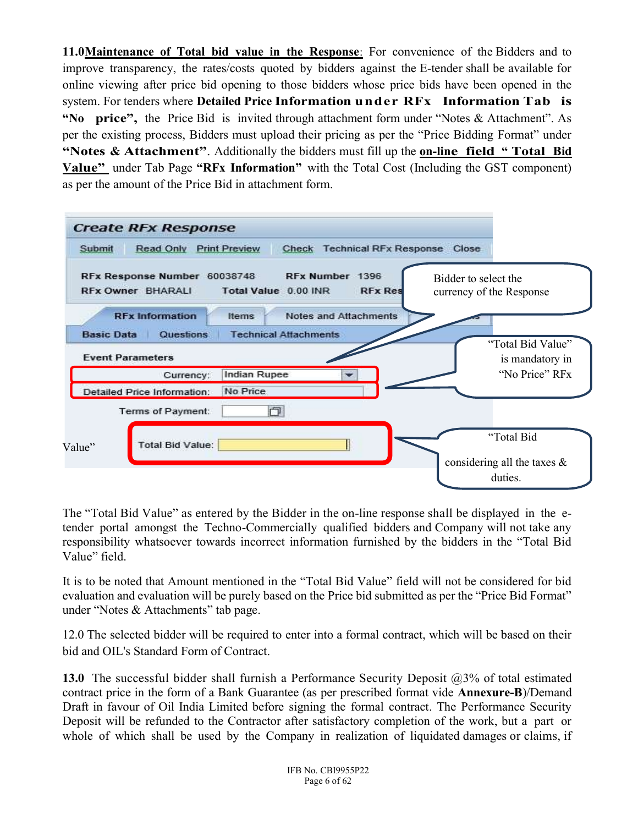11.0 Maintenance of Total bid value in the Response: For convenience of the Bidders and to improve transparency, the rates/costs quoted by bidders against the E-tender shall be available for online viewing after price bid opening to those bidders whose price bids have been opened in the system. For tenders where Detailed Price Information under RFx Information Tab is "No price", the Price Bid is invited through attachment form under "Notes  $\&$  Attachment". As per the existing process, Bidders must upload their pricing as per the "Price Bidding Format" under "Notes & Attachment". Additionally the bidders must fill up the on-line field "Total Bid" Value" under Tab Page "RFx Information" with the Total Cost (Including the GST component) as per the amount of the Price Bid in attachment form.

| Submit            | <b>Create RFx Response</b><br><b>Read Only</b>                        | <b>Print Preview</b>            | Check                        |                                   | <b>Technical RFx Response</b> | Close                                            |                                              |
|-------------------|-----------------------------------------------------------------------|---------------------------------|------------------------------|-----------------------------------|-------------------------------|--------------------------------------------------|----------------------------------------------|
|                   | RFx Response Number 60038748<br><b>RFx Owner BHARALI</b>              | Total Value 0.00 INR            |                              | RFx Number 1396<br><b>RFx Res</b> |                               | Bidder to select the<br>currency of the Response |                                              |
| <b>Basic Data</b> | <b>RFx Information</b><br><b>Questions</b><br><b>Event Parameters</b> | <b>Items</b>                    | <b>Technical Attachments</b> | <b>Notes and Attachments</b>      |                               |                                                  | "Total Bid Value"                            |
|                   | Currency:<br>Detailed Price Information:                              | <b>Indian Rupee</b><br>No Price |                              |                                   |                               |                                                  | is mandatory in<br>"No Price" RFx            |
|                   | Terms of Payment:                                                     |                                 | 印                            |                                   |                               |                                                  |                                              |
| Value"            | <b>Total Bid Value:</b>                                               |                                 |                              |                                   |                               | duties.                                          | "Total Bid<br>considering all the taxes $\&$ |

The "Total Bid Value" as entered by the Bidder in the on-line response shall be displayed in the etender portal amongst the Techno-Commercially qualified bidders and Company will not take any responsibility whatsoever towards incorrect information furnished by the bidders in the "Total Bid Value" field.

It is to be noted that Amount mentioned in the "Total Bid Value" field will not be considered for bid evaluation and evaluation will be purely based on the Price bid submitted as per the "Price Bid Format" under "Notes & Attachments" tab page.

12.0 The selected bidder will be required to enter into a formal contract, which will be based on their bid and OIL's Standard Form of Contract.

13.0 The successful bidder shall furnish a Performance Security Deposit  $(20.3\%$  of total estimated contract price in the form of a Bank Guarantee (as per prescribed format vide Annexure-B)/Demand Draft in favour of Oil India Limited before signing the formal contract. The Performance Security Deposit will be refunded to the Contractor after satisfactory completion of the work, but a part or whole of which shall be used by the Company in realization of liquidated damages or claims, if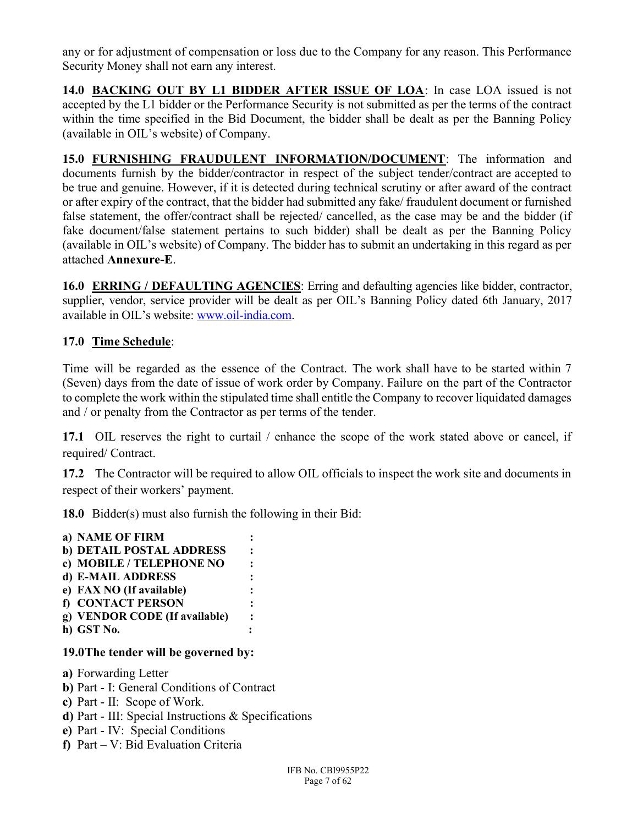any or for adjustment of compensation or loss due to the Company for any reason. This Performance Security Money shall not earn any interest.

14.0 BACKING OUT BY L1 BIDDER AFTER ISSUE OF LOA: In case LOA issued is not accepted by the L1 bidder or the Performance Security is not submitted as per the terms of the contract within the time specified in the Bid Document, the bidder shall be dealt as per the Banning Policy (available in OIL's website) of Company.

15.0 FURNISHING FRAUDULENT INFORMATION/DOCUMENT: The information and documents furnish by the bidder/contractor in respect of the subject tender/contract are accepted to be true and genuine. However, if it is detected during technical scrutiny or after award of the contract or after expiry of the contract, that the bidder had submitted any fake/ fraudulent document or furnished false statement, the offer/contract shall be rejected/ cancelled, as the case may be and the bidder (if fake document/false statement pertains to such bidder) shall be dealt as per the Banning Policy (available in OIL's website) of Company. The bidder has to submit an undertaking in this regard as per attached Annexure-E.

16.0 ERRING / DEFAULTING AGENCIES: Erring and defaulting agencies like bidder, contractor, supplier, vendor, service provider will be dealt as per OIL's Banning Policy dated 6th January, 2017 available in OIL's website: www.oil-india.com.

### 17.0 Time Schedule:

Time will be regarded as the essence of the Contract. The work shall have to be started within 7 (Seven) days from the date of issue of work order by Company. Failure on the part of the Contractor to complete the work within the stipulated time shall entitle the Company to recover liquidated damages and / or penalty from the Contractor as per terms of the tender.

17.1 OIL reserves the right to curtail / enhance the scope of the work stated above or cancel, if required/ Contract.

17.2 The Contractor will be required to allow OIL officials to inspect the work site and documents in respect of their workers' payment.

18.0 Bidder(s) must also furnish the following in their Bid:

| a) NAME OF FIRM               |  |
|-------------------------------|--|
| b) DETAIL POSTAL ADDRESS      |  |
| c) MOBILE / TELEPHONE NO      |  |
| d) E-MAIL ADDRESS             |  |
| e) FAX NO (If available)      |  |
| f) CONTACT PERSON             |  |
| g) VENDOR CODE (If available) |  |
| h) GST No.                    |  |

#### 19.0The tender will be governed by:

a) Forwarding Letter

- b) Part I: General Conditions of Contract
- c) Part II: Scope of Work.
- d) Part III: Special Instructions & Specifications
- e) Part IV: Special Conditions
- f) Part V: Bid Evaluation Criteria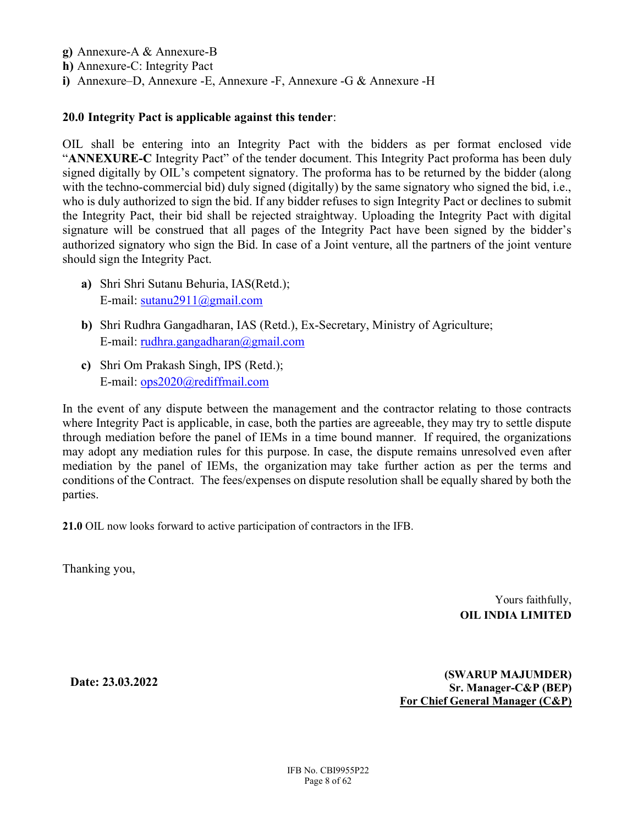- g) Annexure-A & Annexure-B
- h) Annexure-C: Integrity Pact
- i) Annexure–D, Annexure -E, Annexure -F, Annexure -G & Annexure -H

#### 20.0 Integrity Pact is applicable against this tender:

OIL shall be entering into an Integrity Pact with the bidders as per format enclosed vide "ANNEXURE-C Integrity Pact" of the tender document. This Integrity Pact proforma has been duly signed digitally by OIL's competent signatory. The proforma has to be returned by the bidder (along with the techno-commercial bid) duly signed (digitally) by the same signatory who signed the bid, i.e., who is duly authorized to sign the bid. If any bidder refuses to sign Integrity Pact or declines to submit the Integrity Pact, their bid shall be rejected straightway. Uploading the Integrity Pact with digital signature will be construed that all pages of the Integrity Pact have been signed by the bidder's authorized signatory who sign the Bid. In case of a Joint venture, all the partners of the joint venture should sign the Integrity Pact.

- a) Shri Shri Sutanu Behuria, IAS(Retd.); E-mail: sutanu2911@gmail.com
- b) Shri Rudhra Gangadharan, IAS (Retd.), Ex-Secretary, Ministry of Agriculture; E-mail: rudhra.gangadharan@gmail.com
- c) Shri Om Prakash Singh, IPS (Retd.); E-mail: ops2020@rediffmail.com

In the event of any dispute between the management and the contractor relating to those contracts where Integrity Pact is applicable, in case, both the parties are agreeable, they may try to settle dispute through mediation before the panel of IEMs in a time bound manner. If required, the organizations may adopt any mediation rules for this purpose. In case, the dispute remains unresolved even after mediation by the panel of IEMs, the organization may take further action as per the terms and conditions of the Contract. The fees/expenses on dispute resolution shall be equally shared by both the parties.

21.0 OIL now looks forward to active participation of contractors in the IFB.

Thanking you,

 Yours faithfully, OIL INDIA LIMITED

Date: 23.03.2022

 (SWARUP MAJUMDER) Sr. Manager-C&P (BEP) For Chief General Manager (C&P)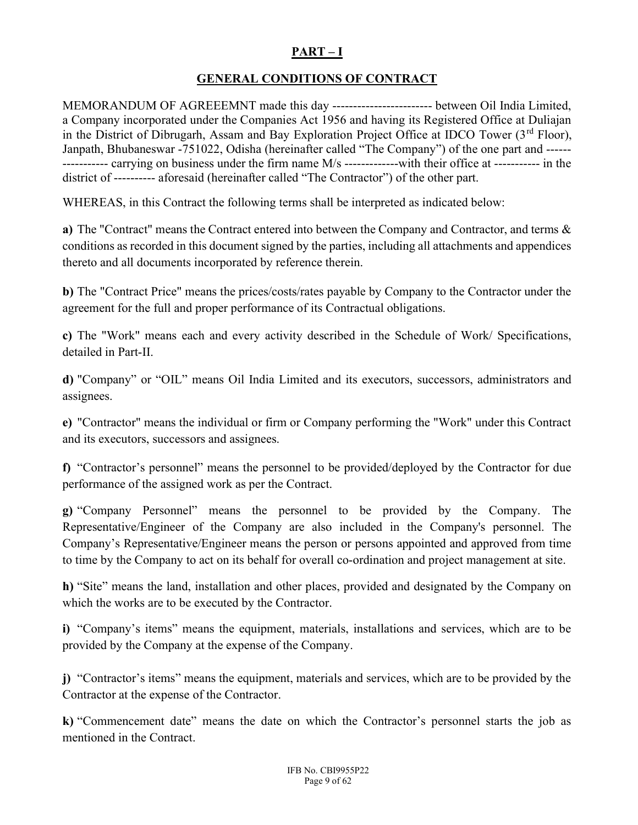## PART – I

## GENERAL CONDITIONS OF CONTRACT

MEMORANDUM OF AGREEEMNT made this day ------------------------ between Oil India Limited, a Company incorporated under the Companies Act 1956 and having its Registered Office at Duliajan in the District of Dibrugarh, Assam and Bay Exploration Project Office at IDCO Tower  $(3<sup>rd</sup> Floor)$ , Janpath, Bhubaneswar -751022, Odisha (hereinafter called "The Company") of the one part and ------ ----------- carrying on business under the firm name M/s -------------with their office at ----------- in the district of ---------- aforesaid (hereinafter called "The Contractor") of the other part.

WHEREAS, in this Contract the following terms shall be interpreted as indicated below:

a) The "Contract" means the Contract entered into between the Company and Contractor, and terms & conditions as recorded in this document signed by the parties, including all attachments and appendices thereto and all documents incorporated by reference therein.

b) The "Contract Price" means the prices/costs/rates payable by Company to the Contractor under the agreement for the full and proper performance of its Contractual obligations.

c) The "Work" means each and every activity described in the Schedule of Work/ Specifications, detailed in Part-II.

d) "Company" or "OIL" means Oil India Limited and its executors, successors, administrators and assignees.

e) "Contractor" means the individual or firm or Company performing the "Work" under this Contract and its executors, successors and assignees.

f) "Contractor's personnel" means the personnel to be provided/deployed by the Contractor for due performance of the assigned work as per the Contract.

g) "Company Personnel" means the personnel to be provided by the Company. The Representative/Engineer of the Company are also included in the Company's personnel. The Company's Representative/Engineer means the person or persons appointed and approved from time to time by the Company to act on its behalf for overall co-ordination and project management at site.

h) "Site" means the land, installation and other places, provided and designated by the Company on which the works are to be executed by the Contractor.

i) "Company's items" means the equipment, materials, installations and services, which are to be provided by the Company at the expense of the Company.

j) "Contractor's items" means the equipment, materials and services, which are to be provided by the Contractor at the expense of the Contractor.

k) "Commencement date" means the date on which the Contractor's personnel starts the job as mentioned in the Contract.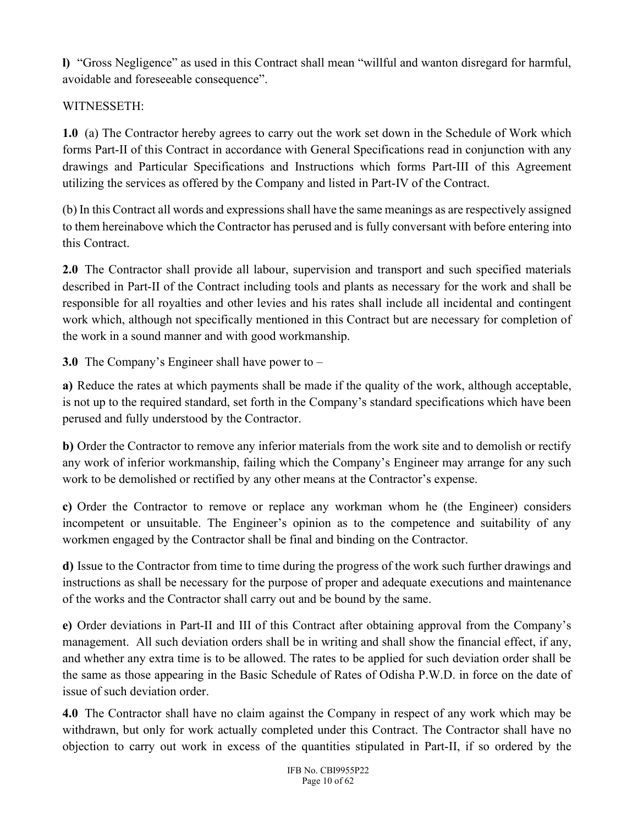l) "Gross Negligence" as used in this Contract shall mean "willful and wanton disregard for harmful, avoidable and foreseeable consequence".

# WITNESSETH:

1.0 (a) The Contractor hereby agrees to carry out the work set down in the Schedule of Work which forms Part-II of this Contract in accordance with General Specifications read in conjunction with any drawings and Particular Specifications and Instructions which forms Part-III of this Agreement utilizing the services as offered by the Company and listed in Part-IV of the Contract.

(b) In this Contract all words and expressions shall have the same meanings as are respectively assigned to them hereinabove which the Contractor has perused and is fully conversant with before entering into this Contract.

2.0 The Contractor shall provide all labour, supervision and transport and such specified materials described in Part-II of the Contract including tools and plants as necessary for the work and shall be responsible for all royalties and other levies and his rates shall include all incidental and contingent work which, although not specifically mentioned in this Contract but are necessary for completion of the work in a sound manner and with good workmanship.

3.0 The Company's Engineer shall have power to –

a) Reduce the rates at which payments shall be made if the quality of the work, although acceptable, is not up to the required standard, set forth in the Company's standard specifications which have been perused and fully understood by the Contractor.

b) Order the Contractor to remove any inferior materials from the work site and to demolish or rectify any work of inferior workmanship, failing which the Company's Engineer may arrange for any such work to be demolished or rectified by any other means at the Contractor's expense.

c) Order the Contractor to remove or replace any workman whom he (the Engineer) considers incompetent or unsuitable. The Engineer's opinion as to the competence and suitability of any workmen engaged by the Contractor shall be final and binding on the Contractor.

d) Issue to the Contractor from time to time during the progress of the work such further drawings and instructions as shall be necessary for the purpose of proper and adequate executions and maintenance of the works and the Contractor shall carry out and be bound by the same.

e) Order deviations in Part-II and III of this Contract after obtaining approval from the Company's management. All such deviation orders shall be in writing and shall show the financial effect, if any, and whether any extra time is to be allowed. The rates to be applied for such deviation order shall be the same as those appearing in the Basic Schedule of Rates of Odisha P.W.D. in force on the date of issue of such deviation order.

4.0 The Contractor shall have no claim against the Company in respect of any work which may be withdrawn, but only for work actually completed under this Contract. The Contractor shall have no objection to carry out work in excess of the quantities stipulated in Part-II, if so ordered by the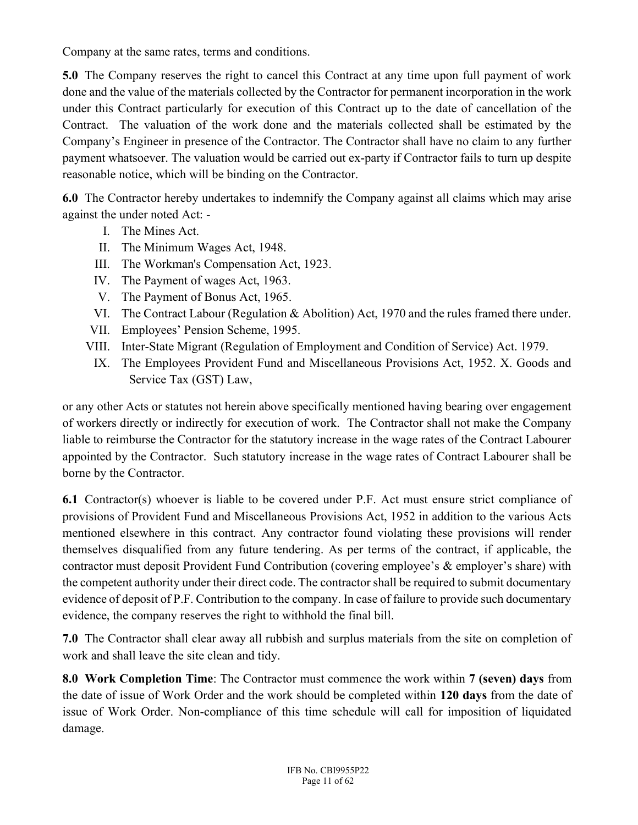Company at the same rates, terms and conditions.

5.0 The Company reserves the right to cancel this Contract at any time upon full payment of work done and the value of the materials collected by the Contractor for permanent incorporation in the work under this Contract particularly for execution of this Contract up to the date of cancellation of the Contract. The valuation of the work done and the materials collected shall be estimated by the Company's Engineer in presence of the Contractor. The Contractor shall have no claim to any further payment whatsoever. The valuation would be carried out ex-party if Contractor fails to turn up despite reasonable notice, which will be binding on the Contractor.

6.0 The Contractor hereby undertakes to indemnify the Company against all claims which may arise against the under noted Act: -

- I. The Mines Act.
- II. The Minimum Wages Act, 1948.
- III. The Workman's Compensation Act, 1923.
- IV. The Payment of wages Act, 1963.
- V. The Payment of Bonus Act, 1965.
- VI. The Contract Labour (Regulation & Abolition) Act, 1970 and the rules framed there under.
- VII. Employees' Pension Scheme, 1995.
- VIII. Inter-State Migrant (Regulation of Employment and Condition of Service) Act. 1979.
- IX. The Employees Provident Fund and Miscellaneous Provisions Act, 1952. X. Goods and Service Tax (GST) Law,

or any other Acts or statutes not herein above specifically mentioned having bearing over engagement of workers directly or indirectly for execution of work. The Contractor shall not make the Company liable to reimburse the Contractor for the statutory increase in the wage rates of the Contract Labourer appointed by the Contractor. Such statutory increase in the wage rates of Contract Labourer shall be borne by the Contractor.

6.1 Contractor(s) whoever is liable to be covered under P.F. Act must ensure strict compliance of provisions of Provident Fund and Miscellaneous Provisions Act, 1952 in addition to the various Acts mentioned elsewhere in this contract. Any contractor found violating these provisions will render themselves disqualified from any future tendering. As per terms of the contract, if applicable, the contractor must deposit Provident Fund Contribution (covering employee's & employer's share) with the competent authority under their direct code. The contractor shall be required to submit documentary evidence of deposit of P.F. Contribution to the company. In case of failure to provide such documentary evidence, the company reserves the right to withhold the final bill.

7.0 The Contractor shall clear away all rubbish and surplus materials from the site on completion of work and shall leave the site clean and tidy.

8.0 Work Completion Time: The Contractor must commence the work within 7 (seven) days from the date of issue of Work Order and the work should be completed within 120 days from the date of issue of Work Order. Non-compliance of this time schedule will call for imposition of liquidated damage.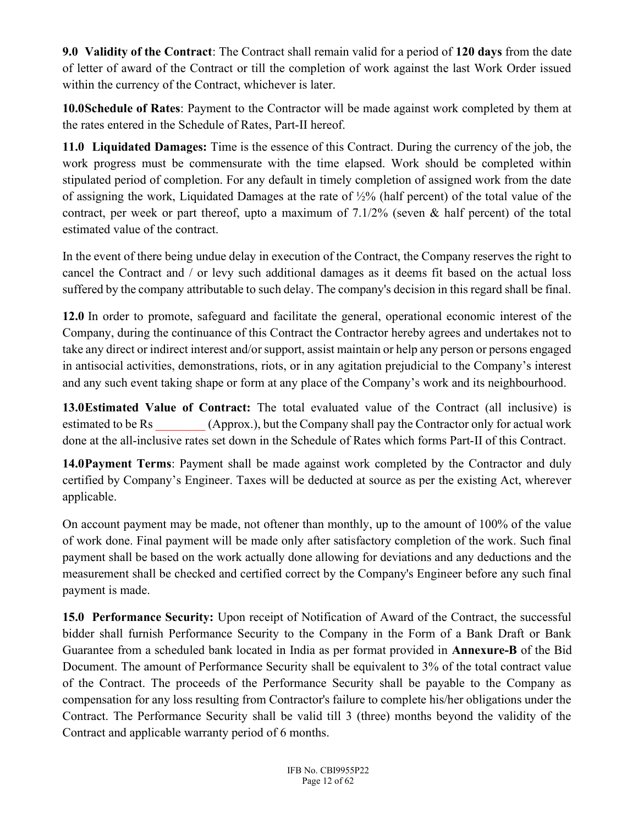9.0 Validity of the Contract: The Contract shall remain valid for a period of 120 days from the date of letter of award of the Contract or till the completion of work against the last Work Order issued within the currency of the Contract, whichever is later.

10.0Schedule of Rates: Payment to the Contractor will be made against work completed by them at the rates entered in the Schedule of Rates, Part-II hereof.

11.0 Liquidated Damages: Time is the essence of this Contract. During the currency of the job, the work progress must be commensurate with the time elapsed. Work should be completed within stipulated period of completion. For any default in timely completion of assigned work from the date of assigning the work, Liquidated Damages at the rate of  $\frac{1}{2}\%$  (half percent) of the total value of the contract, per week or part thereof, upto a maximum of 7.1/2% (seven & half percent) of the total estimated value of the contract.

In the event of there being undue delay in execution of the Contract, the Company reserves the right to cancel the Contract and / or levy such additional damages as it deems fit based on the actual loss suffered by the company attributable to such delay. The company's decision in this regard shall be final.

12.0 In order to promote, safeguard and facilitate the general, operational economic interest of the Company, during the continuance of this Contract the Contractor hereby agrees and undertakes not to take any direct or indirect interest and/or support, assist maintain or help any person or persons engaged in antisocial activities, demonstrations, riots, or in any agitation prejudicial to the Company's interest and any such event taking shape or form at any place of the Company's work and its neighbourhood.

13.0Estimated Value of Contract: The total evaluated value of the Contract (all inclusive) is estimated to be Rs (Approx.), but the Company shall pay the Contractor only for actual work done at the all-inclusive rates set down in the Schedule of Rates which forms Part-II of this Contract.

14.0Payment Terms: Payment shall be made against work completed by the Contractor and duly certified by Company's Engineer. Taxes will be deducted at source as per the existing Act, wherever applicable.

On account payment may be made, not oftener than monthly, up to the amount of 100% of the value of work done. Final payment will be made only after satisfactory completion of the work. Such final payment shall be based on the work actually done allowing for deviations and any deductions and the measurement shall be checked and certified correct by the Company's Engineer before any such final payment is made.

15.0 Performance Security: Upon receipt of Notification of Award of the Contract, the successful bidder shall furnish Performance Security to the Company in the Form of a Bank Draft or Bank Guarantee from a scheduled bank located in India as per format provided in Annexure-B of the Bid Document. The amount of Performance Security shall be equivalent to 3% of the total contract value of the Contract. The proceeds of the Performance Security shall be payable to the Company as compensation for any loss resulting from Contractor's failure to complete his/her obligations under the Contract. The Performance Security shall be valid till 3 (three) months beyond the validity of the Contract and applicable warranty period of 6 months.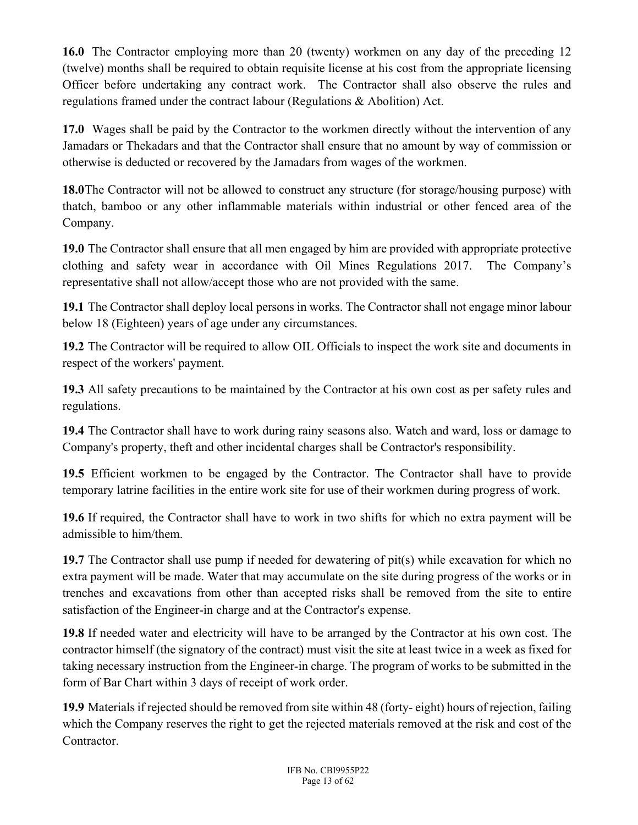16.0 The Contractor employing more than 20 (twenty) workmen on any day of the preceding 12 (twelve) months shall be required to obtain requisite license at his cost from the appropriate licensing Officer before undertaking any contract work. The Contractor shall also observe the rules and regulations framed under the contract labour (Regulations & Abolition) Act.

17.0 Wages shall be paid by the Contractor to the workmen directly without the intervention of any Jamadars or Thekadars and that the Contractor shall ensure that no amount by way of commission or otherwise is deducted or recovered by the Jamadars from wages of the workmen.

18.0The Contractor will not be allowed to construct any structure (for storage/housing purpose) with thatch, bamboo or any other inflammable materials within industrial or other fenced area of the Company.

19.0 The Contractor shall ensure that all men engaged by him are provided with appropriate protective clothing and safety wear in accordance with Oil Mines Regulations 2017. The Company's representative shall not allow/accept those who are not provided with the same.

19.1 The Contractor shall deploy local persons in works. The Contractor shall not engage minor labour below 18 (Eighteen) years of age under any circumstances.

19.2 The Contractor will be required to allow OIL Officials to inspect the work site and documents in respect of the workers' payment.

19.3 All safety precautions to be maintained by the Contractor at his own cost as per safety rules and regulations.

19.4 The Contractor shall have to work during rainy seasons also. Watch and ward, loss or damage to Company's property, theft and other incidental charges shall be Contractor's responsibility.

19.5 Efficient workmen to be engaged by the Contractor. The Contractor shall have to provide temporary latrine facilities in the entire work site for use of their workmen during progress of work.

19.6 If required, the Contractor shall have to work in two shifts for which no extra payment will be admissible to him/them.

19.7 The Contractor shall use pump if needed for dewatering of pit(s) while excavation for which no extra payment will be made. Water that may accumulate on the site during progress of the works or in trenches and excavations from other than accepted risks shall be removed from the site to entire satisfaction of the Engineer-in charge and at the Contractor's expense.

19.8 If needed water and electricity will have to be arranged by the Contractor at his own cost. The contractor himself (the signatory of the contract) must visit the site at least twice in a week as fixed for taking necessary instruction from the Engineer-in charge. The program of works to be submitted in the form of Bar Chart within 3 days of receipt of work order.

19.9 Materials if rejected should be removed from site within 48 (forty- eight) hours of rejection, failing which the Company reserves the right to get the rejected materials removed at the risk and cost of the Contractor.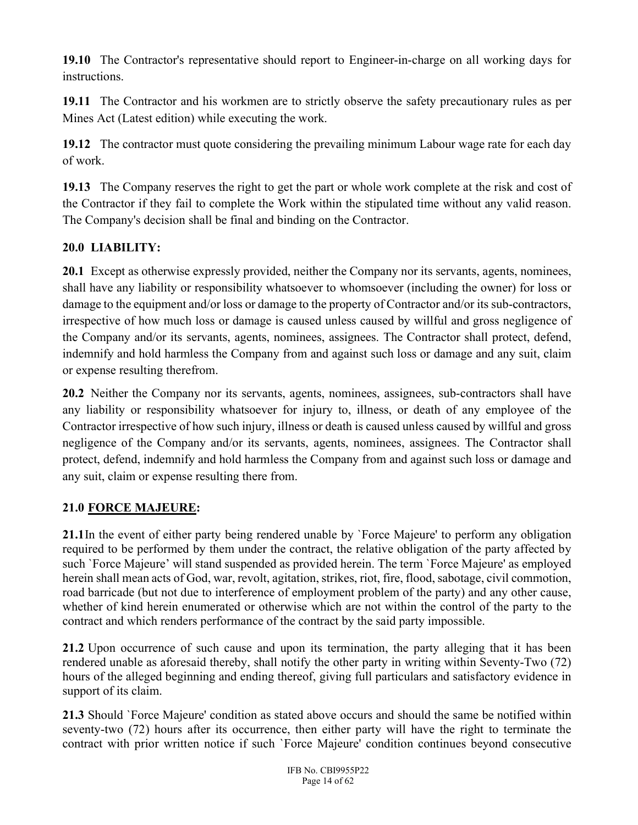19.10 The Contractor's representative should report to Engineer-in-charge on all working days for instructions.

19.11 The Contractor and his workmen are to strictly observe the safety precautionary rules as per Mines Act (Latest edition) while executing the work.

19.12 The contractor must quote considering the prevailing minimum Labour wage rate for each day of work.

19.13 The Company reserves the right to get the part or whole work complete at the risk and cost of the Contractor if they fail to complete the Work within the stipulated time without any valid reason. The Company's decision shall be final and binding on the Contractor.

# 20.0 LIABILITY:

20.1 Except as otherwise expressly provided, neither the Company nor its servants, agents, nominees, shall have any liability or responsibility whatsoever to whomsoever (including the owner) for loss or damage to the equipment and/or loss or damage to the property of Contractor and/or its sub-contractors, irrespective of how much loss or damage is caused unless caused by willful and gross negligence of the Company and/or its servants, agents, nominees, assignees. The Contractor shall protect, defend, indemnify and hold harmless the Company from and against such loss or damage and any suit, claim or expense resulting therefrom.

20.2 Neither the Company nor its servants, agents, nominees, assignees, sub-contractors shall have any liability or responsibility whatsoever for injury to, illness, or death of any employee of the Contractor irrespective of how such injury, illness or death is caused unless caused by willful and gross negligence of the Company and/or its servants, agents, nominees, assignees. The Contractor shall protect, defend, indemnify and hold harmless the Company from and against such loss or damage and any suit, claim or expense resulting there from.

## 21.0 FORCE MAJEURE:

21.1In the event of either party being rendered unable by `Force Majeure' to perform any obligation required to be performed by them under the contract, the relative obligation of the party affected by such `Force Majeure' will stand suspended as provided herein. The term `Force Majeure' as employed herein shall mean acts of God, war, revolt, agitation, strikes, riot, fire, flood, sabotage, civil commotion, road barricade (but not due to interference of employment problem of the party) and any other cause, whether of kind herein enumerated or otherwise which are not within the control of the party to the contract and which renders performance of the contract by the said party impossible.

21.2 Upon occurrence of such cause and upon its termination, the party alleging that it has been rendered unable as aforesaid thereby, shall notify the other party in writing within Seventy-Two (72) hours of the alleged beginning and ending thereof, giving full particulars and satisfactory evidence in support of its claim.

21.3 Should `Force Majeure' condition as stated above occurs and should the same be notified within seventy-two (72) hours after its occurrence, then either party will have the right to terminate the contract with prior written notice if such `Force Majeure' condition continues beyond consecutive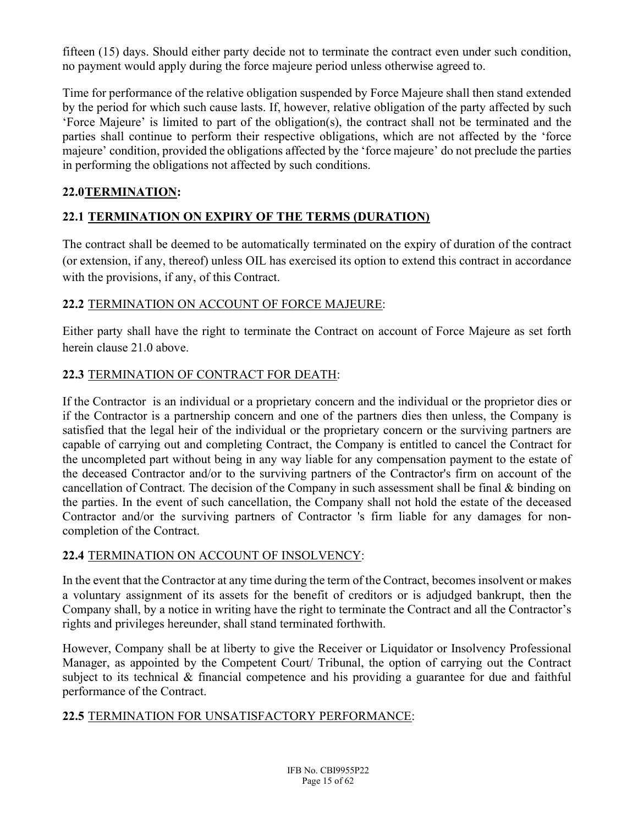fifteen (15) days. Should either party decide not to terminate the contract even under such condition, no payment would apply during the force majeure period unless otherwise agreed to.

Time for performance of the relative obligation suspended by Force Majeure shall then stand extended by the period for which such cause lasts. If, however, relative obligation of the party affected by such 'Force Majeure' is limited to part of the obligation(s), the contract shall not be terminated and the parties shall continue to perform their respective obligations, which are not affected by the 'force majeure' condition, provided the obligations affected by the 'force majeure' do not preclude the parties in performing the obligations not affected by such conditions.

## 22.0TERMINATION:

# 22.1 TERMINATION ON EXPIRY OF THE TERMS (DURATION)

The contract shall be deemed to be automatically terminated on the expiry of duration of the contract (or extension, if any, thereof) unless OIL has exercised its option to extend this contract in accordance with the provisions, if any, of this Contract.

## 22.2 TERMINATION ON ACCOUNT OF FORCE MAJEURE:

Either party shall have the right to terminate the Contract on account of Force Majeure as set forth herein clause 21.0 above.

## 22.3 TERMINATION OF CONTRACT FOR DEATH:

If the Contractor is an individual or a proprietary concern and the individual or the proprietor dies or if the Contractor is a partnership concern and one of the partners dies then unless, the Company is satisfied that the legal heir of the individual or the proprietary concern or the surviving partners are capable of carrying out and completing Contract, the Company is entitled to cancel the Contract for the uncompleted part without being in any way liable for any compensation payment to the estate of the deceased Contractor and/or to the surviving partners of the Contractor's firm on account of the cancellation of Contract. The decision of the Company in such assessment shall be final & binding on the parties. In the event of such cancellation, the Company shall not hold the estate of the deceased Contractor and/or the surviving partners of Contractor 's firm liable for any damages for noncompletion of the Contract.

## 22.4 TERMINATION ON ACCOUNT OF INSOLVENCY:

In the event that the Contractor at any time during the term of the Contract, becomes insolvent or makes a voluntary assignment of its assets for the benefit of creditors or is adjudged bankrupt, then the Company shall, by a notice in writing have the right to terminate the Contract and all the Contractor's rights and privileges hereunder, shall stand terminated forthwith.

However, Company shall be at liberty to give the Receiver or Liquidator or Insolvency Professional Manager, as appointed by the Competent Court/ Tribunal, the option of carrying out the Contract subject to its technical & financial competence and his providing a guarantee for due and faithful performance of the Contract.

## 22.5 TERMINATION FOR UNSATISFACTORY PERFORMANCE: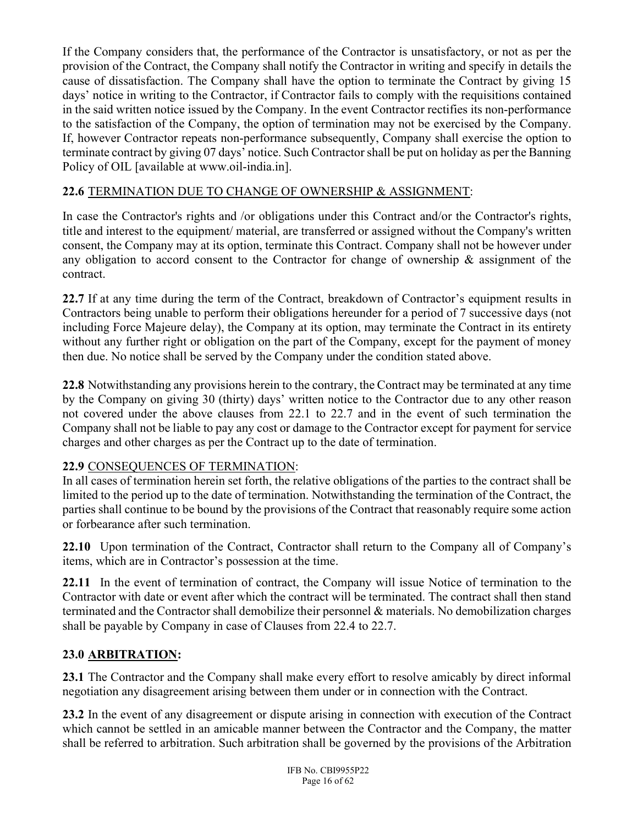If the Company considers that, the performance of the Contractor is unsatisfactory, or not as per the provision of the Contract, the Company shall notify the Contractor in writing and specify in details the cause of dissatisfaction. The Company shall have the option to terminate the Contract by giving 15 days' notice in writing to the Contractor, if Contractor fails to comply with the requisitions contained in the said written notice issued by the Company. In the event Contractor rectifies its non-performance to the satisfaction of the Company, the option of termination may not be exercised by the Company. If, however Contractor repeats non-performance subsequently, Company shall exercise the option to terminate contract by giving 07 days' notice. Such Contractor shall be put on holiday as per the Banning Policy of OIL [available at www.oil-india.in].

## 22.6 TERMINATION DUE TO CHANGE OF OWNERSHIP & ASSIGNMENT:

In case the Contractor's rights and /or obligations under this Contract and/or the Contractor's rights, title and interest to the equipment/ material, are transferred or assigned without the Company's written consent, the Company may at its option, terminate this Contract. Company shall not be however under any obligation to accord consent to the Contractor for change of ownership & assignment of the contract.

22.7 If at any time during the term of the Contract, breakdown of Contractor's equipment results in Contractors being unable to perform their obligations hereunder for a period of 7 successive days (not including Force Majeure delay), the Company at its option, may terminate the Contract in its entirety without any further right or obligation on the part of the Company, except for the payment of money then due. No notice shall be served by the Company under the condition stated above.

22.8 Notwithstanding any provisions herein to the contrary, the Contract may be terminated at any time by the Company on giving 30 (thirty) days' written notice to the Contractor due to any other reason not covered under the above clauses from 22.1 to 22.7 and in the event of such termination the Company shall not be liable to pay any cost or damage to the Contractor except for payment for service charges and other charges as per the Contract up to the date of termination.

#### 22.9 CONSEQUENCES OF TERMINATION:

In all cases of termination herein set forth, the relative obligations of the parties to the contract shall be limited to the period up to the date of termination. Notwithstanding the termination of the Contract, the parties shall continue to be bound by the provisions of the Contract that reasonably require some action or forbearance after such termination.

22.10 Upon termination of the Contract, Contractor shall return to the Company all of Company's items, which are in Contractor's possession at the time.

22.11 In the event of termination of contract, the Company will issue Notice of termination to the Contractor with date or event after which the contract will be terminated. The contract shall then stand terminated and the Contractor shall demobilize their personnel & materials. No demobilization charges shall be payable by Company in case of Clauses from 22.4 to 22.7.

#### 23.0 ARBITRATION:

23.1 The Contractor and the Company shall make every effort to resolve amicably by direct informal negotiation any disagreement arising between them under or in connection with the Contract.

23.2 In the event of any disagreement or dispute arising in connection with execution of the Contract which cannot be settled in an amicable manner between the Contractor and the Company, the matter shall be referred to arbitration. Such arbitration shall be governed by the provisions of the Arbitration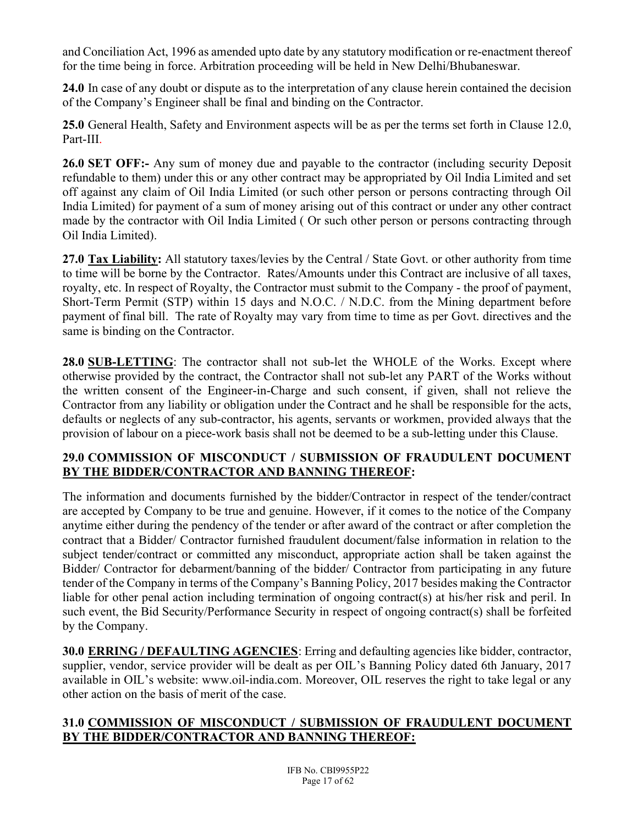and Conciliation Act, 1996 as amended upto date by any statutory modification or re-enactment thereof for the time being in force. Arbitration proceeding will be held in New Delhi/Bhubaneswar.

24.0 In case of any doubt or dispute as to the interpretation of any clause herein contained the decision of the Company's Engineer shall be final and binding on the Contractor.

25.0 General Health, Safety and Environment aspects will be as per the terms set forth in Clause 12.0, Part-III.

26.0 SET OFF:- Any sum of money due and payable to the contractor (including security Deposit refundable to them) under this or any other contract may be appropriated by Oil India Limited and set off against any claim of Oil India Limited (or such other person or persons contracting through Oil India Limited) for payment of a sum of money arising out of this contract or under any other contract made by the contractor with Oil India Limited ( Or such other person or persons contracting through Oil India Limited).

27.0 Tax Liability: All statutory taxes/levies by the Central / State Govt. or other authority from time to time will be borne by the Contractor. Rates/Amounts under this Contract are inclusive of all taxes, royalty, etc. In respect of Royalty, the Contractor must submit to the Company - the proof of payment, Short-Term Permit (STP) within 15 days and N.O.C. / N.D.C. from the Mining department before payment of final bill. The rate of Royalty may vary from time to time as per Govt. directives and the same is binding on the Contractor.

28.0 SUB-LETTING: The contractor shall not sub-let the WHOLE of the Works. Except where otherwise provided by the contract, the Contractor shall not sub-let any PART of the Works without the written consent of the Engineer-in-Charge and such consent, if given, shall not relieve the Contractor from any liability or obligation under the Contract and he shall be responsible for the acts, defaults or neglects of any sub-contractor, his agents, servants or workmen, provided always that the provision of labour on a piece-work basis shall not be deemed to be a sub-letting under this Clause.

### 29.0 COMMISSION OF MISCONDUCT / SUBMISSION OF FRAUDULENT DOCUMENT BY THE BIDDER/CONTRACTOR AND BANNING THEREOF:

The information and documents furnished by the bidder/Contractor in respect of the tender/contract are accepted by Company to be true and genuine. However, if it comes to the notice of the Company anytime either during the pendency of the tender or after award of the contract or after completion the contract that a Bidder/ Contractor furnished fraudulent document/false information in relation to the subject tender/contract or committed any misconduct, appropriate action shall be taken against the Bidder/ Contractor for debarment/banning of the bidder/ Contractor from participating in any future tender of the Company in terms of the Company's Banning Policy, 2017 besides making the Contractor liable for other penal action including termination of ongoing contract(s) at his/her risk and peril. In such event, the Bid Security/Performance Security in respect of ongoing contract(s) shall be forfeited by the Company.

30.0 ERRING / DEFAULTING AGENCIES: Erring and defaulting agencies like bidder, contractor, supplier, vendor, service provider will be dealt as per OIL's Banning Policy dated 6th January, 2017 available in OIL's website: www.oil-india.com. Moreover, OIL reserves the right to take legal or any other action on the basis of merit of the case.

### 31.0 COMMISSION OF MISCONDUCT / SUBMISSION OF FRAUDULENT DOCUMENT BY THE BIDDER/CONTRACTOR AND BANNING THEREOF: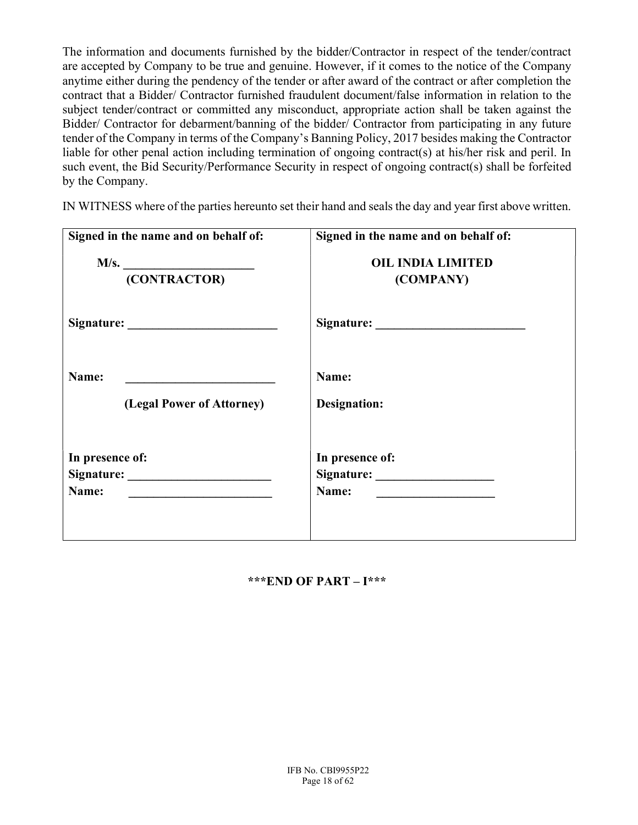The information and documents furnished by the bidder/Contractor in respect of the tender/contract are accepted by Company to be true and genuine. However, if it comes to the notice of the Company anytime either during the pendency of the tender or after award of the contract or after completion the contract that a Bidder/ Contractor furnished fraudulent document/false information in relation to the subject tender/contract or committed any misconduct, appropriate action shall be taken against the Bidder/ Contractor for debarment/banning of the bidder/ Contractor from participating in any future tender of the Company in terms of the Company's Banning Policy, 2017 besides making the Contractor liable for other penal action including termination of ongoing contract(s) at his/her risk and peril. In such event, the Bid Security/Performance Security in respect of ongoing contract(s) shall be forfeited by the Company.

IN WITNESS where of the parties hereunto set their hand and seals the day and year first above written.

| Signed in the name and on behalf of: | Signed in the name and on behalf of:  |
|--------------------------------------|---------------------------------------|
| M/s.                                 | <b>OIL INDIA LIMITED</b>              |
| (CONTRACTOR)                         | (COMPANY)                             |
|                                      |                                       |
| Name:                                | Name:                                 |
| (Legal Power of Attorney)            | Designation:                          |
| In presence of:                      | In presence of:                       |
|                                      | Signature:                            |
|                                      | Name: <u>________________________</u> |

#### \*\*\*END OF PART – I\*\*\*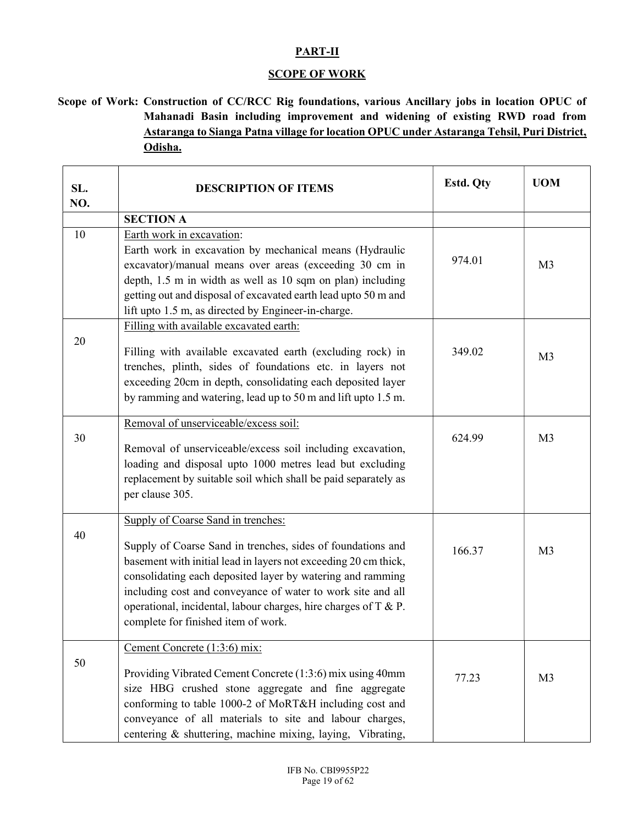#### PART-II

#### **SCOPE OF WORK**

 Scope of Work: Construction of CC/RCC Rig foundations, various Ancillary jobs in location OPUC of Mahanadi Basin including improvement and widening of existing RWD road from Astaranga to Sianga Patna village for location OPUC under Astaranga Tehsil, Puri District, Odisha.

| SL.<br>NO. | <b>DESCRIPTION OF ITEMS</b>                                                                                                                                                                                                                                                                                                                                                                                 | Estd. Qty | <b>UOM</b>     |
|------------|-------------------------------------------------------------------------------------------------------------------------------------------------------------------------------------------------------------------------------------------------------------------------------------------------------------------------------------------------------------------------------------------------------------|-----------|----------------|
|            | <b>SECTION A</b>                                                                                                                                                                                                                                                                                                                                                                                            |           |                |
| 10         | Earth work in excavation:<br>Earth work in excavation by mechanical means (Hydraulic<br>excavator)/manual means over areas (exceeding 30 cm in<br>depth, 1.5 m in width as well as 10 sqm on plan) including<br>getting out and disposal of excavated earth lead upto 50 m and                                                                                                                              | 974.01    | M <sub>3</sub> |
|            | lift upto 1.5 m, as directed by Engineer-in-charge.<br>Filling with available excavated earth:                                                                                                                                                                                                                                                                                                              |           |                |
| 20         | Filling with available excavated earth (excluding rock) in<br>trenches, plinth, sides of foundations etc. in layers not<br>exceeding 20cm in depth, consolidating each deposited layer<br>by ramming and watering, lead up to 50 m and lift upto 1.5 m.                                                                                                                                                     | 349.02    | M <sub>3</sub> |
| 30         | Removal of unserviceable/excess soil:<br>Removal of unserviceable/excess soil including excavation,<br>loading and disposal upto 1000 metres lead but excluding<br>replacement by suitable soil which shall be paid separately as<br>per clause 305.                                                                                                                                                        | 624.99    | M <sub>3</sub> |
| 40         | Supply of Coarse Sand in trenches:<br>Supply of Coarse Sand in trenches, sides of foundations and<br>basement with initial lead in layers not exceeding 20 cm thick,<br>consolidating each deposited layer by watering and ramming<br>including cost and conveyance of water to work site and all<br>operational, incidental, labour charges, hire charges of T & P.<br>complete for finished item of work. | 166.37    | M <sub>3</sub> |
| 50         | Cement Concrete (1:3:6) mix:<br>Providing Vibrated Cement Concrete (1:3:6) mix using 40mm<br>size HBG crushed stone aggregate and fine aggregate<br>conforming to table 1000-2 of MoRT&H including cost and<br>conveyance of all materials to site and labour charges,<br>centering & shuttering, machine mixing, laying, Vibrating,                                                                        | 77.23     | M <sub>3</sub> |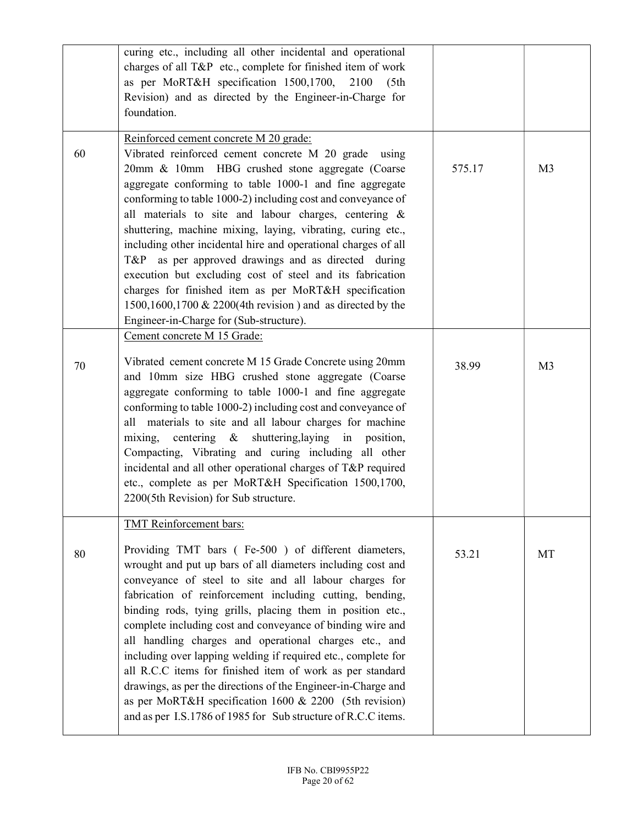|    | curing etc., including all other incidental and operational<br>charges of all T&P etc., complete for finished item of work<br>as per MoRT&H specification 1500,1700, 2100<br>(5th)<br>Revision) and as directed by the Engineer-in-Charge for<br>foundation.                                                                                                                                                                                                                                                                                                                                                                                                                                                                                                                               |        |                |
|----|--------------------------------------------------------------------------------------------------------------------------------------------------------------------------------------------------------------------------------------------------------------------------------------------------------------------------------------------------------------------------------------------------------------------------------------------------------------------------------------------------------------------------------------------------------------------------------------------------------------------------------------------------------------------------------------------------------------------------------------------------------------------------------------------|--------|----------------|
| 60 | Reinforced cement concrete M 20 grade:<br>Vibrated reinforced cement concrete M 20 grade using<br>20mm & 10mm HBG crushed stone aggregate (Coarse<br>aggregate conforming to table 1000-1 and fine aggregate<br>conforming to table 1000-2) including cost and conveyance of<br>all materials to site and labour charges, centering &<br>shuttering, machine mixing, laying, vibrating, curing etc.,<br>including other incidental hire and operational charges of all<br>T&P as per approved drawings and as directed during<br>execution but excluding cost of steel and its fabrication<br>charges for finished item as per MoRT&H specification<br>1500,1600,1700 & 2200(4th revision) and as directed by the<br>Engineer-in-Charge for (Sub-structure).                               | 575.17 | M <sub>3</sub> |
| 70 | Cement concrete M 15 Grade:<br>Vibrated cement concrete M 15 Grade Concrete using 20mm<br>and 10mm size HBG crushed stone aggregate (Coarse<br>aggregate conforming to table 1000-1 and fine aggregate<br>conforming to table 1000-2) including cost and conveyance of<br>all materials to site and all labour charges for machine<br>mixing, centering & shuttering, laying in position,<br>Compacting, Vibrating and curing including all other<br>incidental and all other operational charges of T&P required<br>etc., complete as per MoRT&H Specification 1500,1700,<br>2200(5th Revision) for Sub structure.                                                                                                                                                                        | 38.99  | M <sub>3</sub> |
| 80 | <b>TMT</b> Reinforcement bars:<br>Providing TMT bars (Fe-500) of different diameters,<br>wrought and put up bars of all diameters including cost and<br>conveyance of steel to site and all labour charges for<br>fabrication of reinforcement including cutting, bending,<br>binding rods, tying grills, placing them in position etc.,<br>complete including cost and conveyance of binding wire and<br>all handling charges and operational charges etc., and<br>including over lapping welding if required etc., complete for<br>all R.C.C items for finished item of work as per standard<br>drawings, as per the directions of the Engineer-in-Charge and<br>as per MoRT&H specification 1600 & 2200 (5th revision)<br>and as per I.S.1786 of 1985 for Sub structure of R.C.C items. | 53.21  | MT             |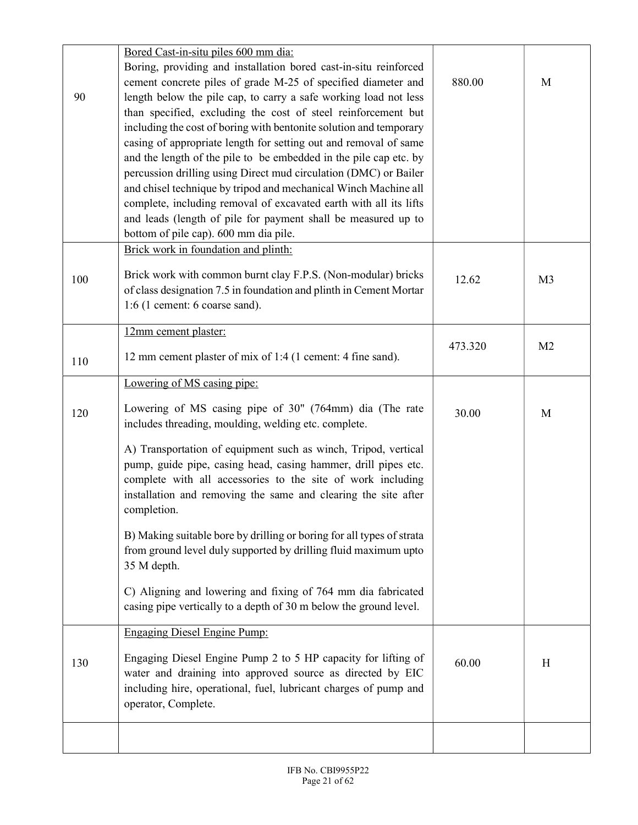|     | Bored Cast-in-situ piles 600 mm dia:                                  |         |                |
|-----|-----------------------------------------------------------------------|---------|----------------|
|     | Boring, providing and installation bored cast-in-situ reinforced      |         |                |
|     | cement concrete piles of grade M-25 of specified diameter and         | 880.00  | M              |
| 90  | length below the pile cap, to carry a safe working load not less      |         |                |
|     | than specified, excluding the cost of steel reinforcement but         |         |                |
|     | including the cost of boring with bentonite solution and temporary    |         |                |
|     | casing of appropriate length for setting out and removal of same      |         |                |
|     | and the length of the pile to be embedded in the pile cap etc. by     |         |                |
|     | percussion drilling using Direct mud circulation (DMC) or Bailer      |         |                |
|     | and chisel technique by tripod and mechanical Winch Machine all       |         |                |
|     | complete, including removal of excavated earth with all its lifts     |         |                |
|     | and leads (length of pile for payment shall be measured up to         |         |                |
|     | bottom of pile cap). 600 mm dia pile.                                 |         |                |
|     | Brick work in foundation and plinth:                                  |         |                |
| 100 | Brick work with common burnt clay F.P.S. (Non-modular) bricks         | 12.62   | M <sub>3</sub> |
|     | of class designation 7.5 in foundation and plinth in Cement Mortar    |         |                |
|     | $1:6$ (1 cement: 6 coarse sand).                                      |         |                |
|     | 12mm cement plaster:                                                  |         |                |
|     |                                                                       | 473.320 | M <sub>2</sub> |
| 110 | 12 mm cement plaster of mix of 1:4 (1 cement: 4 fine sand).           |         |                |
|     | Lowering of MS casing pipe:                                           |         |                |
| 120 | Lowering of MS casing pipe of 30" (764mm) dia (The rate               | 30.00   | M              |
|     | includes threading, moulding, welding etc. complete.                  |         |                |
|     | A) Transportation of equipment such as winch, Tripod, vertical        |         |                |
|     | pump, guide pipe, casing head, casing hammer, drill pipes etc.        |         |                |
|     | complete with all accessories to the site of work including           |         |                |
|     | installation and removing the same and clearing the site after        |         |                |
|     | completion.                                                           |         |                |
|     | B) Making suitable bore by drilling or boring for all types of strata |         |                |
|     | from ground level duly supported by drilling fluid maximum upto       |         |                |
|     | 35 M depth.                                                           |         |                |
|     |                                                                       |         |                |
|     | C) Aligning and lowering and fixing of 764 mm dia fabricated          |         |                |
|     | casing pipe vertically to a depth of 30 m below the ground level.     |         |                |
|     | <b>Engaging Diesel Engine Pump:</b>                                   |         |                |
|     | Engaging Diesel Engine Pump 2 to 5 HP capacity for lifting of         |         |                |
| 130 | water and draining into approved source as directed by EIC            | 60.00   | H              |
|     | including hire, operational, fuel, lubricant charges of pump and      |         |                |
|     | operator, Complete.                                                   |         |                |
|     |                                                                       |         |                |
|     |                                                                       |         |                |
|     |                                                                       |         |                |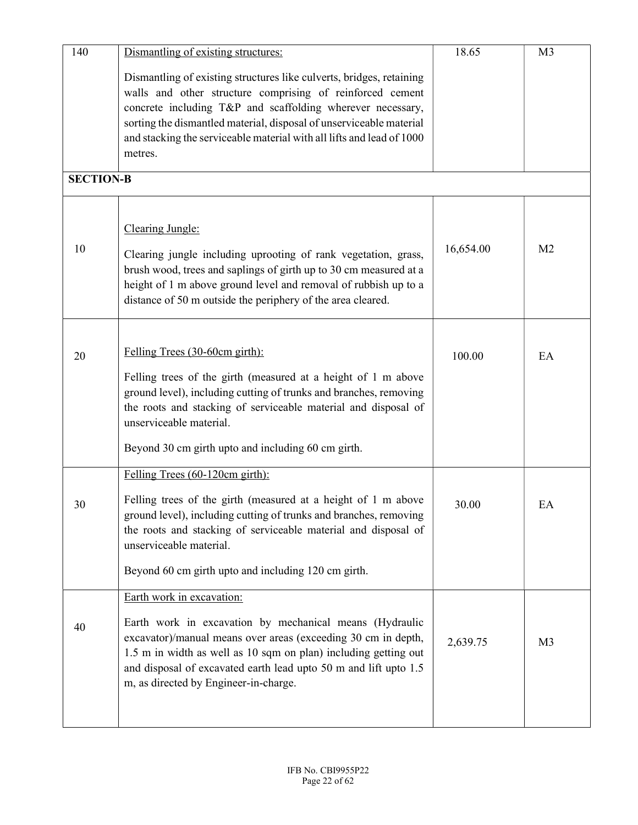| 140              | Dismantling of existing structures:                                   | 18.65     | M <sub>3</sub> |
|------------------|-----------------------------------------------------------------------|-----------|----------------|
|                  | Dismantling of existing structures like culverts, bridges, retaining  |           |                |
|                  | walls and other structure comprising of reinforced cement             |           |                |
|                  | concrete including T&P and scaffolding wherever necessary,            |           |                |
|                  | sorting the dismantled material, disposal of unserviceable material   |           |                |
|                  | and stacking the serviceable material with all lifts and lead of 1000 |           |                |
|                  | metres.                                                               |           |                |
|                  |                                                                       |           |                |
| <b>SECTION-B</b> |                                                                       |           |                |
|                  |                                                                       |           |                |
|                  | Clearing Jungle:                                                      |           |                |
| 10               |                                                                       | 16,654.00 | M <sub>2</sub> |
|                  | Clearing jungle including uprooting of rank vegetation, grass,        |           |                |
|                  | brush wood, trees and saplings of girth up to 30 cm measured at a     |           |                |
|                  | height of 1 m above ground level and removal of rubbish up to a       |           |                |
|                  | distance of 50 m outside the periphery of the area cleared.           |           |                |
|                  |                                                                       |           |                |
|                  |                                                                       |           |                |
| 20               | Felling Trees (30-60cm girth):                                        | 100.00    | EA             |
|                  | Felling trees of the girth (measured at a height of 1 m above         |           |                |
|                  | ground level), including cutting of trunks and branches, removing     |           |                |
|                  | the roots and stacking of serviceable material and disposal of        |           |                |
|                  | unserviceable material.                                               |           |                |
|                  |                                                                       |           |                |
|                  | Beyond 30 cm girth upto and including 60 cm girth.                    |           |                |
|                  | Felling Trees (60-120cm girth):                                       |           |                |
|                  | Felling trees of the girth (measured at a height of 1 m above         |           |                |
| 30               | ground level), including cutting of trunks and branches, removing     | 30.00     | EA             |
|                  | the roots and stacking of serviceable material and disposal of        |           |                |
|                  | unserviceable material.                                               |           |                |
|                  |                                                                       |           |                |
|                  | Beyond 60 cm girth upto and including 120 cm girth.                   |           |                |
|                  | Earth work in excavation:                                             |           |                |
|                  | Earth work in excavation by mechanical means (Hydraulic               |           |                |
| 40               | excavator)/manual means over areas (exceeding 30 cm in depth,         |           |                |
|                  | 1.5 m in width as well as 10 sqm on plan) including getting out       | 2,639.75  | M <sub>3</sub> |
|                  | and disposal of excavated earth lead upto 50 m and lift upto 1.5      |           |                |
|                  | m, as directed by Engineer-in-charge.                                 |           |                |
|                  |                                                                       |           |                |
|                  |                                                                       |           |                |
|                  |                                                                       |           |                |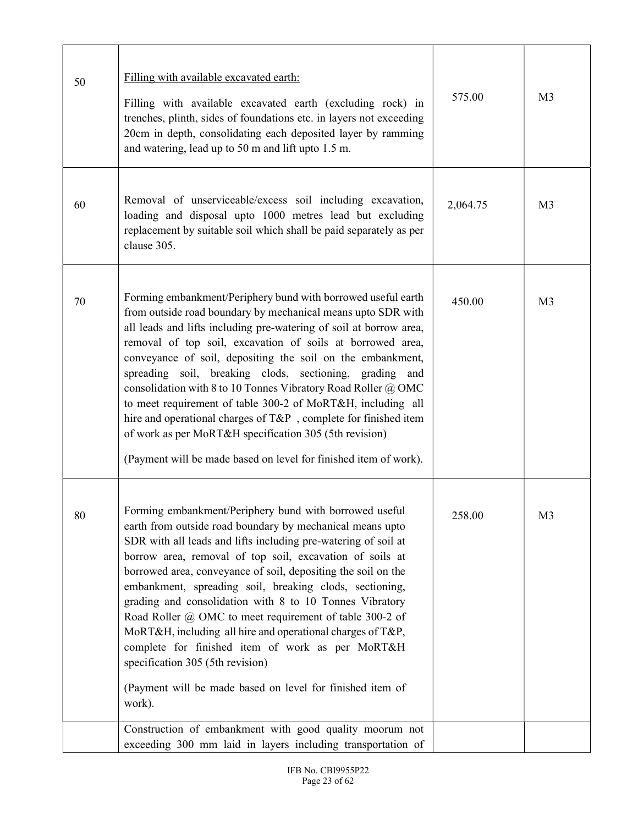| 50 | Filling with available excavated earth:<br>Filling with available excavated earth (excluding rock) in<br>trenches, plinth, sides of foundations etc. in layers not exceeding<br>20cm in depth, consolidating each deposited layer by ramming<br>and watering, lead up to 50 m and lift upto 1.5 m.                                                                                                                                                                                                                                                                                                                                                                                                                                                                                          | 575.00   | M <sub>3</sub> |
|----|---------------------------------------------------------------------------------------------------------------------------------------------------------------------------------------------------------------------------------------------------------------------------------------------------------------------------------------------------------------------------------------------------------------------------------------------------------------------------------------------------------------------------------------------------------------------------------------------------------------------------------------------------------------------------------------------------------------------------------------------------------------------------------------------|----------|----------------|
| 60 | Removal of unserviceable/excess soil including excavation,<br>loading and disposal upto 1000 metres lead but excluding<br>replacement by suitable soil which shall be paid separately as per<br>clause 305.                                                                                                                                                                                                                                                                                                                                                                                                                                                                                                                                                                                 | 2,064.75 | M <sub>3</sub> |
| 70 | Forming embankment/Periphery bund with borrowed useful earth<br>from outside road boundary by mechanical means upto SDR with<br>all leads and lifts including pre-watering of soil at borrow area,<br>removal of top soil, excavation of soils at borrowed area,<br>conveyance of soil, depositing the soil on the embankment,<br>spreading soil, breaking clods, sectioning, grading and<br>consolidation with 8 to 10 Tonnes Vibratory Road Roller @ OMC<br>to meet requirement of table 300-2 of MoRT&H, including all<br>hire and operational charges of T&P , complete for finished item<br>of work as per MoRT&H specification 305 (5th revision)<br>(Payment will be made based on level for finished item of work).                                                                 | 450.00   | M <sub>3</sub> |
| 80 | Forming embankment/Periphery bund with borrowed useful<br>earth from outside road boundary by mechanical means upto<br>SDR with all leads and lifts including pre-watering of soil at<br>borrow area, removal of top soil, excavation of soils at<br>borrowed area, conveyance of soil, depositing the soil on the<br>embankment, spreading soil, breaking clods, sectioning,<br>grading and consolidation with 8 to 10 Tonnes Vibratory<br>Road Roller @ OMC to meet requirement of table 300-2 of<br>MoRT&H, including all hire and operational charges of T&P,<br>complete for finished item of work as per MoRT&H<br>specification 305 (5th revision)<br>(Payment will be made based on level for finished item of<br>work).<br>Construction of embankment with good quality moorum not | 258.00   | M <sub>3</sub> |
|    | exceeding 300 mm laid in layers including transportation of                                                                                                                                                                                                                                                                                                                                                                                                                                                                                                                                                                                                                                                                                                                                 |          |                |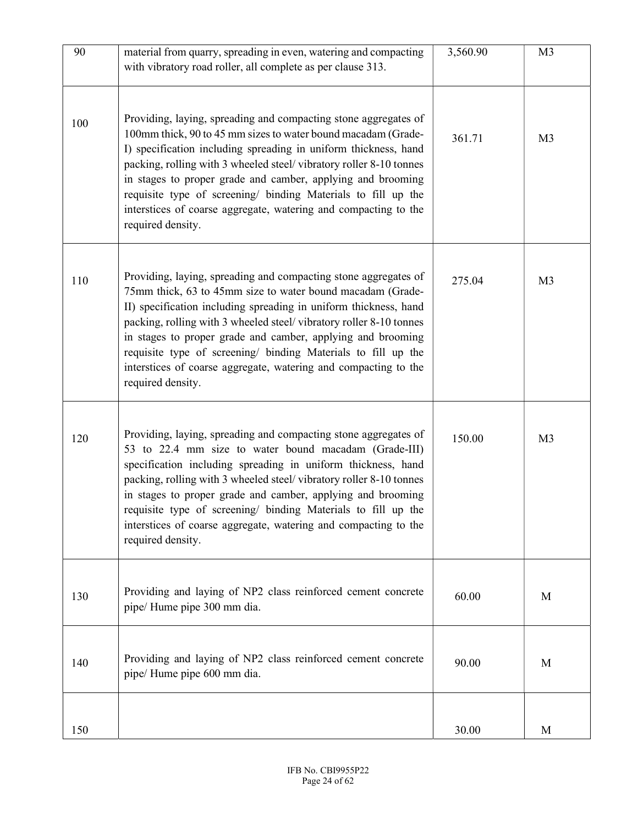| 90  | material from quarry, spreading in even, watering and compacting<br>with vibratory road roller, all complete as per clause 313.                                                                                                                                                                                                                                                                                                                                                                   | 3,560.90 | M <sub>3</sub> |
|-----|---------------------------------------------------------------------------------------------------------------------------------------------------------------------------------------------------------------------------------------------------------------------------------------------------------------------------------------------------------------------------------------------------------------------------------------------------------------------------------------------------|----------|----------------|
| 100 | Providing, laying, spreading and compacting stone aggregates of<br>100mm thick, 90 to 45 mm sizes to water bound macadam (Grade-<br>I) specification including spreading in uniform thickness, hand<br>packing, rolling with 3 wheeled steel/vibratory roller 8-10 tonnes<br>in stages to proper grade and camber, applying and brooming<br>requisite type of screening/ binding Materials to fill up the<br>interstices of coarse aggregate, watering and compacting to the<br>required density. | 361.71   | M <sub>3</sub> |
| 110 | Providing, laying, spreading and compacting stone aggregates of<br>75mm thick, 63 to 45mm size to water bound macadam (Grade-<br>II) specification including spreading in uniform thickness, hand<br>packing, rolling with 3 wheeled steel/vibratory roller 8-10 tonnes<br>in stages to proper grade and camber, applying and brooming<br>requisite type of screening/ binding Materials to fill up the<br>interstices of coarse aggregate, watering and compacting to the<br>required density.   | 275.04   | M <sub>3</sub> |
| 120 | Providing, laying, spreading and compacting stone aggregates of<br>53 to 22.4 mm size to water bound macadam (Grade-III)<br>specification including spreading in uniform thickness, hand<br>packing, rolling with 3 wheeled steel/vibratory roller 8-10 tonnes<br>in stages to proper grade and camber, applying and brooming<br>requisite type of screening/ binding Materials to fill up the<br>interstices of coarse aggregate, watering and compacting to the<br>required density.            | 150.00   | M <sub>3</sub> |
| 130 | Providing and laying of NP2 class reinforced cement concrete<br>pipe/ Hume pipe 300 mm dia.                                                                                                                                                                                                                                                                                                                                                                                                       | 60.00    | M              |
| 140 | Providing and laying of NP2 class reinforced cement concrete<br>pipe/ Hume pipe 600 mm dia.                                                                                                                                                                                                                                                                                                                                                                                                       | 90.00    | M              |
| 150 |                                                                                                                                                                                                                                                                                                                                                                                                                                                                                                   | 30.00    | M              |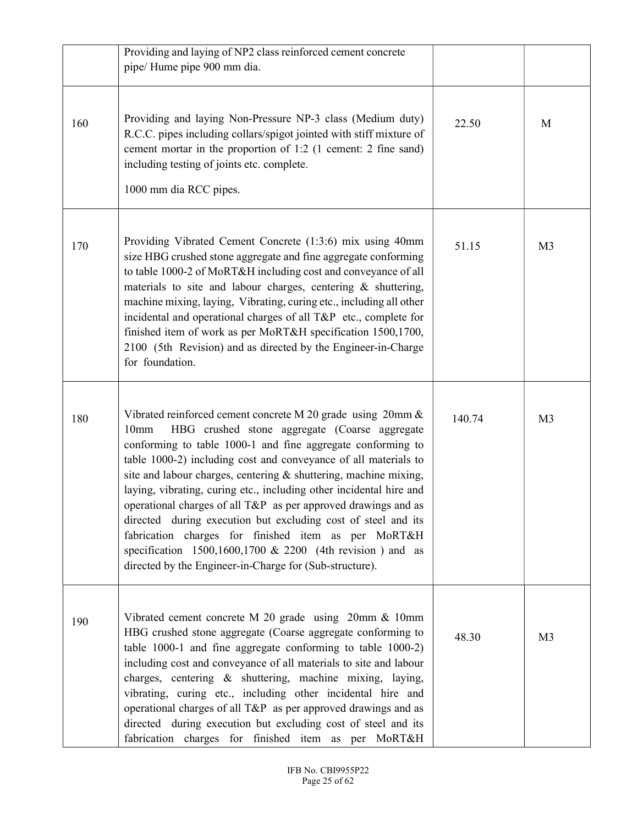|     | Providing and laying of NP2 class reinforced cement concrete<br>pipe/ Hume pipe 900 mm dia.                                                                                                                                                                                                                                                                                                                                                                                                                                                                                                                                                                                                                                         |        |                |
|-----|-------------------------------------------------------------------------------------------------------------------------------------------------------------------------------------------------------------------------------------------------------------------------------------------------------------------------------------------------------------------------------------------------------------------------------------------------------------------------------------------------------------------------------------------------------------------------------------------------------------------------------------------------------------------------------------------------------------------------------------|--------|----------------|
| 160 | Providing and laying Non-Pressure NP-3 class (Medium duty)<br>R.C.C. pipes including collars/spigot jointed with stiff mixture of<br>cement mortar in the proportion of 1:2 (1 cement: 2 fine sand)<br>including testing of joints etc. complete.<br>1000 mm dia RCC pipes.                                                                                                                                                                                                                                                                                                                                                                                                                                                         | 22.50  | M              |
| 170 | Providing Vibrated Cement Concrete (1:3:6) mix using 40mm<br>size HBG crushed stone aggregate and fine aggregate conforming<br>to table 1000-2 of MoRT&H including cost and conveyance of all<br>materials to site and labour charges, centering & shuttering,<br>machine mixing, laying, Vibrating, curing etc., including all other<br>incidental and operational charges of all T&P etc., complete for<br>finished item of work as per MoRT&H specification 1500,1700,<br>2100 (5th Revision) and as directed by the Engineer-in-Charge<br>for foundation.                                                                                                                                                                       | 51.15  | M <sub>3</sub> |
| 180 | Vibrated reinforced cement concrete M 20 grade using 20mm &<br>HBG crushed stone aggregate (Coarse aggregate<br>10 <sub>mm</sub><br>conforming to table 1000-1 and fine aggregate conforming to<br>table 1000-2) including cost and conveyance of all materials to<br>site and labour charges, centering & shuttering, machine mixing,<br>laying, vibrating, curing etc., including other incidental hire and<br>operational charges of all T&P as per approved drawings and as<br>directed during execution but excluding cost of steel and its<br>fabrication charges for finished item as per MoRT&H<br>specification $1500, 1600, 1700$ & 2200 (4th revision) and as<br>directed by the Engineer-in-Charge for (Sub-structure). | 140.74 | M <sub>3</sub> |
| 190 | Vibrated cement concrete M 20 grade using 20mm & 10mm<br>HBG crushed stone aggregate (Coarse aggregate conforming to<br>table 1000-1 and fine aggregate conforming to table 1000-2)<br>including cost and conveyance of all materials to site and labour<br>charges, centering & shuttering, machine mixing, laying,<br>vibrating, curing etc., including other incidental hire and<br>operational charges of all T&P as per approved drawings and as<br>directed during execution but excluding cost of steel and its<br>fabrication charges for finished item as per MoRT&H                                                                                                                                                       | 48.30  | M <sub>3</sub> |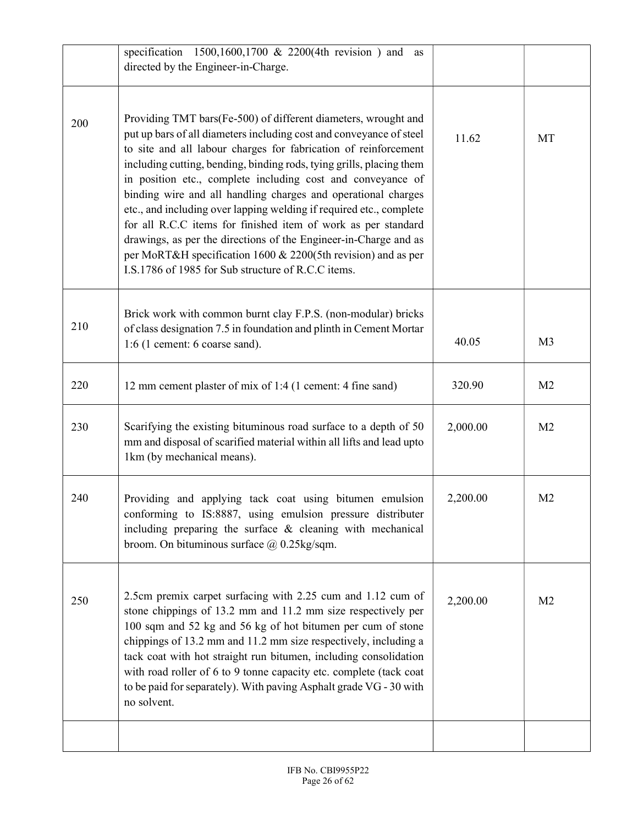| Providing TMT bars(Fe-500) of different diameters, wrought and                                                                                                                                                                                                                                                                                                                                                                                                                                                                                                                                                                                                                    |          |                |
|-----------------------------------------------------------------------------------------------------------------------------------------------------------------------------------------------------------------------------------------------------------------------------------------------------------------------------------------------------------------------------------------------------------------------------------------------------------------------------------------------------------------------------------------------------------------------------------------------------------------------------------------------------------------------------------|----------|----------------|
| put up bars of all diameters including cost and conveyance of steel<br>to site and all labour charges for fabrication of reinforcement<br>including cutting, bending, binding rods, tying grills, placing them<br>in position etc., complete including cost and conveyance of<br>binding wire and all handling charges and operational charges<br>etc., and including over lapping welding if required etc., complete<br>for all R.C.C items for finished item of work as per standard<br>drawings, as per the directions of the Engineer-in-Charge and as<br>per MoRT&H specification 1600 & 2200(5th revision) and as per<br>I.S.1786 of 1985 for Sub structure of R.C.C items. | 11.62    | MT             |
| Brick work with common burnt clay F.P.S. (non-modular) bricks<br>of class designation 7.5 in foundation and plinth in Cement Mortar<br>$1:6$ (1 cement: 6 coarse sand).                                                                                                                                                                                                                                                                                                                                                                                                                                                                                                           | 40.05    | M <sub>3</sub> |
| 12 mm cement plaster of mix of 1:4 (1 cement: 4 fine sand)                                                                                                                                                                                                                                                                                                                                                                                                                                                                                                                                                                                                                        | 320.90   | M <sub>2</sub> |
| Scarifying the existing bituminous road surface to a depth of 50<br>mm and disposal of scarified material within all lifts and lead upto<br>1km (by mechanical means).                                                                                                                                                                                                                                                                                                                                                                                                                                                                                                            | 2,000.00 | M <sub>2</sub> |
| Providing and applying tack coat using bitumen emulsion<br>conforming to IS:8887, using emulsion pressure distributer<br>including preparing the surface $&$ cleaning with mechanical<br>broom. On bituminous surface $\omega$ 0.25kg/sqm.                                                                                                                                                                                                                                                                                                                                                                                                                                        | 2,200.00 | M <sub>2</sub> |
| 2.5cm premix carpet surfacing with 2.25 cum and 1.12 cum of<br>stone chippings of 13.2 mm and 11.2 mm size respectively per<br>100 sqm and 52 kg and 56 kg of hot bitumen per cum of stone<br>chippings of 13.2 mm and 11.2 mm size respectively, including a<br>tack coat with hot straight run bitumen, including consolidation<br>with road roller of 6 to 9 tonne capacity etc. complete (tack coat<br>to be paid for separately). With paving Asphalt grade VG - 30 with<br>no solvent.                                                                                                                                                                                      | 2,200.00 | M <sub>2</sub> |
|                                                                                                                                                                                                                                                                                                                                                                                                                                                                                                                                                                                                                                                                                   |          |                |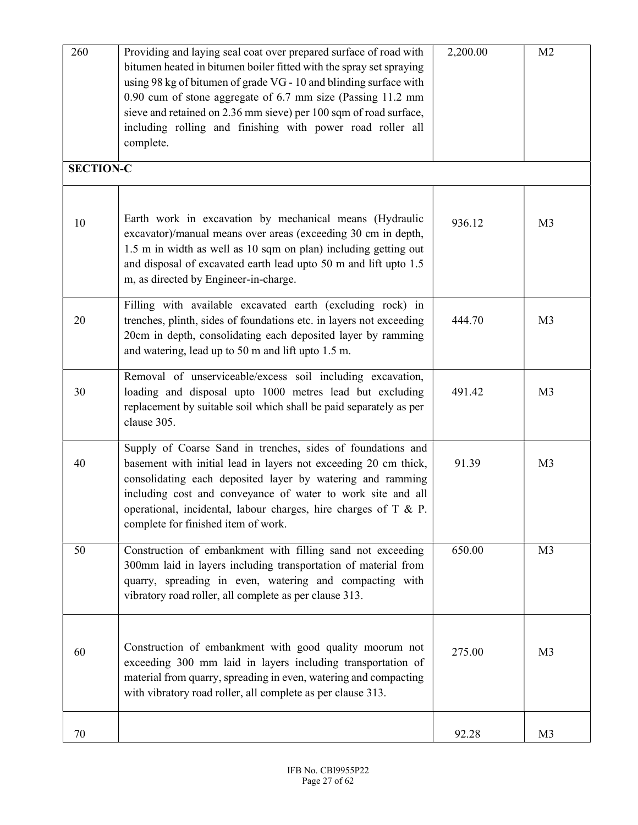| 260              | Providing and laying seal coat over prepared surface of road with<br>bitumen heated in bitumen boiler fitted with the spray set spraying<br>using 98 kg of bitumen of grade VG - 10 and blinding surface with<br>0.90 cum of stone aggregate of 6.7 mm size (Passing 11.2 mm<br>sieve and retained on 2.36 mm sieve) per 100 sqm of road surface,<br>including rolling and finishing with power road roller all<br>complete. | 2,200.00 | M <sub>2</sub> |
|------------------|------------------------------------------------------------------------------------------------------------------------------------------------------------------------------------------------------------------------------------------------------------------------------------------------------------------------------------------------------------------------------------------------------------------------------|----------|----------------|
| <b>SECTION-C</b> |                                                                                                                                                                                                                                                                                                                                                                                                                              |          |                |
| 10               | Earth work in excavation by mechanical means (Hydraulic<br>excavator)/manual means over areas (exceeding 30 cm in depth,<br>1.5 m in width as well as 10 sqm on plan) including getting out<br>and disposal of excavated earth lead upto 50 m and lift upto 1.5<br>m, as directed by Engineer-in-charge.                                                                                                                     | 936.12   | M <sub>3</sub> |
| 20               | Filling with available excavated earth (excluding rock) in<br>trenches, plinth, sides of foundations etc. in layers not exceeding<br>20cm in depth, consolidating each deposited layer by ramming<br>and watering, lead up to 50 m and lift upto 1.5 m.                                                                                                                                                                      | 444.70   | M <sub>3</sub> |
| 30               | Removal of unserviceable/excess soil including excavation,<br>loading and disposal upto 1000 metres lead but excluding<br>replacement by suitable soil which shall be paid separately as per<br>clause 305.                                                                                                                                                                                                                  | 491.42   | M <sub>3</sub> |
| 40               | Supply of Coarse Sand in trenches, sides of foundations and<br>basement with initial lead in layers not exceeding 20 cm thick,<br>consolidating each deposited layer by watering and ramming<br>including cost and conveyance of water to work site and all<br>operational, incidental, labour charges, hire charges of T & P.<br>complete for finished item of work.                                                        | 91.39    | M <sub>3</sub> |
| 50               | Construction of embankment with filling sand not exceeding<br>300mm laid in layers including transportation of material from<br>quarry, spreading in even, watering and compacting with<br>vibratory road roller, all complete as per clause 313.                                                                                                                                                                            | 650.00   | M <sub>3</sub> |
| 60               | Construction of embankment with good quality moorum not<br>exceeding 300 mm laid in layers including transportation of<br>material from quarry, spreading in even, watering and compacting<br>with vibratory road roller, all complete as per clause 313.                                                                                                                                                                    | 275.00   | M <sub>3</sub> |
| 70               |                                                                                                                                                                                                                                                                                                                                                                                                                              | 92.28    | M <sub>3</sub> |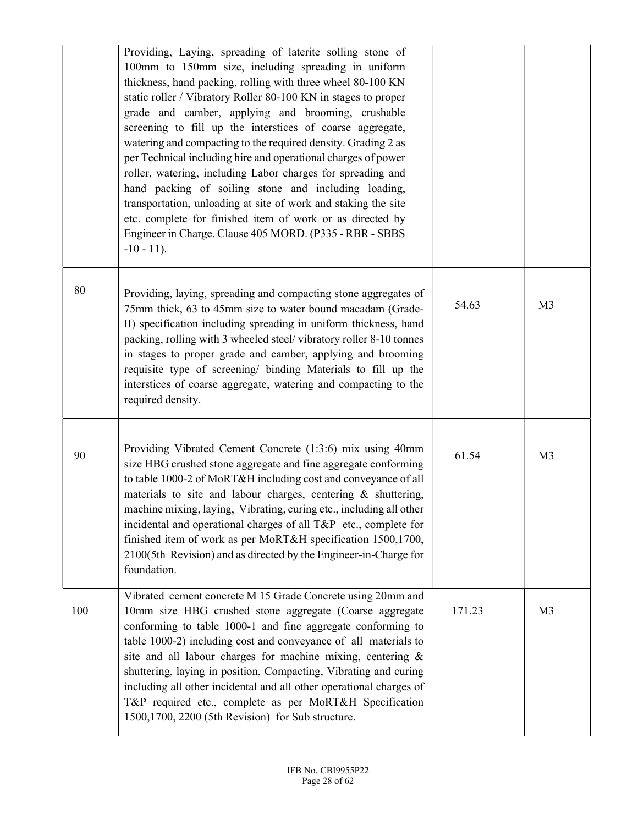|     | Providing, Laying, spreading of laterite solling stone of<br>100mm to 150mm size, including spreading in uniform<br>thickness, hand packing, rolling with three wheel 80-100 KN<br>static roller / Vibratory Roller 80-100 KN in stages to proper<br>grade and camber, applying and brooming, crushable<br>screening to fill up the interstices of coarse aggregate,<br>watering and compacting to the required density. Grading 2 as<br>per Technical including hire and operational charges of power<br>roller, watering, including Labor charges for spreading and<br>hand packing of soiling stone and including loading,<br>transportation, unloading at site of work and staking the site<br>etc. complete for finished item of work or as directed by<br>Engineer in Charge. Clause 405 MORD. (P335 - RBR - SBBS<br>$-10 - 11$ . |        |                |
|-----|-----------------------------------------------------------------------------------------------------------------------------------------------------------------------------------------------------------------------------------------------------------------------------------------------------------------------------------------------------------------------------------------------------------------------------------------------------------------------------------------------------------------------------------------------------------------------------------------------------------------------------------------------------------------------------------------------------------------------------------------------------------------------------------------------------------------------------------------|--------|----------------|
| 80  | Providing, laying, spreading and compacting stone aggregates of<br>75mm thick, 63 to 45mm size to water bound macadam (Grade-<br>II) specification including spreading in uniform thickness, hand<br>packing, rolling with 3 wheeled steel/vibratory roller 8-10 tonnes<br>in stages to proper grade and camber, applying and brooming<br>requisite type of screening/ binding Materials to fill up the<br>interstices of coarse aggregate, watering and compacting to the<br>required density.                                                                                                                                                                                                                                                                                                                                         | 54.63  | M <sub>3</sub> |
| 90  | Providing Vibrated Cement Concrete (1:3:6) mix using 40mm<br>size HBG crushed stone aggregate and fine aggregate conforming<br>to table 1000-2 of MoRT&H including cost and conveyance of all<br>materials to site and labour charges, centering & shuttering,<br>machine mixing, laying, Vibrating, curing etc., including all other<br>incidental and operational charges of all T&P etc., complete for<br>finished item of work as per MoRT&H specification 1500,1700,<br>2100(5th Revision) and as directed by the Engineer-in-Charge for<br>foundation.                                                                                                                                                                                                                                                                            | 61.54  | M <sub>3</sub> |
| 100 | Vibrated cement concrete M 15 Grade Concrete using 20mm and<br>10mm size HBG crushed stone aggregate (Coarse aggregate<br>conforming to table 1000-1 and fine aggregate conforming to<br>table 1000-2) including cost and conveyance of all materials to<br>site and all labour charges for machine mixing, centering &<br>shuttering, laying in position, Compacting, Vibrating and curing<br>including all other incidental and all other operational charges of<br>T&P required etc., complete as per MoRT&H Specification<br>1500,1700, 2200 (5th Revision) for Sub structure.                                                                                                                                                                                                                                                      | 171.23 | M <sub>3</sub> |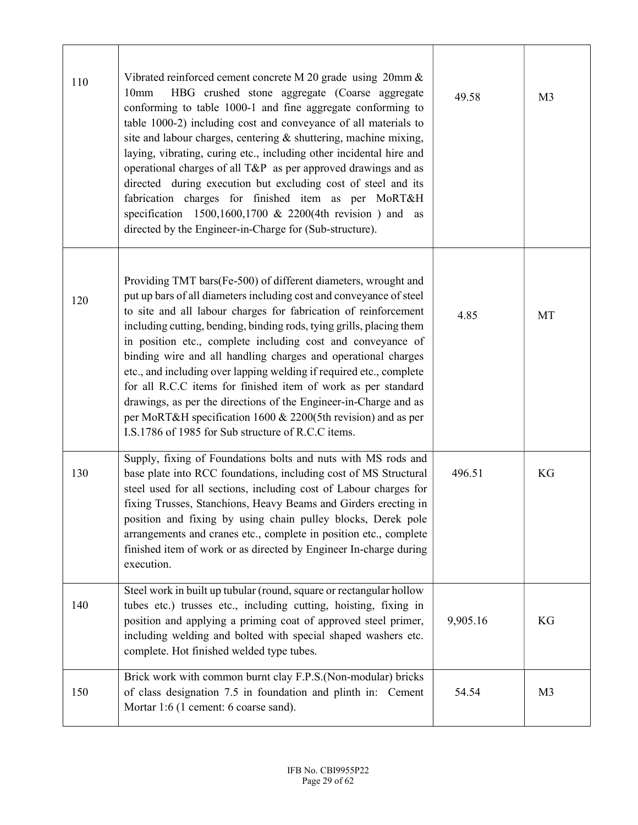| 110 | Vibrated reinforced cement concrete M 20 grade using 20mm &<br>HBG crushed stone aggregate (Coarse aggregate<br>10mm<br>conforming to table 1000-1 and fine aggregate conforming to<br>table 1000-2) including cost and conveyance of all materials to<br>site and labour charges, centering & shuttering, machine mixing,<br>laying, vibrating, curing etc., including other incidental hire and<br>operational charges of all T&P as per approved drawings and as<br>directed during execution but excluding cost of steel and its<br>fabrication charges for finished item as per MoRT&H<br>specification $1500, 1600, 1700$ & 2200(4th revision) and as<br>directed by the Engineer-in-Charge for (Sub-structure).                              | 49.58    | M <sub>3</sub> |
|-----|-----------------------------------------------------------------------------------------------------------------------------------------------------------------------------------------------------------------------------------------------------------------------------------------------------------------------------------------------------------------------------------------------------------------------------------------------------------------------------------------------------------------------------------------------------------------------------------------------------------------------------------------------------------------------------------------------------------------------------------------------------|----------|----------------|
| 120 | Providing TMT bars(Fe-500) of different diameters, wrought and<br>put up bars of all diameters including cost and conveyance of steel<br>to site and all labour charges for fabrication of reinforcement<br>including cutting, bending, binding rods, tying grills, placing them<br>in position etc., complete including cost and conveyance of<br>binding wire and all handling charges and operational charges<br>etc., and including over lapping welding if required etc., complete<br>for all R.C.C items for finished item of work as per standard<br>drawings, as per the directions of the Engineer-in-Charge and as<br>per MoRT&H specification 1600 & 2200(5th revision) and as per<br>I.S.1786 of 1985 for Sub structure of R.C.C items. | 4.85     | MT             |
| 130 | Supply, fixing of Foundations bolts and nuts with MS rods and<br>base plate into RCC foundations, including cost of MS Structural<br>steel used for all sections, including cost of Labour charges for<br>fixing Trusses, Stanchions, Heavy Beams and Girders erecting in<br>position and fixing by using chain pulley blocks, Derek pole<br>arrangements and cranes etc., complete in position etc., complete<br>finished item of work or as directed by Engineer In-charge during<br>execution.                                                                                                                                                                                                                                                   | 496.51   | KG             |
| 140 | Steel work in built up tubular (round, square or rectangular hollow<br>tubes etc.) trusses etc., including cutting, hoisting, fixing in<br>position and applying a priming coat of approved steel primer,<br>including welding and bolted with special shaped washers etc.<br>complete. Hot finished welded type tubes.                                                                                                                                                                                                                                                                                                                                                                                                                             | 9,905.16 | KG             |
| 150 | Brick work with common burnt clay F.P.S.(Non-modular) bricks<br>of class designation 7.5 in foundation and plinth in: Cement<br>Mortar 1:6 (1 cement: 6 coarse sand).                                                                                                                                                                                                                                                                                                                                                                                                                                                                                                                                                                               | 54.54    | M <sub>3</sub> |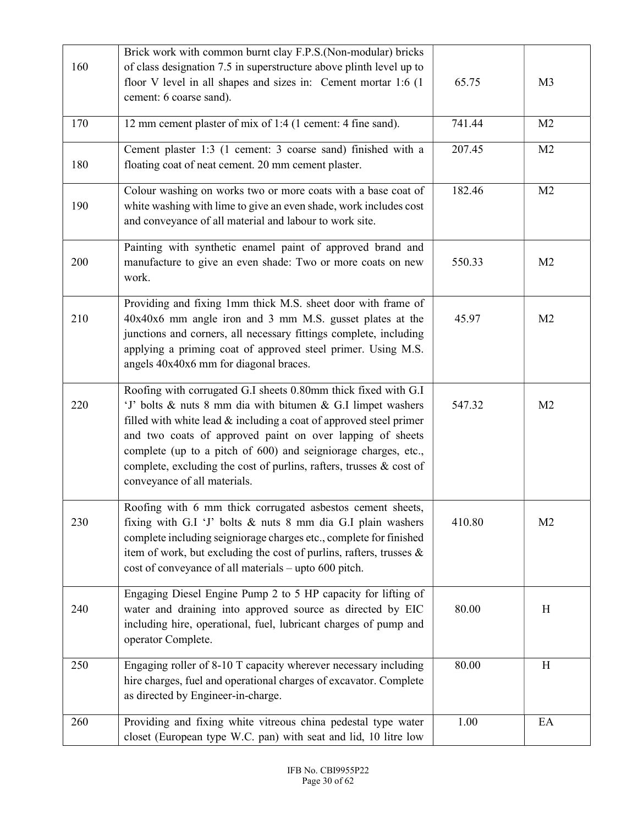|     | Brick work with common burnt clay F.P.S.(Non-modular) bricks                                                                        |        |                |
|-----|-------------------------------------------------------------------------------------------------------------------------------------|--------|----------------|
| 160 | of class designation 7.5 in superstructure above plinth level up to                                                                 |        |                |
|     | floor V level in all shapes and sizes in: Cement mortar 1:6 (1)                                                                     | 65.75  | M <sub>3</sub> |
|     | cement: 6 coarse sand).                                                                                                             |        |                |
| 170 | 12 mm cement plaster of mix of 1:4 (1 cement: 4 fine sand).                                                                         | 741.44 | M <sub>2</sub> |
|     | Cement plaster 1:3 (1 cement: 3 coarse sand) finished with a                                                                        | 207.45 | M <sub>2</sub> |
| 180 | floating coat of neat cement. 20 mm cement plaster.                                                                                 |        |                |
| 190 | Colour washing on works two or more coats with a base coat of                                                                       | 182.46 | M <sub>2</sub> |
|     | white washing with lime to give an even shade, work includes cost<br>and conveyance of all material and labour to work site.        |        |                |
|     | Painting with synthetic enamel paint of approved brand and                                                                          |        |                |
| 200 | manufacture to give an even shade: Two or more coats on new<br>work.                                                                | 550.33 | M <sub>2</sub> |
|     | Providing and fixing 1mm thick M.S. sheet door with frame of                                                                        |        |                |
| 210 | 40x40x6 mm angle iron and 3 mm M.S. gusset plates at the<br>junctions and corners, all necessary fittings complete, including       | 45.97  | M <sub>2</sub> |
|     | applying a priming coat of approved steel primer. Using M.S.                                                                        |        |                |
|     | angels 40x40x6 mm for diagonal braces.                                                                                              |        |                |
|     | Roofing with corrugated G.I sheets 0.80mm thick fixed with G.I                                                                      |        |                |
| 220 | 'J' bolts & nuts 8 mm dia with bitumen & G.I limpet washers<br>filled with white lead $&$ including a coat of approved steel primer | 547.32 | M <sub>2</sub> |
|     | and two coats of approved paint on over lapping of sheets                                                                           |        |                |
|     | complete (up to a pitch of 600) and seigniorage charges, etc.,                                                                      |        |                |
|     | complete, excluding the cost of purlins, rafters, trusses & cost of                                                                 |        |                |
|     | conveyance of all materials.                                                                                                        |        |                |
|     | Roofing with 6 mm thick corrugated asbestos cement sheets,                                                                          |        |                |
| 230 | fixing with G.I 'J' bolts & nuts 8 mm dia G.I plain washers<br>complete including seigniorage charges etc., complete for finished   | 410.80 | M <sub>2</sub> |
|     | item of work, but excluding the cost of purlins, rafters, trusses &                                                                 |        |                |
|     | cost of conveyance of all materials - upto 600 pitch.                                                                               |        |                |
|     | Engaging Diesel Engine Pump 2 to 5 HP capacity for lifting of                                                                       |        |                |
| 240 | water and draining into approved source as directed by EIC<br>including hire, operational, fuel, lubricant charges of pump and      | 80.00  | H              |
|     | operator Complete.                                                                                                                  |        |                |
| 250 | Engaging roller of 8-10 T capacity wherever necessary including                                                                     | 80.00  | H              |
|     | hire charges, fuel and operational charges of excavator. Complete                                                                   |        |                |
|     | as directed by Engineer-in-charge.                                                                                                  |        |                |
| 260 | Providing and fixing white vitreous china pedestal type water                                                                       | 1.00   | EA             |
|     | closet (European type W.C. pan) with seat and lid, 10 litre low                                                                     |        |                |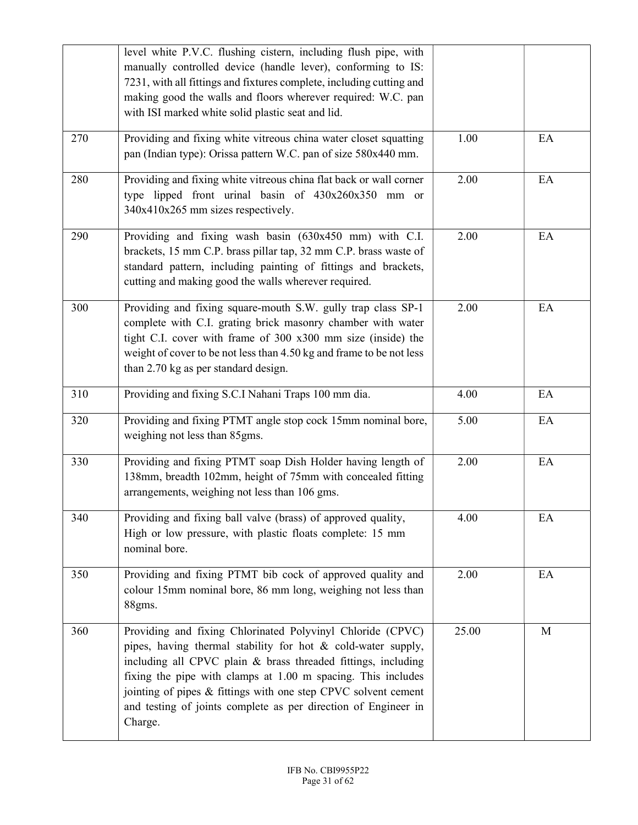|     | level white P.V.C. flushing cistern, including flush pipe, with<br>manually controlled device (handle lever), conforming to IS:<br>7231, with all fittings and fixtures complete, including cutting and<br>making good the walls and floors wherever required: W.C. pan<br>with ISI marked white solid plastic seat and lid.                                                                               |       |    |
|-----|------------------------------------------------------------------------------------------------------------------------------------------------------------------------------------------------------------------------------------------------------------------------------------------------------------------------------------------------------------------------------------------------------------|-------|----|
| 270 | Providing and fixing white vitreous china water closet squatting<br>pan (Indian type): Orissa pattern W.C. pan of size 580x440 mm.                                                                                                                                                                                                                                                                         | 1.00  | EA |
| 280 | Providing and fixing white vitreous china flat back or wall corner<br>type lipped front urinal basin of 430x260x350 mm or<br>340x410x265 mm sizes respectively.                                                                                                                                                                                                                                            | 2.00  | EA |
| 290 | Providing and fixing wash basin (630x450 mm) with C.I.<br>brackets, 15 mm C.P. brass pillar tap, 32 mm C.P. brass waste of<br>standard pattern, including painting of fittings and brackets,<br>cutting and making good the walls wherever required.                                                                                                                                                       | 2.00  | EA |
| 300 | Providing and fixing square-mouth S.W. gully trap class SP-1<br>complete with C.I. grating brick masonry chamber with water<br>tight C.I. cover with frame of 300 x300 mm size (inside) the<br>weight of cover to be not less than 4.50 kg and frame to be not less<br>than 2.70 kg as per standard design.                                                                                                | 2.00  | EA |
| 310 | Providing and fixing S.C.I Nahani Traps 100 mm dia.                                                                                                                                                                                                                                                                                                                                                        | 4.00  | EA |
| 320 | Providing and fixing PTMT angle stop cock 15mm nominal bore,<br>weighing not less than 85gms.                                                                                                                                                                                                                                                                                                              | 5.00  | EA |
| 330 | Providing and fixing PTMT soap Dish Holder having length of<br>138mm, breadth 102mm, height of 75mm with concealed fitting<br>arrangements, weighing not less than 106 gms.                                                                                                                                                                                                                                | 2.00  | EA |
| 340 | Providing and fixing ball valve (brass) of approved quality,<br>High or low pressure, with plastic floats complete: 15 mm<br>nominal bore.                                                                                                                                                                                                                                                                 | 4.00  | EA |
| 350 | Providing and fixing PTMT bib cock of approved quality and<br>colour 15mm nominal bore, 86 mm long, weighing not less than<br>88gms.                                                                                                                                                                                                                                                                       | 2.00  | EA |
| 360 | Providing and fixing Chlorinated Polyvinyl Chloride (CPVC)<br>pipes, having thermal stability for hot & cold-water supply,<br>including all CPVC plain & brass threaded fittings, including<br>fixing the pipe with clamps at 1.00 m spacing. This includes<br>jointing of pipes & fittings with one step CPVC solvent cement<br>and testing of joints complete as per direction of Engineer in<br>Charge. | 25.00 | M  |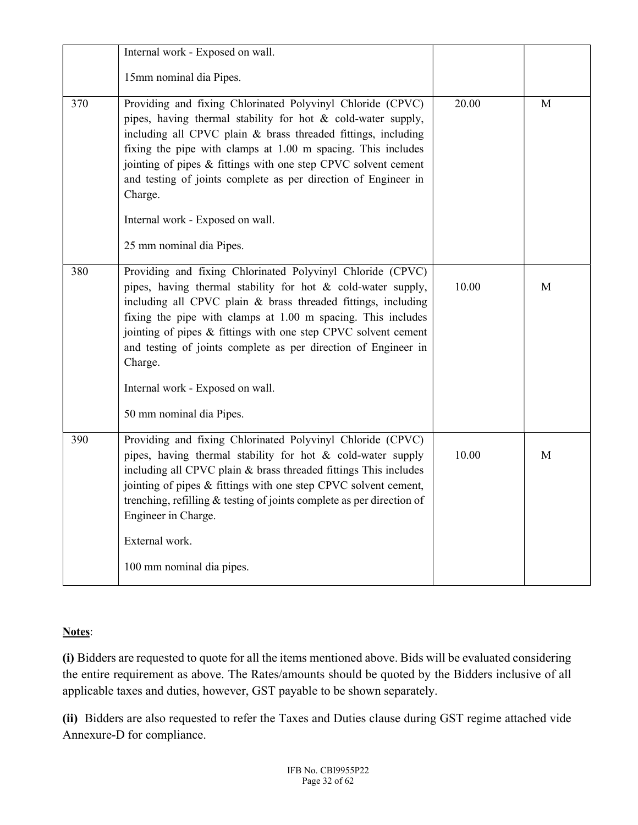|     | Internal work - Exposed on wall.                                                                                                                                                                                                                                                                                                                                                                           |       |   |
|-----|------------------------------------------------------------------------------------------------------------------------------------------------------------------------------------------------------------------------------------------------------------------------------------------------------------------------------------------------------------------------------------------------------------|-------|---|
|     | 15mm nominal dia Pipes.                                                                                                                                                                                                                                                                                                                                                                                    |       |   |
| 370 | Providing and fixing Chlorinated Polyvinyl Chloride (CPVC)<br>pipes, having thermal stability for hot & cold-water supply,<br>including all CPVC plain & brass threaded fittings, including<br>fixing the pipe with clamps at 1.00 m spacing. This includes<br>jointing of pipes & fittings with one step CPVC solvent cement<br>and testing of joints complete as per direction of Engineer in<br>Charge. | 20.00 | M |
|     | Internal work - Exposed on wall.                                                                                                                                                                                                                                                                                                                                                                           |       |   |
|     | 25 mm nominal dia Pipes.                                                                                                                                                                                                                                                                                                                                                                                   |       |   |
| 380 | Providing and fixing Chlorinated Polyvinyl Chloride (CPVC)<br>pipes, having thermal stability for hot & cold-water supply,<br>including all CPVC plain & brass threaded fittings, including<br>fixing the pipe with clamps at 1.00 m spacing. This includes<br>jointing of pipes & fittings with one step CPVC solvent cement<br>and testing of joints complete as per direction of Engineer in<br>Charge. | 10.00 | M |
|     | Internal work - Exposed on wall.                                                                                                                                                                                                                                                                                                                                                                           |       |   |
|     | 50 mm nominal dia Pipes.                                                                                                                                                                                                                                                                                                                                                                                   |       |   |
| 390 | Providing and fixing Chlorinated Polyvinyl Chloride (CPVC)<br>pipes, having thermal stability for hot & cold-water supply<br>including all CPVC plain & brass threaded fittings This includes<br>jointing of pipes & fittings with one step CPVC solvent cement,<br>trenching, refilling $&$ testing of joints complete as per direction of<br>Engineer in Charge.                                         | 10.00 | M |
|     | External work.                                                                                                                                                                                                                                                                                                                                                                                             |       |   |
|     | 100 mm nominal dia pipes.                                                                                                                                                                                                                                                                                                                                                                                  |       |   |

#### Notes:

(i) Bidders are requested to quote for all the items mentioned above. Bids will be evaluated considering the entire requirement as above. The Rates/amounts should be quoted by the Bidders inclusive of all applicable taxes and duties, however, GST payable to be shown separately.

(ii) Bidders are also requested to refer the Taxes and Duties clause during GST regime attached vide Annexure-D for compliance.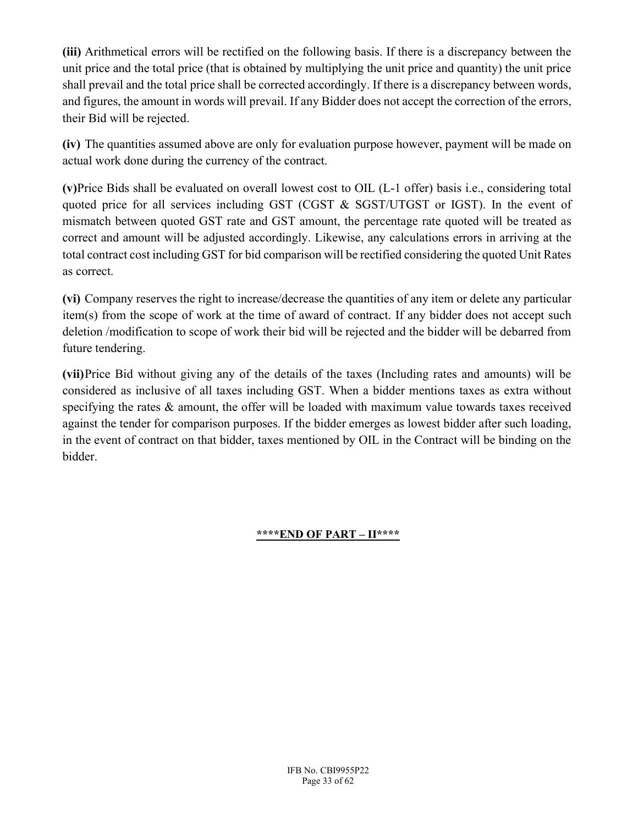(iii) Arithmetical errors will be rectified on the following basis. If there is a discrepancy between the unit price and the total price (that is obtained by multiplying the unit price and quantity) the unit price shall prevail and the total price shall be corrected accordingly. If there is a discrepancy between words, and figures, the amount in words will prevail. If any Bidder does not accept the correction of the errors, their Bid will be rejected.

(iv) The quantities assumed above are only for evaluation purpose however, payment will be made on actual work done during the currency of the contract.

(v)Price Bids shall be evaluated on overall lowest cost to OIL (L-1 offer) basis i.e., considering total quoted price for all services including GST (CGST & SGST/UTGST or IGST). In the event of mismatch between quoted GST rate and GST amount, the percentage rate quoted will be treated as correct and amount will be adjusted accordingly. Likewise, any calculations errors in arriving at the total contract cost including GST for bid comparison will be rectified considering the quoted Unit Rates as correct.

(vi) Company reserves the right to increase/decrease the quantities of any item or delete any particular item(s) from the scope of work at the time of award of contract. If any bidder does not accept such deletion /modification to scope of work their bid will be rejected and the bidder will be debarred from future tendering.

(vii)Price Bid without giving any of the details of the taxes (Including rates and amounts) will be considered as inclusive of all taxes including GST. When a bidder mentions taxes as extra without specifying the rates & amount, the offer will be loaded with maximum value towards taxes received against the tender for comparison purposes. If the bidder emerges as lowest bidder after such loading, in the event of contract on that bidder, taxes mentioned by OIL in the Contract will be binding on the bidder.

#### \*\*\*\*END OF PART – II\*\*\*\*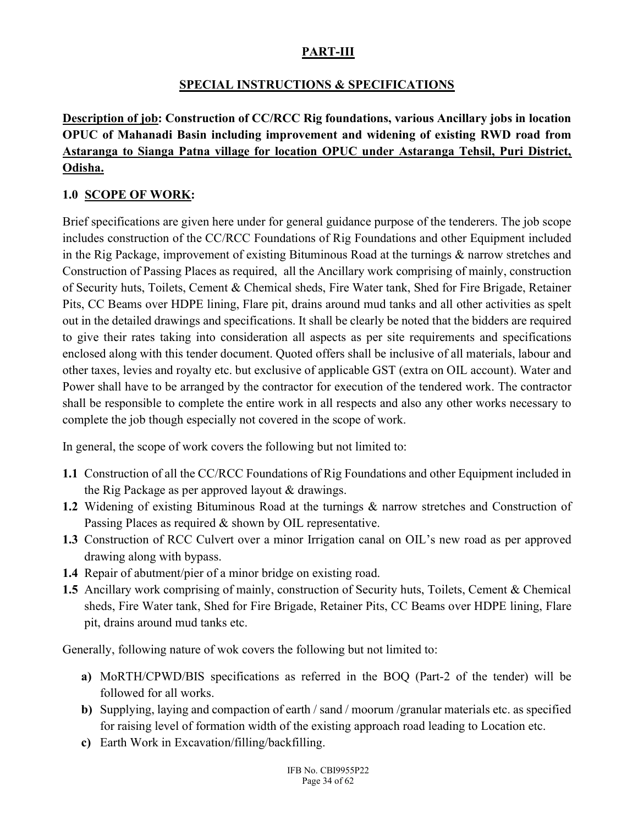### PART-III

### SPECIAL INSTRUCTIONS & SPECIFICATIONS

# Description of job: Construction of CC/RCC Rig foundations, various Ancillary jobs in location OPUC of Mahanadi Basin including improvement and widening of existing RWD road from Astaranga to Sianga Patna village for location OPUC under Astaranga Tehsil, Puri District, Odisha.

### 1.0 SCOPE OF WORK:

Brief specifications are given here under for general guidance purpose of the tenderers. The job scope includes construction of the CC/RCC Foundations of Rig Foundations and other Equipment included in the Rig Package, improvement of existing Bituminous Road at the turnings & narrow stretches and Construction of Passing Places as required, all the Ancillary work comprising of mainly, construction of Security huts, Toilets, Cement & Chemical sheds, Fire Water tank, Shed for Fire Brigade, Retainer Pits, CC Beams over HDPE lining, Flare pit, drains around mud tanks and all other activities as spelt out in the detailed drawings and specifications. It shall be clearly be noted that the bidders are required to give their rates taking into consideration all aspects as per site requirements and specifications enclosed along with this tender document. Quoted offers shall be inclusive of all materials, labour and other taxes, levies and royalty etc. but exclusive of applicable GST (extra on OIL account). Water and Power shall have to be arranged by the contractor for execution of the tendered work. The contractor shall be responsible to complete the entire work in all respects and also any other works necessary to complete the job though especially not covered in the scope of work.

In general, the scope of work covers the following but not limited to:

- 1.1 Construction of all the CC/RCC Foundations of Rig Foundations and other Equipment included in the Rig Package as per approved layout & drawings.
- 1.2 Widening of existing Bituminous Road at the turnings & narrow stretches and Construction of Passing Places as required & shown by OIL representative.
- 1.3 Construction of RCC Culvert over a minor Irrigation canal on OIL's new road as per approved drawing along with bypass.
- 1.4 Repair of abutment/pier of a minor bridge on existing road.
- 1.5 Ancillary work comprising of mainly, construction of Security huts, Toilets, Cement & Chemical sheds, Fire Water tank, Shed for Fire Brigade, Retainer Pits, CC Beams over HDPE lining, Flare pit, drains around mud tanks etc.

Generally, following nature of wok covers the following but not limited to:

- a) MoRTH/CPWD/BIS specifications as referred in the BOQ (Part-2 of the tender) will be followed for all works.
- b) Supplying, laying and compaction of earth / sand / moorum /granular materials etc. as specified for raising level of formation width of the existing approach road leading to Location etc.
- c) Earth Work in Excavation/filling/backfilling.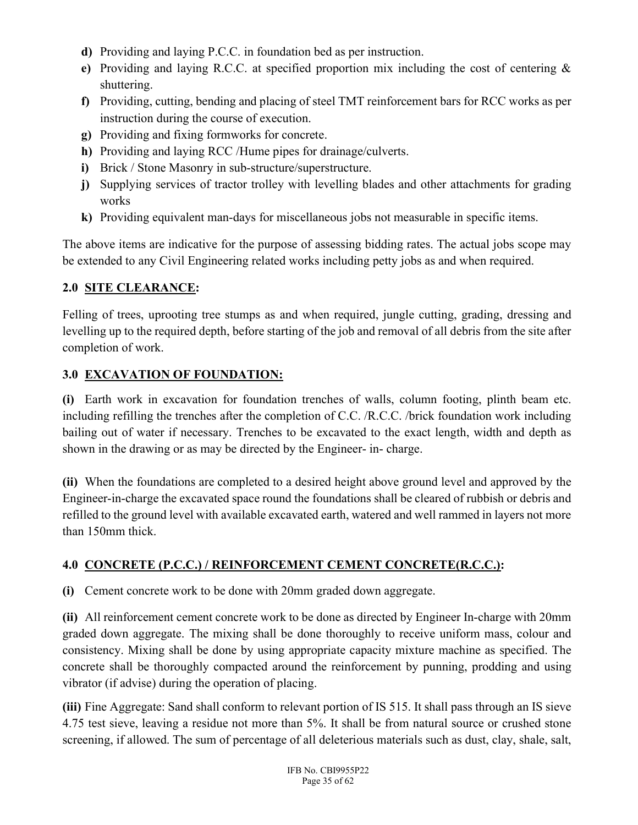- d) Providing and laying P.C.C. in foundation bed as per instruction.
- e) Providing and laying R.C.C. at specified proportion mix including the cost of centering & shuttering.
- f) Providing, cutting, bending and placing of steel TMT reinforcement bars for RCC works as per instruction during the course of execution.
- g) Providing and fixing formworks for concrete.
- h) Providing and laying RCC /Hume pipes for drainage/culverts.
- i) Brick / Stone Masonry in sub-structure/superstructure.
- j) Supplying services of tractor trolley with levelling blades and other attachments for grading works
- k) Providing equivalent man-days for miscellaneous jobs not measurable in specific items.

The above items are indicative for the purpose of assessing bidding rates. The actual jobs scope may be extended to any Civil Engineering related works including petty jobs as and when required.

# 2.0 SITE CLEARANCE:

Felling of trees, uprooting tree stumps as and when required, jungle cutting, grading, dressing and levelling up to the required depth, before starting of the job and removal of all debris from the site after completion of work.

# 3.0 EXCAVATION OF FOUNDATION:

(i) Earth work in excavation for foundation trenches of walls, column footing, plinth beam etc. including refilling the trenches after the completion of C.C. /R.C.C. /brick foundation work including bailing out of water if necessary. Trenches to be excavated to the exact length, width and depth as shown in the drawing or as may be directed by the Engineer- in- charge.

(ii) When the foundations are completed to a desired height above ground level and approved by the Engineer-in-charge the excavated space round the foundations shall be cleared of rubbish or debris and refilled to the ground level with available excavated earth, watered and well rammed in layers not more than 150mm thick.

# 4.0 CONCRETE (P.C.C.) / REINFORCEMENT CEMENT CONCRETE(R.C.C.):

(i) Cement concrete work to be done with 20mm graded down aggregate.

(ii) All reinforcement cement concrete work to be done as directed by Engineer In-charge with 20mm graded down aggregate. The mixing shall be done thoroughly to receive uniform mass, colour and consistency. Mixing shall be done by using appropriate capacity mixture machine as specified. The concrete shall be thoroughly compacted around the reinforcement by punning, prodding and using vibrator (if advise) during the operation of placing.

(iii) Fine Aggregate: Sand shall conform to relevant portion of IS 515. It shall pass through an IS sieve 4.75 test sieve, leaving a residue not more than 5%. It shall be from natural source or crushed stone screening, if allowed. The sum of percentage of all deleterious materials such as dust, clay, shale, salt,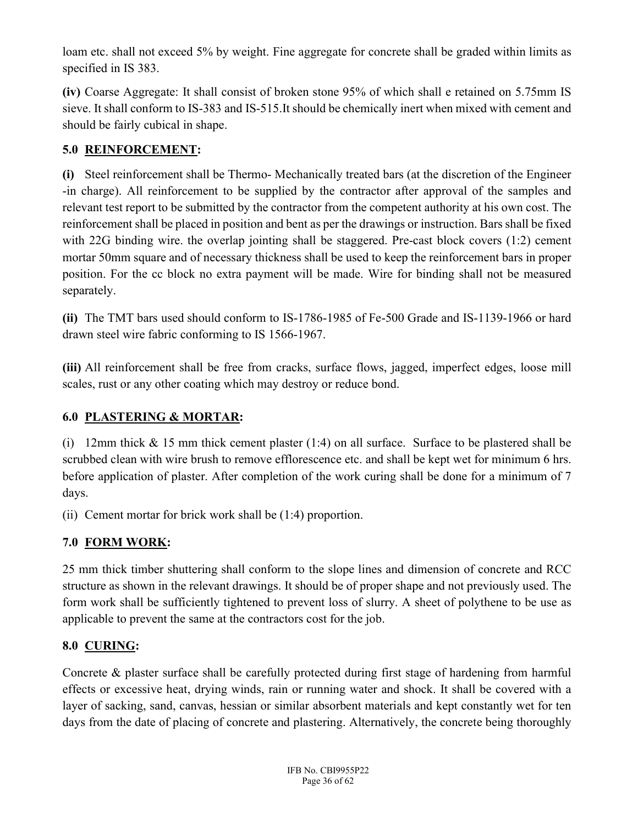loam etc. shall not exceed 5% by weight. Fine aggregate for concrete shall be graded within limits as specified in IS 383.

(iv) Coarse Aggregate: It shall consist of broken stone 95% of which shall e retained on 5.75mm IS sieve. It shall conform to IS-383 and IS-515.It should be chemically inert when mixed with cement and should be fairly cubical in shape.

# 5.0 REINFORCEMENT:

(i) Steel reinforcement shall be Thermo- Mechanically treated bars (at the discretion of the Engineer -in charge). All reinforcement to be supplied by the contractor after approval of the samples and relevant test report to be submitted by the contractor from the competent authority at his own cost. The reinforcement shall be placed in position and bent as per the drawings or instruction. Bars shall be fixed with 22G binding wire. the overlap jointing shall be staggered. Pre-cast block covers (1:2) cement mortar 50mm square and of necessary thickness shall be used to keep the reinforcement bars in proper position. For the cc block no extra payment will be made. Wire for binding shall not be measured separately.

(ii) The TMT bars used should conform to IS-1786-1985 of Fe-500 Grade and IS-1139-1966 or hard drawn steel wire fabric conforming to IS 1566-1967.

(iii) All reinforcement shall be free from cracks, surface flows, jagged, imperfect edges, loose mill scales, rust or any other coating which may destroy or reduce bond.

## 6.0 PLASTERING & MORTAR:

(i) 12mm thick & 15 mm thick cement plaster (1:4) on all surface. Surface to be plastered shall be scrubbed clean with wire brush to remove efflorescence etc. and shall be kept wet for minimum 6 hrs. before application of plaster. After completion of the work curing shall be done for a minimum of 7 days.

(ii) Cement mortar for brick work shall be (1:4) proportion.

# 7.0 FORM WORK:

25 mm thick timber shuttering shall conform to the slope lines and dimension of concrete and RCC structure as shown in the relevant drawings. It should be of proper shape and not previously used. The form work shall be sufficiently tightened to prevent loss of slurry. A sheet of polythene to be use as applicable to prevent the same at the contractors cost for the job.

## 8.0 CURING:

Concrete & plaster surface shall be carefully protected during first stage of hardening from harmful effects or excessive heat, drying winds, rain or running water and shock. It shall be covered with a layer of sacking, sand, canvas, hessian or similar absorbent materials and kept constantly wet for ten days from the date of placing of concrete and plastering. Alternatively, the concrete being thoroughly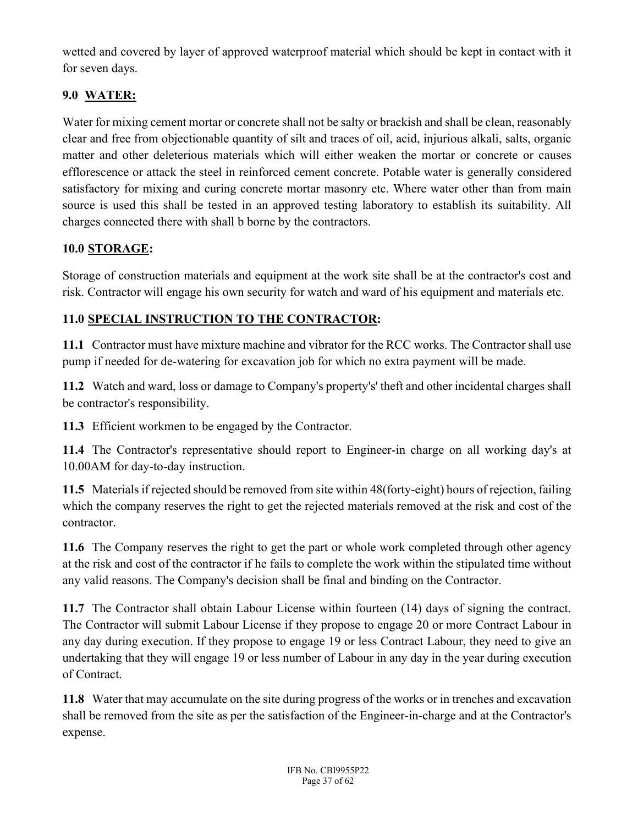wetted and covered by layer of approved waterproof material which should be kept in contact with it for seven days.

# 9.0 WATER:

Water for mixing cement mortar or concrete shall not be salty or brackish and shall be clean, reasonably clear and free from objectionable quantity of silt and traces of oil, acid, injurious alkali, salts, organic matter and other deleterious materials which will either weaken the mortar or concrete or causes efflorescence or attack the steel in reinforced cement concrete. Potable water is generally considered satisfactory for mixing and curing concrete mortar masonry etc. Where water other than from main source is used this shall be tested in an approved testing laboratory to establish its suitability. All charges connected there with shall b borne by the contractors.

# 10.0 STORAGE:

Storage of construction materials and equipment at the work site shall be at the contractor's cost and risk. Contractor will engage his own security for watch and ward of his equipment and materials etc.

# 11.0 SPECIAL INSTRUCTION TO THE CONTRACTOR:

11.1 Contractor must have mixture machine and vibrator for the RCC works. The Contractor shall use pump if needed for de-watering for excavation job for which no extra payment will be made.

11.2 Watch and ward, loss or damage to Company's property's' theft and other incidental charges shall be contractor's responsibility.

11.3 Efficient workmen to be engaged by the Contractor.

11.4 The Contractor's representative should report to Engineer-in charge on all working day's at 10.00AM for day-to-day instruction.

11.5 Materials if rejected should be removed from site within 48(forty-eight) hours of rejection, failing which the company reserves the right to get the rejected materials removed at the risk and cost of the contractor.

11.6 The Company reserves the right to get the part or whole work completed through other agency at the risk and cost of the contractor if he fails to complete the work within the stipulated time without any valid reasons. The Company's decision shall be final and binding on the Contractor.

11.7 The Contractor shall obtain Labour License within fourteen (14) days of signing the contract. The Contractor will submit Labour License if they propose to engage 20 or more Contract Labour in any day during execution. If they propose to engage 19 or less Contract Labour, they need to give an undertaking that they will engage 19 or less number of Labour in any day in the year during execution of Contract.

11.8 Water that may accumulate on the site during progress of the works or in trenches and excavation shall be removed from the site as per the satisfaction of the Engineer-in-charge and at the Contractor's expense.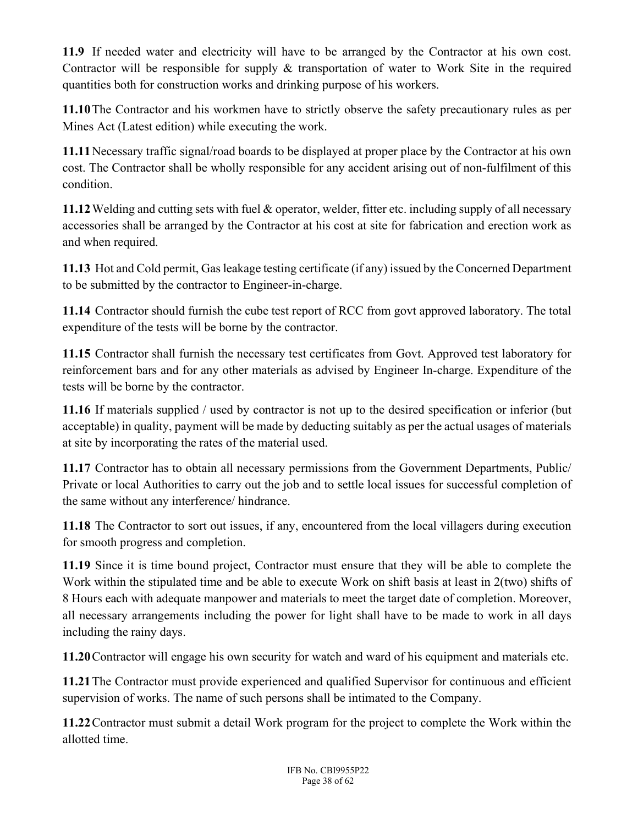11.9 If needed water and electricity will have to be arranged by the Contractor at his own cost. Contractor will be responsible for supply & transportation of water to Work Site in the required quantities both for construction works and drinking purpose of his workers.

11.10The Contractor and his workmen have to strictly observe the safety precautionary rules as per Mines Act (Latest edition) while executing the work.

11.11Necessary traffic signal/road boards to be displayed at proper place by the Contractor at his own cost. The Contractor shall be wholly responsible for any accident arising out of non-fulfilment of this condition.

11.12Welding and cutting sets with fuel & operator, welder, fitter etc. including supply of all necessary accessories shall be arranged by the Contractor at his cost at site for fabrication and erection work as and when required.

11.13 Hot and Cold permit, Gas leakage testing certificate (if any) issued by the Concerned Department to be submitted by the contractor to Engineer-in-charge.

11.14 Contractor should furnish the cube test report of RCC from govt approved laboratory. The total expenditure of the tests will be borne by the contractor.

11.15 Contractor shall furnish the necessary test certificates from Govt. Approved test laboratory for reinforcement bars and for any other materials as advised by Engineer In-charge. Expenditure of the tests will be borne by the contractor.

11.16 If materials supplied / used by contractor is not up to the desired specification or inferior (but acceptable) in quality, payment will be made by deducting suitably as per the actual usages of materials at site by incorporating the rates of the material used.

11.17 Contractor has to obtain all necessary permissions from the Government Departments, Public/ Private or local Authorities to carry out the job and to settle local issues for successful completion of the same without any interference/ hindrance.

11.18 The Contractor to sort out issues, if any, encountered from the local villagers during execution for smooth progress and completion.

11.19 Since it is time bound project, Contractor must ensure that they will be able to complete the Work within the stipulated time and be able to execute Work on shift basis at least in 2(two) shifts of 8 Hours each with adequate manpower and materials to meet the target date of completion. Moreover, all necessary arrangements including the power for light shall have to be made to work in all days including the rainy days.

11.20Contractor will engage his own security for watch and ward of his equipment and materials etc.

11.21The Contractor must provide experienced and qualified Supervisor for continuous and efficient supervision of works. The name of such persons shall be intimated to the Company.

11.22Contractor must submit a detail Work program for the project to complete the Work within the allotted time.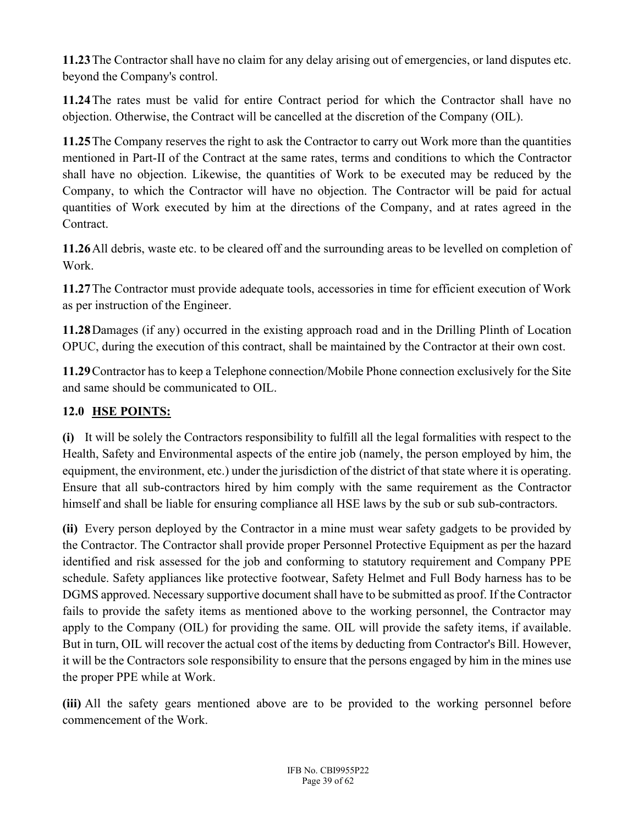11.23The Contractor shall have no claim for any delay arising out of emergencies, or land disputes etc. beyond the Company's control.

11.24The rates must be valid for entire Contract period for which the Contractor shall have no objection. Otherwise, the Contract will be cancelled at the discretion of the Company (OIL).

11.25The Company reserves the right to ask the Contractor to carry out Work more than the quantities mentioned in Part-II of the Contract at the same rates, terms and conditions to which the Contractor shall have no objection. Likewise, the quantities of Work to be executed may be reduced by the Company, to which the Contractor will have no objection. The Contractor will be paid for actual quantities of Work executed by him at the directions of the Company, and at rates agreed in the Contract.

11.26All debris, waste etc. to be cleared off and the surrounding areas to be levelled on completion of Work.

11.27The Contractor must provide adequate tools, accessories in time for efficient execution of Work as per instruction of the Engineer.

11.28Damages (if any) occurred in the existing approach road and in the Drilling Plinth of Location OPUC, during the execution of this contract, shall be maintained by the Contractor at their own cost.

11.29Contractor has to keep a Telephone connection/Mobile Phone connection exclusively for the Site and same should be communicated to OIL.

## 12.0 HSE POINTS:

(i) It will be solely the Contractors responsibility to fulfill all the legal formalities with respect to the Health, Safety and Environmental aspects of the entire job (namely, the person employed by him, the equipment, the environment, etc.) under the jurisdiction of the district of that state where it is operating. Ensure that all sub-contractors hired by him comply with the same requirement as the Contractor himself and shall be liable for ensuring compliance all HSE laws by the sub or sub sub-contractors.

(ii) Every person deployed by the Contractor in a mine must wear safety gadgets to be provided by the Contractor. The Contractor shall provide proper Personnel Protective Equipment as per the hazard identified and risk assessed for the job and conforming to statutory requirement and Company PPE schedule. Safety appliances like protective footwear, Safety Helmet and Full Body harness has to be DGMS approved. Necessary supportive document shall have to be submitted as proof. If the Contractor fails to provide the safety items as mentioned above to the working personnel, the Contractor may apply to the Company (OIL) for providing the same. OIL will provide the safety items, if available. But in turn, OIL will recover the actual cost of the items by deducting from Contractor's Bill. However, it will be the Contractors sole responsibility to ensure that the persons engaged by him in the mines use the proper PPE while at Work.

(iii) All the safety gears mentioned above are to be provided to the working personnel before commencement of the Work.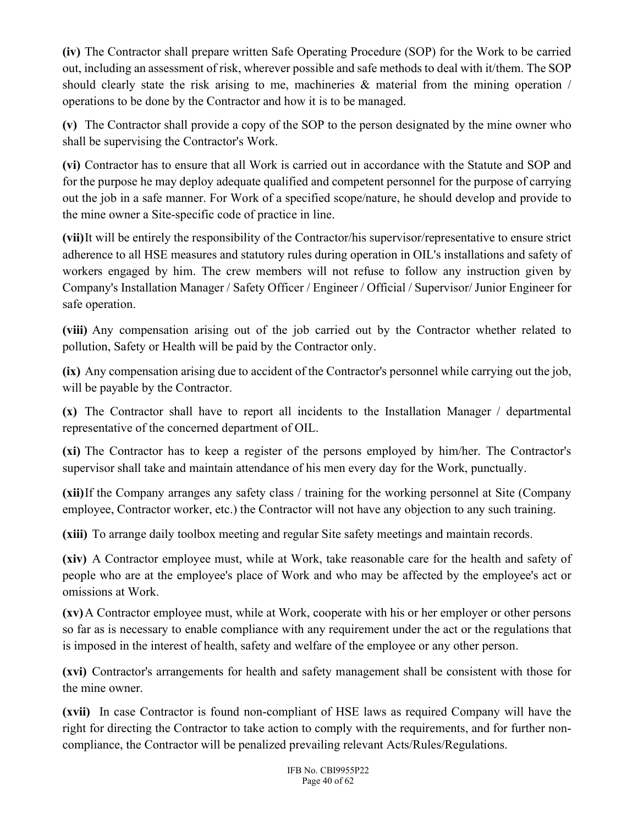(iv) The Contractor shall prepare written Safe Operating Procedure (SOP) for the Work to be carried out, including an assessment of risk, wherever possible and safe methods to deal with it/them. The SOP should clearly state the risk arising to me, machineries  $\&$  material from the mining operation / operations to be done by the Contractor and how it is to be managed.

(v) The Contractor shall provide a copy of the SOP to the person designated by the mine owner who shall be supervising the Contractor's Work.

(vi) Contractor has to ensure that all Work is carried out in accordance with the Statute and SOP and for the purpose he may deploy adequate qualified and competent personnel for the purpose of carrying out the job in a safe manner. For Work of a specified scope/nature, he should develop and provide to the mine owner a Site-specific code of practice in line.

(vii)It will be entirely the responsibility of the Contractor/his supervisor/representative to ensure strict adherence to all HSE measures and statutory rules during operation in OIL's installations and safety of workers engaged by him. The crew members will not refuse to follow any instruction given by Company's Installation Manager / Safety Officer / Engineer / Official / Supervisor/ Junior Engineer for safe operation.

(viii) Any compensation arising out of the job carried out by the Contractor whether related to pollution, Safety or Health will be paid by the Contractor only.

(ix) Any compensation arising due to accident of the Contractor's personnel while carrying out the job, will be payable by the Contractor.

(x) The Contractor shall have to report all incidents to the Installation Manager / departmental representative of the concerned department of OIL.

(xi) The Contractor has to keep a register of the persons employed by him/her. The Contractor's supervisor shall take and maintain attendance of his men every day for the Work, punctually.

(xii)If the Company arranges any safety class / training for the working personnel at Site (Company employee, Contractor worker, etc.) the Contractor will not have any objection to any such training.

(xiii) To arrange daily toolbox meeting and regular Site safety meetings and maintain records.

(xiv) A Contractor employee must, while at Work, take reasonable care for the health and safety of people who are at the employee's place of Work and who may be affected by the employee's act or omissions at Work.

(xv)A Contractor employee must, while at Work, cooperate with his or her employer or other persons so far as is necessary to enable compliance with any requirement under the act or the regulations that is imposed in the interest of health, safety and welfare of the employee or any other person.

(xvi) Contractor's arrangements for health and safety management shall be consistent with those for the mine owner.

(xvii) In case Contractor is found non-compliant of HSE laws as required Company will have the right for directing the Contractor to take action to comply with the requirements, and for further noncompliance, the Contractor will be penalized prevailing relevant Acts/Rules/Regulations.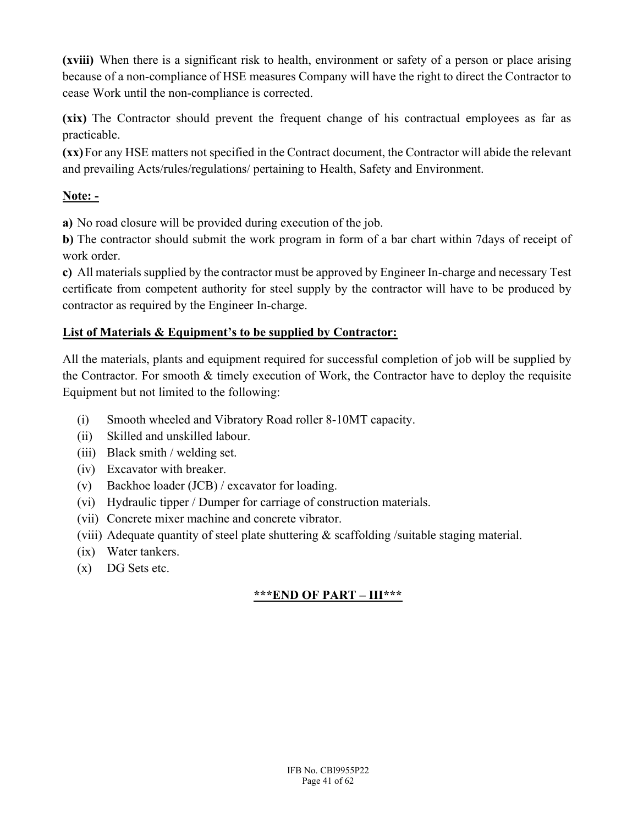(xviii) When there is a significant risk to health, environment or safety of a person or place arising because of a non-compliance of HSE measures Company will have the right to direct the Contractor to cease Work until the non-compliance is corrected.

(xix) The Contractor should prevent the frequent change of his contractual employees as far as practicable.

(xx)For any HSE matters not specified in the Contract document, the Contractor will abide the relevant and prevailing Acts/rules/regulations/ pertaining to Health, Safety and Environment.

# Note: -

a) No road closure will be provided during execution of the job.

b) The contractor should submit the work program in form of a bar chart within 7days of receipt of work order.

c) All materials supplied by the contractor must be approved by Engineer In-charge and necessary Test certificate from competent authority for steel supply by the contractor will have to be produced by contractor as required by the Engineer In-charge.

## List of Materials & Equipment's to be supplied by Contractor:

All the materials, plants and equipment required for successful completion of job will be supplied by the Contractor. For smooth & timely execution of Work, the Contractor have to deploy the requisite Equipment but not limited to the following:

- (i) Smooth wheeled and Vibratory Road roller 8-10MT capacity.
- (ii) Skilled and unskilled labour.
- (iii) Black smith / welding set.
- (iv) Excavator with breaker.
- (v) Backhoe loader (JCB) / excavator for loading.
- (vi) Hydraulic tipper / Dumper for carriage of construction materials.
- (vii) Concrete mixer machine and concrete vibrator.
- (viii) Adequate quantity of steel plate shuttering  $\&$  scaffolding /suitable staging material.
- (ix) Water tankers.
- (x) DG Sets etc.

# \*\*\*END OF PART – III\*\*\*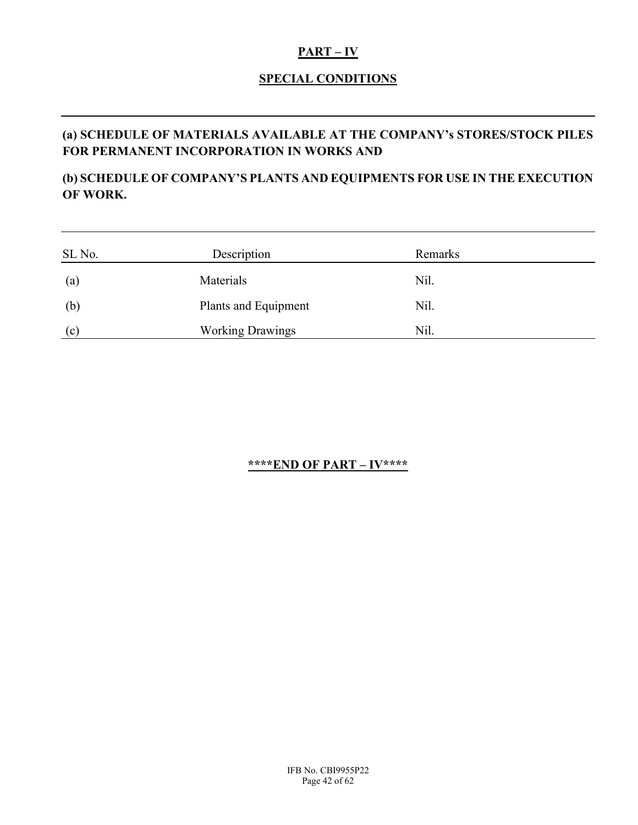#### PART – IV

### SPECIAL CONDITIONS

# (a) SCHEDULE OF MATERIALS AVAILABLE AT THE COMPANY's STORES/STOCK PILES FOR PERMANENT INCORPORATION IN WORKS AND

## (b) SCHEDULE OF COMPANY'S PLANTS AND EQUIPMENTS FOR USE IN THE EXECUTION OF WORK.

| SL No.            | Description             | Remarks |  |
|-------------------|-------------------------|---------|--|
|                   |                         |         |  |
| $\left( a\right)$ | Materials               | Nil.    |  |
| (b)               | Plants and Equipment    | Nil.    |  |
| (c)               | <b>Working Drawings</b> | Nil.    |  |

## \*\*\*\*END OF PART – IV\*\*\*\*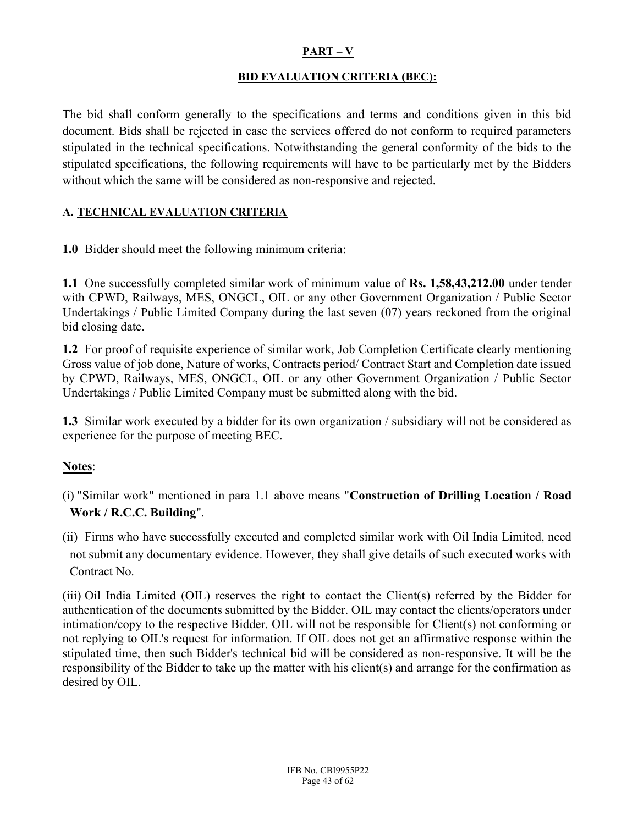#### $PART - V$

#### BID EVALUATION CRITERIA (BEC):

The bid shall conform generally to the specifications and terms and conditions given in this bid document. Bids shall be rejected in case the services offered do not conform to required parameters stipulated in the technical specifications. Notwithstanding the general conformity of the bids to the stipulated specifications, the following requirements will have to be particularly met by the Bidders without which the same will be considered as non-responsive and rejected.

#### A. TECHNICAL EVALUATION CRITERIA

1.0 Bidder should meet the following minimum criteria:

1.1 One successfully completed similar work of minimum value of Rs. 1,58,43,212.00 under tender with CPWD, Railways, MES, ONGCL, OIL or any other Government Organization / Public Sector Undertakings / Public Limited Company during the last seven (07) years reckoned from the original bid closing date.

1.2 For proof of requisite experience of similar work, Job Completion Certificate clearly mentioning Gross value of job done, Nature of works, Contracts period/ Contract Start and Completion date issued by CPWD, Railways, MES, ONGCL, OIL or any other Government Organization / Public Sector Undertakings / Public Limited Company must be submitted along with the bid.

1.3 Similar work executed by a bidder for its own organization / subsidiary will not be considered as experience for the purpose of meeting BEC.

#### Notes:

- (i) "Similar work" mentioned in para 1.1 above means "Construction of Drilling Location / Road Work / R.C.C. Building".
- (ii) Firms who have successfully executed and completed similar work with Oil India Limited, need not submit any documentary evidence. However, they shall give details of such executed works with Contract No.

(iii) Oil India Limited (OIL) reserves the right to contact the Client(s) referred by the Bidder for authentication of the documents submitted by the Bidder. OIL may contact the clients/operators under intimation/copy to the respective Bidder. OIL will not be responsible for Client(s) not conforming or not replying to OIL's request for information. If OIL does not get an affirmative response within the stipulated time, then such Bidder's technical bid will be considered as non-responsive. It will be the responsibility of the Bidder to take up the matter with his client(s) and arrange for the confirmation as desired by OIL.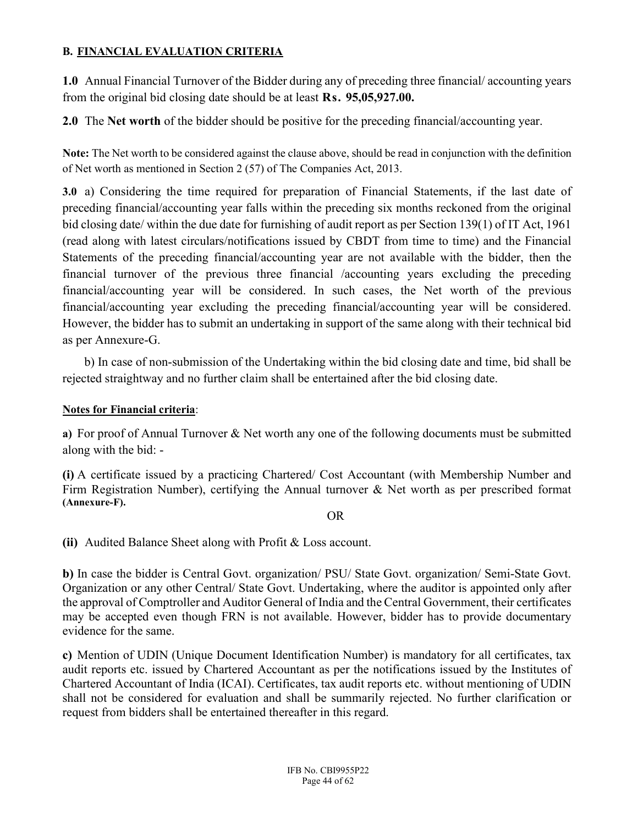#### B. FINANCIAL EVALUATION CRITERIA

1.0 Annual Financial Turnover of the Bidder during any of preceding three financial/ accounting years from the original bid closing date should be at least Rs. 95,05,927.00.

2.0 The Net worth of the bidder should be positive for the preceding financial/accounting year.

Note: The Net worth to be considered against the clause above, should be read in conjunction with the definition of Net worth as mentioned in Section 2 (57) of The Companies Act, 2013.

3.0 a) Considering the time required for preparation of Financial Statements, if the last date of preceding financial/accounting year falls within the preceding six months reckoned from the original bid closing date/ within the due date for furnishing of audit report as per Section 139(1) of IT Act, 1961 (read along with latest circulars/notifications issued by CBDT from time to time) and the Financial Statements of the preceding financial/accounting year are not available with the bidder, then the financial turnover of the previous three financial /accounting years excluding the preceding financial/accounting year will be considered. In such cases, the Net worth of the previous financial/accounting year excluding the preceding financial/accounting year will be considered. However, the bidder has to submit an undertaking in support of the same along with their technical bid as per Annexure-G.

 b) In case of non-submission of the Undertaking within the bid closing date and time, bid shall be rejected straightway and no further claim shall be entertained after the bid closing date.

#### Notes for Financial criteria:

a) For proof of Annual Turnover & Net worth any one of the following documents must be submitted along with the bid: -

(i) A certificate issued by a practicing Chartered/ Cost Accountant (with Membership Number and Firm Registration Number), certifying the Annual turnover & Net worth as per prescribed format (Annexure-F).

OR

(ii) Audited Balance Sheet along with Profit & Loss account.

b) In case the bidder is Central Govt. organization/ PSU/ State Govt. organization/ Semi-State Govt. Organization or any other Central/ State Govt. Undertaking, where the auditor is appointed only after the approval of Comptroller and Auditor General of India and the Central Government, their certificates may be accepted even though FRN is not available. However, bidder has to provide documentary evidence for the same.

c) Mention of UDIN (Unique Document Identification Number) is mandatory for all certificates, tax audit reports etc. issued by Chartered Accountant as per the notifications issued by the Institutes of Chartered Accountant of India (ICAI). Certificates, tax audit reports etc. without mentioning of UDIN shall not be considered for evaluation and shall be summarily rejected. No further clarification or request from bidders shall be entertained thereafter in this regard.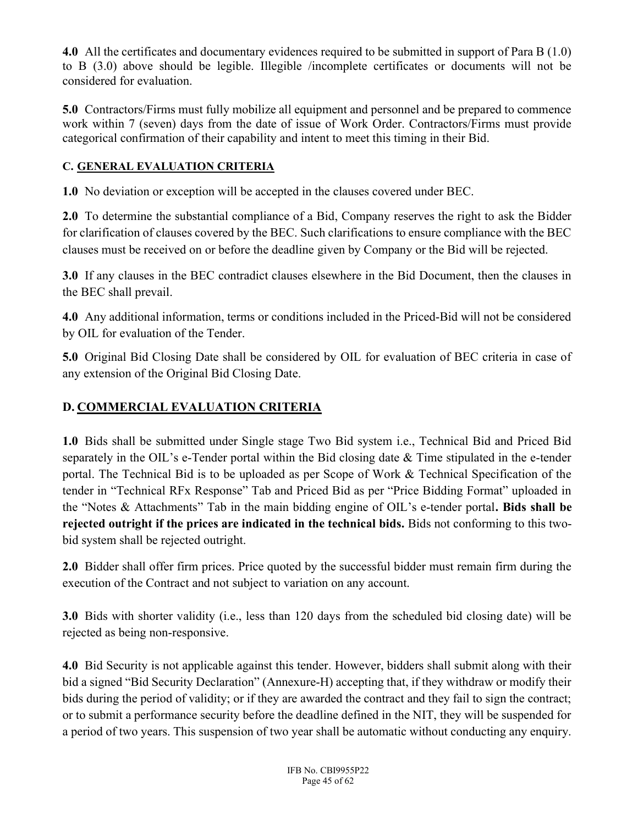4.0 All the certificates and documentary evidences required to be submitted in support of Para B (1.0) to B (3.0) above should be legible. Illegible /incomplete certificates or documents will not be considered for evaluation.

5.0 Contractors/Firms must fully mobilize all equipment and personnel and be prepared to commence work within 7 (seven) days from the date of issue of Work Order. Contractors/Firms must provide categorical confirmation of their capability and intent to meet this timing in their Bid.

# C. GENERAL EVALUATION CRITERIA

1.0 No deviation or exception will be accepted in the clauses covered under BEC.

2.0 To determine the substantial compliance of a Bid, Company reserves the right to ask the Bidder for clarification of clauses covered by the BEC. Such clarifications to ensure compliance with the BEC clauses must be received on or before the deadline given by Company or the Bid will be rejected.

3.0 If any clauses in the BEC contradict clauses elsewhere in the Bid Document, then the clauses in the BEC shall prevail.

4.0 Any additional information, terms or conditions included in the Priced-Bid will not be considered by OIL for evaluation of the Tender.

5.0 Original Bid Closing Date shall be considered by OIL for evaluation of BEC criteria in case of any extension of the Original Bid Closing Date.

# D. COMMERCIAL EVALUATION CRITERIA

1.0 Bids shall be submitted under Single stage Two Bid system i.e., Technical Bid and Priced Bid separately in the OIL's e-Tender portal within the Bid closing date & Time stipulated in the e-tender portal. The Technical Bid is to be uploaded as per Scope of Work & Technical Specification of the tender in "Technical RFx Response" Tab and Priced Bid as per "Price Bidding Format" uploaded in the "Notes & Attachments" Tab in the main bidding engine of OIL's e-tender portal. Bids shall be rejected outright if the prices are indicated in the technical bids. Bids not conforming to this twobid system shall be rejected outright.

2.0 Bidder shall offer firm prices. Price quoted by the successful bidder must remain firm during the execution of the Contract and not subject to variation on any account.

3.0 Bids with shorter validity (i.e., less than 120 days from the scheduled bid closing date) will be rejected as being non-responsive.

4.0 Bid Security is not applicable against this tender. However, bidders shall submit along with their bid a signed "Bid Security Declaration" (Annexure-H) accepting that, if they withdraw or modify their bids during the period of validity; or if they are awarded the contract and they fail to sign the contract; or to submit a performance security before the deadline defined in the NIT, they will be suspended for a period of two years. This suspension of two year shall be automatic without conducting any enquiry.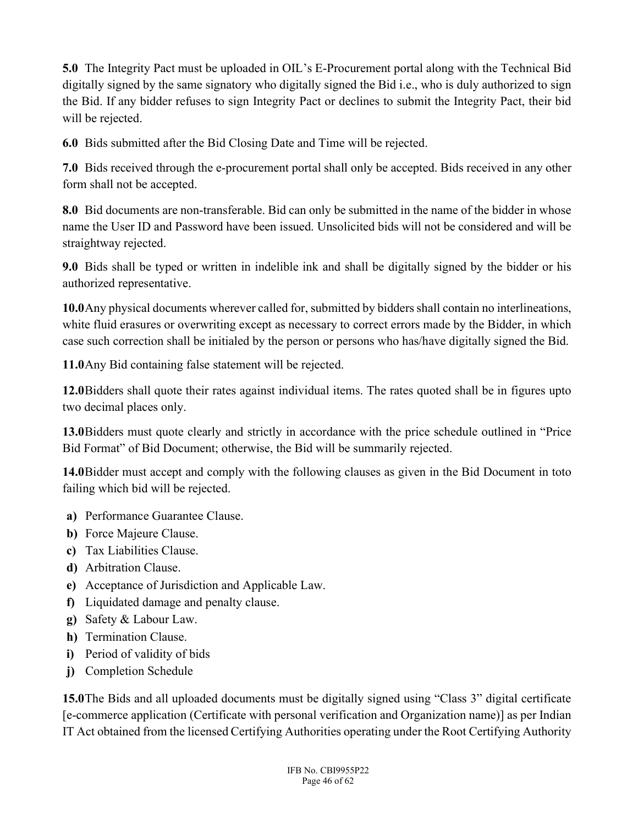5.0 The Integrity Pact must be uploaded in OIL's E-Procurement portal along with the Technical Bid digitally signed by the same signatory who digitally signed the Bid i.e., who is duly authorized to sign the Bid. If any bidder refuses to sign Integrity Pact or declines to submit the Integrity Pact, their bid will be rejected.

6.0 Bids submitted after the Bid Closing Date and Time will be rejected.

7.0 Bids received through the e-procurement portal shall only be accepted. Bids received in any other form shall not be accepted.

8.0 Bid documents are non-transferable. Bid can only be submitted in the name of the bidder in whose name the User ID and Password have been issued. Unsolicited bids will not be considered and will be straightway rejected.

9.0 Bids shall be typed or written in indelible ink and shall be digitally signed by the bidder or his authorized representative.

10.0Any physical documents wherever called for, submitted by bidders shall contain no interlineations, white fluid erasures or overwriting except as necessary to correct errors made by the Bidder, in which case such correction shall be initialed by the person or persons who has/have digitally signed the Bid.

11.0Any Bid containing false statement will be rejected.

12.0Bidders shall quote their rates against individual items. The rates quoted shall be in figures upto two decimal places only.

13.0Bidders must quote clearly and strictly in accordance with the price schedule outlined in "Price Bid Format" of Bid Document; otherwise, the Bid will be summarily rejected.

14.0Bidder must accept and comply with the following clauses as given in the Bid Document in toto failing which bid will be rejected.

- a) Performance Guarantee Clause.
- b) Force Majeure Clause.
- c) Tax Liabilities Clause.
- d) Arbitration Clause.
- e) Acceptance of Jurisdiction and Applicable Law.
- f) Liquidated damage and penalty clause.
- g) Safety & Labour Law.
- h) Termination Clause.
- i) Period of validity of bids
- j) Completion Schedule

15.0The Bids and all uploaded documents must be digitally signed using "Class 3" digital certificate [e-commerce application (Certificate with personal verification and Organization name)] as per Indian IT Act obtained from the licensed Certifying Authorities operating under the Root Certifying Authority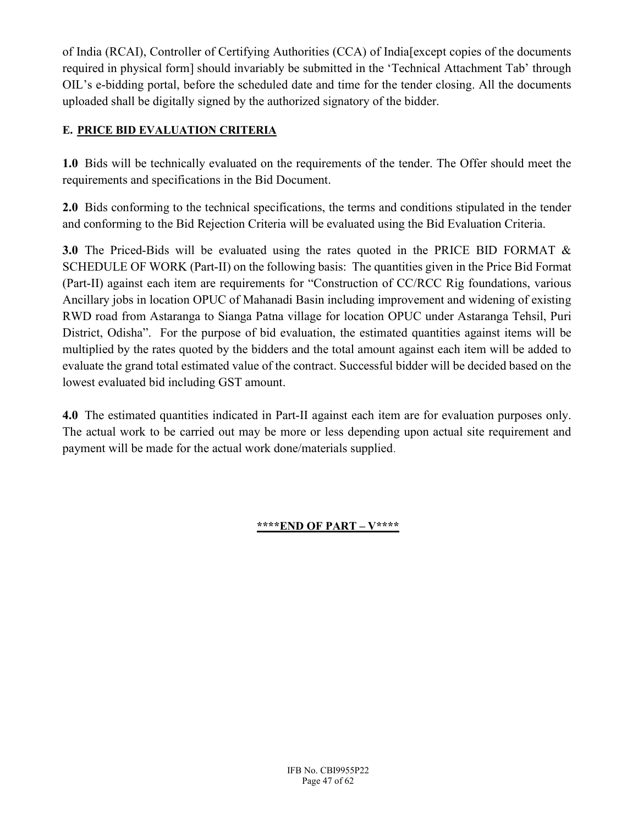of India (RCAI), Controller of Certifying Authorities (CCA) of India[except copies of the documents required in physical form] should invariably be submitted in the 'Technical Attachment Tab' through OIL's e-bidding portal, before the scheduled date and time for the tender closing. All the documents uploaded shall be digitally signed by the authorized signatory of the bidder.

## E. PRICE BID EVALUATION CRITERIA

1.0 Bids will be technically evaluated on the requirements of the tender. The Offer should meet the requirements and specifications in the Bid Document.

2.0 Bids conforming to the technical specifications, the terms and conditions stipulated in the tender and conforming to the Bid Rejection Criteria will be evaluated using the Bid Evaluation Criteria.

3.0 The Priced-Bids will be evaluated using the rates quoted in the PRICE BID FORMAT & SCHEDULE OF WORK (Part-II) on the following basis: The quantities given in the Price Bid Format (Part-II) against each item are requirements for "Construction of CC/RCC Rig foundations, various Ancillary jobs in location OPUC of Mahanadi Basin including improvement and widening of existing RWD road from Astaranga to Sianga Patna village for location OPUC under Astaranga Tehsil, Puri District, Odisha". For the purpose of bid evaluation, the estimated quantities against items will be multiplied by the rates quoted by the bidders and the total amount against each item will be added to evaluate the grand total estimated value of the contract. Successful bidder will be decided based on the lowest evaluated bid including GST amount.

4.0 The estimated quantities indicated in Part-II against each item are for evaluation purposes only. The actual work to be carried out may be more or less depending upon actual site requirement and payment will be made for the actual work done/materials supplied.

## \*\*\*\*END OF PART – V\*\*\*\*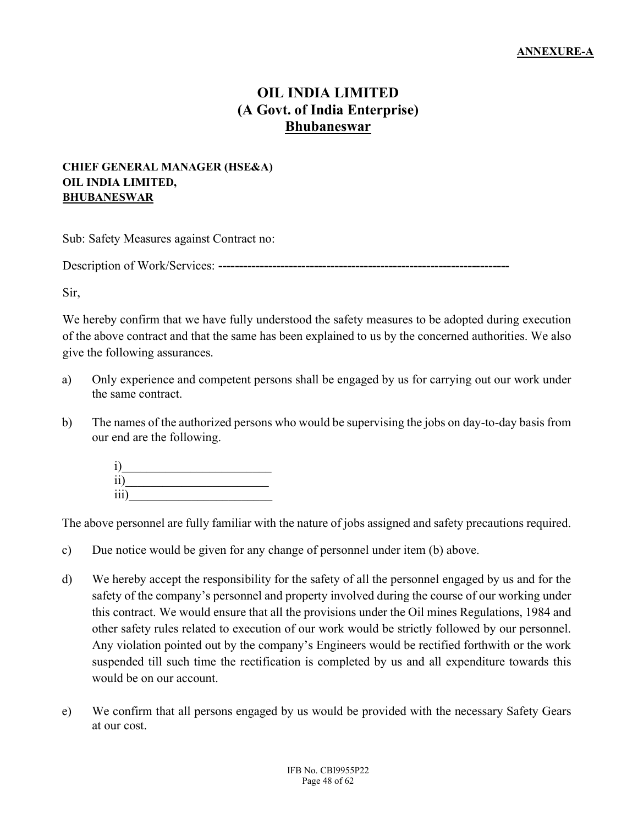# OIL INDIA LIMITED (A Govt. of India Enterprise) Bhubaneswar

#### CHIEF GENERAL MANAGER (HSE&A) OIL INDIA LIMITED, **BHUBANESWAR**

Sub: Safety Measures against Contract no:

Description of Work/Services: ----------------------------------------------------------------------

Sir,

We hereby confirm that we have fully understood the safety measures to be adopted during execution of the above contract and that the same has been explained to us by the concerned authorities. We also give the following assurances.

- a) Only experience and competent persons shall be engaged by us for carrying out our work under the same contract.
- b) The names of the authorized persons who would be supervising the jobs on day-to-day basis from our end are the following.



The above personnel are fully familiar with the nature of jobs assigned and safety precautions required.

- c) Due notice would be given for any change of personnel under item (b) above.
- d) We hereby accept the responsibility for the safety of all the personnel engaged by us and for the safety of the company's personnel and property involved during the course of our working under this contract. We would ensure that all the provisions under the Oil mines Regulations, 1984 and other safety rules related to execution of our work would be strictly followed by our personnel. Any violation pointed out by the company's Engineers would be rectified forthwith or the work suspended till such time the rectification is completed by us and all expenditure towards this would be on our account.
- e) We confirm that all persons engaged by us would be provided with the necessary Safety Gears at our cost.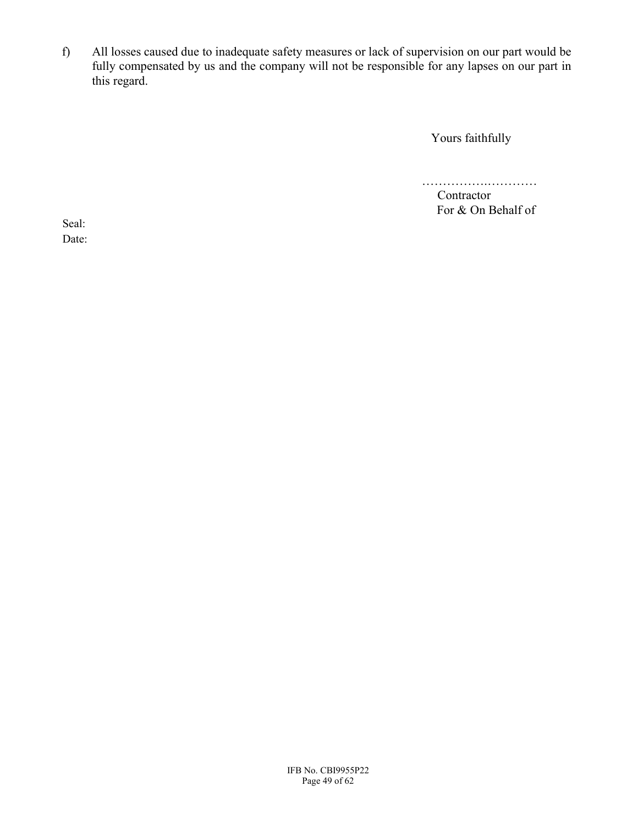f) All losses caused due to inadequate safety measures or lack of supervision on our part would be fully compensated by us and the company will not be responsible for any lapses on our part in this regard.

Yours faithfully

…………….…………

Contractor For & On Behalf of

Seal: Date: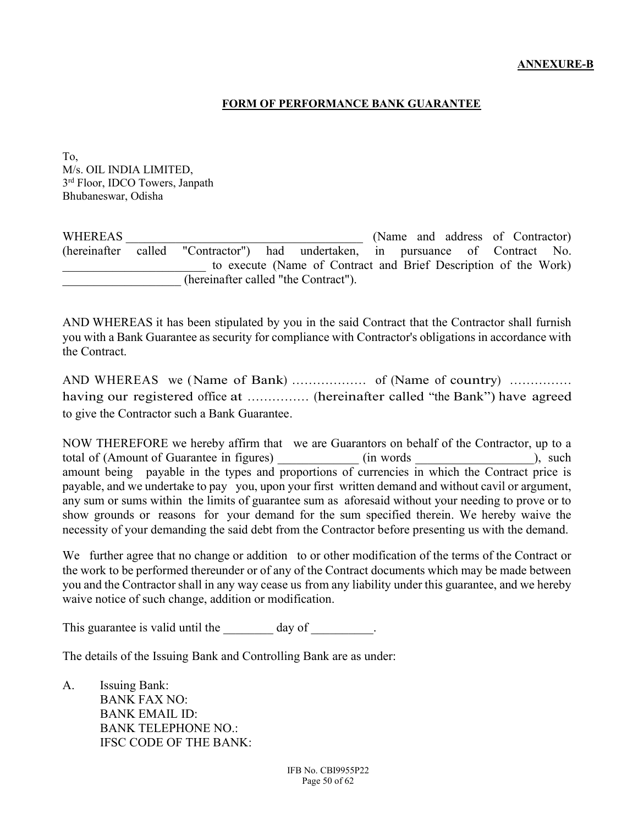#### FORM OF PERFORMANCE BANK GUARANTEE

To, M/s. OIL INDIA LIMITED, 3 rd Floor, IDCO Towers, Janpath Bhubaneswar, Odisha

WHEREAS WHEREAS (Name and address of Contractor) (hereinafter called "Contractor") had undertaken, in pursuance of Contract No. to execute (Name of Contract and Brief Description of the Work) \_\_\_\_\_\_\_\_\_\_\_\_\_\_\_\_\_\_\_ (hereinafter called "the Contract").

AND WHEREAS it has been stipulated by you in the said Contract that the Contractor shall furnish you with a Bank Guarantee as security for compliance with Contractor's obligations in accordance with the Contract.

AND WHEREAS we (Name of Bank) ……………… of (Name of country) …………… having our registered office at ................ (hereinafter called "the Bank") have agreed to give the Contractor such a Bank Guarantee.

NOW THEREFORE we hereby affirm that we are Guarantors on behalf of the Contractor, up to a total of (Amount of Guarantee in figures) (in words and the such as  $\sim$  total of (Amount of Guarantee in figures) amount being payable in the types and proportions of currencies in which the Contract price is payable, and we undertake to pay you, upon your first written demand and without cavil or argument, any sum or sums within the limits of guarantee sum as aforesaid without your needing to prove or to show grounds or reasons for your demand for the sum specified therein. We hereby waive the necessity of your demanding the said debt from the Contractor before presenting us with the demand.

We further agree that no change or addition to or other modification of the terms of the Contract or the work to be performed thereunder or of any of the Contract documents which may be made between you and the Contractor shall in any way cease us from any liability under this guarantee, and we hereby waive notice of such change, addition or modification.

This guarantee is valid until the day of  $\qquad \qquad$ .

The details of the Issuing Bank and Controlling Bank are as under:

A. Issuing Bank: BANK FAX NO: BANK EMAIL ID: BANK TELEPHONE NO.: IFSC CODE OF THE BANK: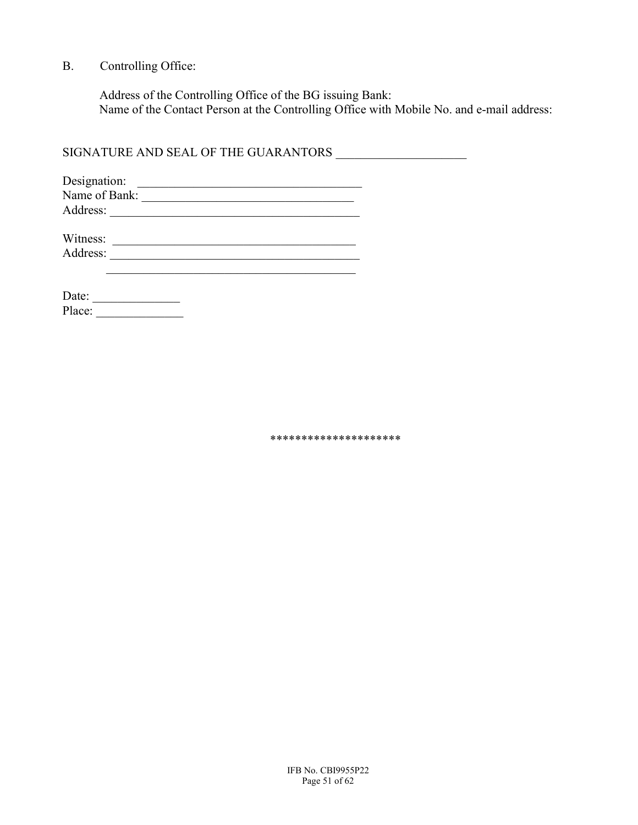## B. Controlling Office:

 Address of the Controlling Office of the BG issuing Bank: Name of the Contact Person at the Controlling Office with Mobile No. and e-mail address:

SIGNATURE AND SEAL OF THE GUARANTORS \_\_\_\_\_\_\_\_\_\_\_\_\_\_\_\_\_\_\_\_\_

| Designation:  |  |
|---------------|--|
| Name of Bank: |  |
| Address:      |  |

| Witness: |  |
|----------|--|
| Address: |  |

| Date:  |  |  |  |  |
|--------|--|--|--|--|
| Place: |  |  |  |  |

\*\*\*\*\*\*\*\*\*\*\*\*\*\*\*\*\*\*\*\*\*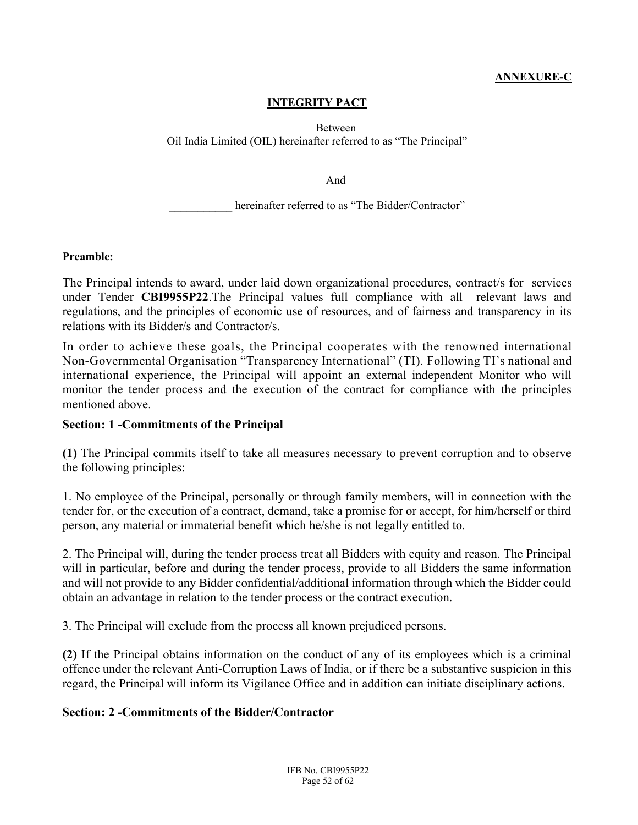#### ANNEXURE-C

#### INTEGRITY PACT

Between Oil India Limited (OIL) hereinafter referred to as "The Principal"

And

hereinafter referred to as "The Bidder/Contractor"

#### Preamble:

The Principal intends to award, under laid down organizational procedures, contract/s for services under Tender CBI9955P22.The Principal values full compliance with all relevant laws and regulations, and the principles of economic use of resources, and of fairness and transparency in its relations with its Bidder/s and Contractor/s.

In order to achieve these goals, the Principal cooperates with the renowned international Non-Governmental Organisation "Transparency International" (TI). Following TI's national and international experience, the Principal will appoint an external independent Monitor who will monitor the tender process and the execution of the contract for compliance with the principles mentioned above.

#### Section: 1 -Commitments of the Principal

(1) The Principal commits itself to take all measures necessary to prevent corruption and to observe the following principles:

1. No employee of the Principal, personally or through family members, will in connection with the tender for, or the execution of a contract, demand, take a promise for or accept, for him/herself or third person, any material or immaterial benefit which he/she is not legally entitled to.

2. The Principal will, during the tender process treat all Bidders with equity and reason. The Principal will in particular, before and during the tender process, provide to all Bidders the same information and will not provide to any Bidder confidential/additional information through which the Bidder could obtain an advantage in relation to the tender process or the contract execution.

3. The Principal will exclude from the process all known prejudiced persons.

(2) If the Principal obtains information on the conduct of any of its employees which is a criminal offence under the relevant Anti-Corruption Laws of India, or if there be a substantive suspicion in this regard, the Principal will inform its Vigilance Office and in addition can initiate disciplinary actions.

#### Section: 2 -Commitments of the Bidder/Contractor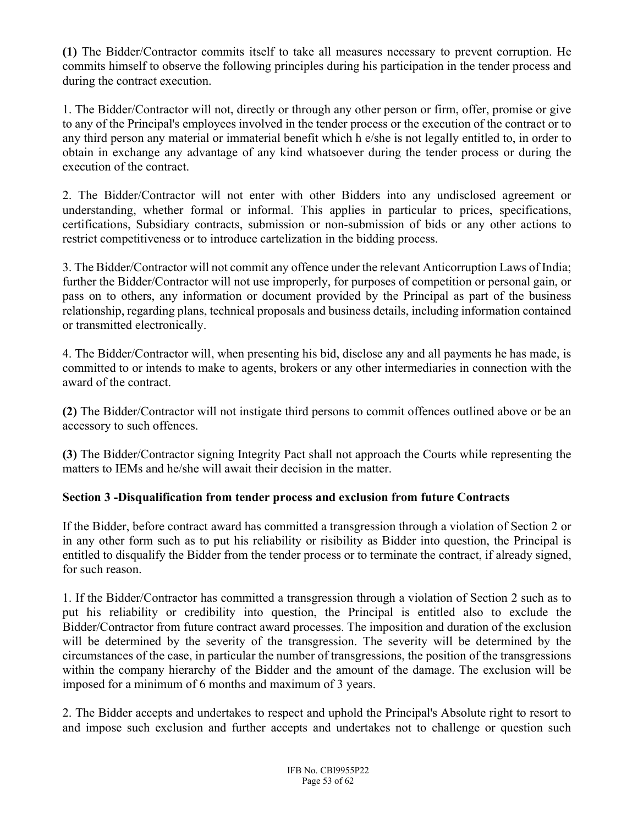(1) The Bidder/Contractor commits itself to take all measures necessary to prevent corruption. He commits himself to observe the following principles during his participation in the tender process and during the contract execution.

1. The Bidder/Contractor will not, directly or through any other person or firm, offer, promise or give to any of the Principal's employees involved in the tender process or the execution of the contract or to any third person any material or immaterial benefit which h e/she is not legally entitled to, in order to obtain in exchange any advantage of any kind whatsoever during the tender process or during the execution of the contract.

2. The Bidder/Contractor will not enter with other Bidders into any undisclosed agreement or understanding, whether formal or informal. This applies in particular to prices, specifications, certifications, Subsidiary contracts, submission or non-submission of bids or any other actions to restrict competitiveness or to introduce cartelization in the bidding process.

3. The Bidder/Contractor will not commit any offence under the relevant Anticorruption Laws of India; further the Bidder/Contractor will not use improperly, for purposes of competition or personal gain, or pass on to others, any information or document provided by the Principal as part of the business relationship, regarding plans, technical proposals and business details, including information contained or transmitted electronically.

4. The Bidder/Contractor will, when presenting his bid, disclose any and all payments he has made, is committed to or intends to make to agents, brokers or any other intermediaries in connection with the award of the contract.

(2) The Bidder/Contractor will not instigate third persons to commit offences outlined above or be an accessory to such offences.

(3) The Bidder/Contractor signing Integrity Pact shall not approach the Courts while representing the matters to IEMs and he/she will await their decision in the matter.

# Section 3 -Disqualification from tender process and exclusion from future Contracts

If the Bidder, before contract award has committed a transgression through a violation of Section 2 or in any other form such as to put his reliability or risibility as Bidder into question, the Principal is entitled to disqualify the Bidder from the tender process or to terminate the contract, if already signed, for such reason.

1. If the Bidder/Contractor has committed a transgression through a violation of Section 2 such as to put his reliability or credibility into question, the Principal is entitled also to exclude the Bidder/Contractor from future contract award processes. The imposition and duration of the exclusion will be determined by the severity of the transgression. The severity will be determined by the circumstances of the case, in particular the number of transgressions, the position of the transgressions within the company hierarchy of the Bidder and the amount of the damage. The exclusion will be imposed for a minimum of 6 months and maximum of 3 years.

2. The Bidder accepts and undertakes to respect and uphold the Principal's Absolute right to resort to and impose such exclusion and further accepts and undertakes not to challenge or question such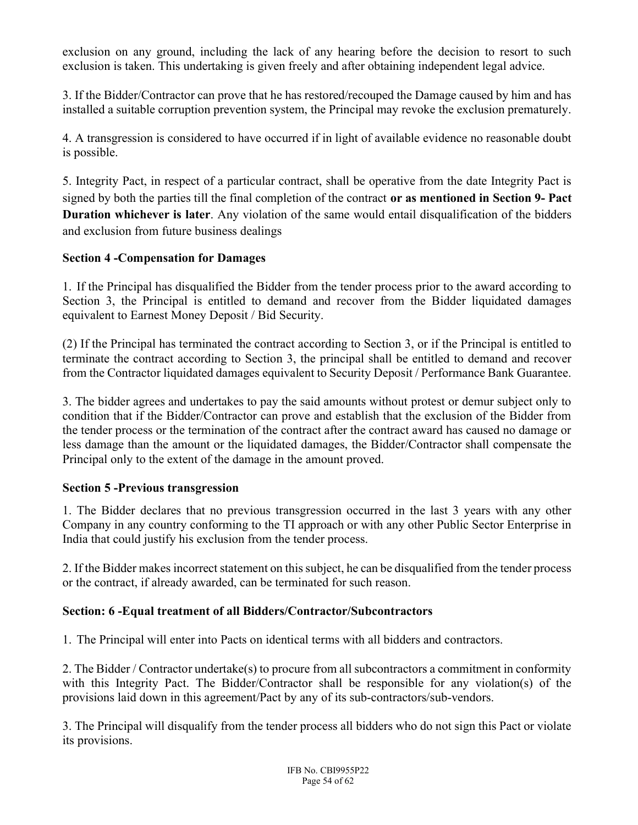exclusion on any ground, including the lack of any hearing before the decision to resort to such exclusion is taken. This undertaking is given freely and after obtaining independent legal advice.

3. If the Bidder/Contractor can prove that he has restored/recouped the Damage caused by him and has installed a suitable corruption prevention system, the Principal may revoke the exclusion prematurely.

4. A transgression is considered to have occurred if in light of available evidence no reasonable doubt is possible.

5. Integrity Pact, in respect of a particular contract, shall be operative from the date Integrity Pact is signed by both the parties till the final completion of the contract or as mentioned in Section 9- Pact Duration whichever is later. Any violation of the same would entail disqualification of the bidders and exclusion from future business dealings

## Section 4 -Compensation for Damages

1. If the Principal has disqualified the Bidder from the tender process prior to the award according to Section 3, the Principal is entitled to demand and recover from the Bidder liquidated damages equivalent to Earnest Money Deposit / Bid Security.

(2) If the Principal has terminated the contract according to Section 3, or if the Principal is entitled to terminate the contract according to Section 3, the principal shall be entitled to demand and recover from the Contractor liquidated damages equivalent to Security Deposit / Performance Bank Guarantee.

3. The bidder agrees and undertakes to pay the said amounts without protest or demur subject only to condition that if the Bidder/Contractor can prove and establish that the exclusion of the Bidder from the tender process or the termination of the contract after the contract award has caused no damage or less damage than the amount or the liquidated damages, the Bidder/Contractor shall compensate the Principal only to the extent of the damage in the amount proved.

#### Section 5 -Previous transgression

1. The Bidder declares that no previous transgression occurred in the last 3 years with any other Company in any country conforming to the TI approach or with any other Public Sector Enterprise in India that could justify his exclusion from the tender process.

2. If the Bidder makes incorrect statement on this subject, he can be disqualified from the tender process or the contract, if already awarded, can be terminated for such reason.

## Section: 6 -Equal treatment of all Bidders/Contractor/Subcontractors

1. The Principal will enter into Pacts on identical terms with all bidders and contractors.

2. The Bidder / Contractor undertake(s) to procure from all subcontractors a commitment in conformity with this Integrity Pact. The Bidder/Contractor shall be responsible for any violation(s) of the provisions laid down in this agreement/Pact by any of its sub-contractors/sub-vendors.

3. The Principal will disqualify from the tender process all bidders who do not sign this Pact or violate its provisions.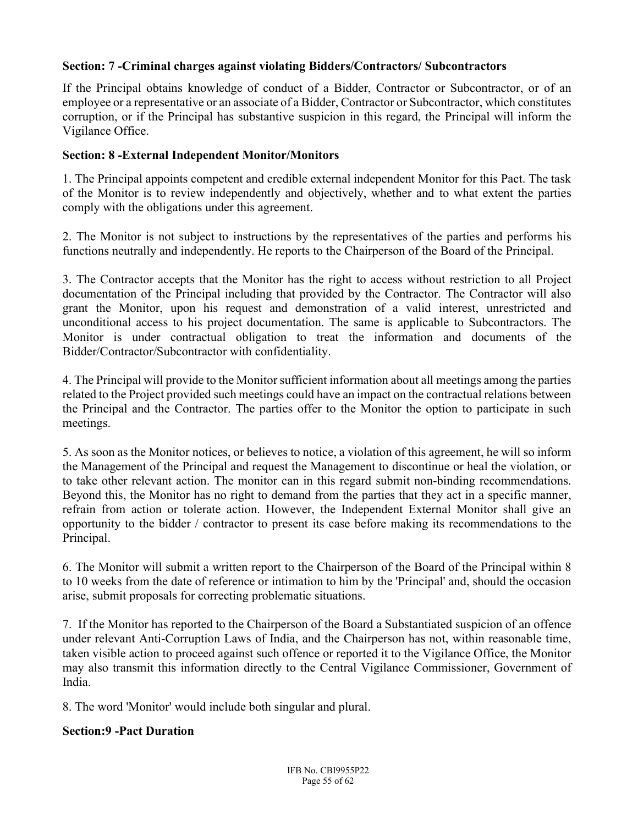### Section: 7 -Criminal charges against violating Bidders/Contractors/ Subcontractors

If the Principal obtains knowledge of conduct of a Bidder, Contractor or Subcontractor, or of an employee or a representative or an associate of a Bidder, Contractor or Subcontractor, which constitutes corruption, or if the Principal has substantive suspicion in this regard, the Principal will inform the Vigilance Office.

#### Section: 8 -External Independent Monitor/Monitors

1. The Principal appoints competent and credible external independent Monitor for this Pact. The task of the Monitor is to review independently and objectively, whether and to what extent the parties comply with the obligations under this agreement.

2. The Monitor is not subject to instructions by the representatives of the parties and performs his functions neutrally and independently. He reports to the Chairperson of the Board of the Principal.

3. The Contractor accepts that the Monitor has the right to access without restriction to all Project documentation of the Principal including that provided by the Contractor. The Contractor will also grant the Monitor, upon his request and demonstration of a valid interest, unrestricted and unconditional access to his project documentation. The same is applicable to Subcontractors. The Monitor is under contractual obligation to treat the information and documents of the Bidder/Contractor/Subcontractor with confidentiality.

4. The Principal will provide to the Monitor sufficient information about all meetings among the parties related to the Project provided such meetings could have an impact on the contractual relations between the Principal and the Contractor. The parties offer to the Monitor the option to participate in such meetings.

5. As soon as the Monitor notices, or believes to notice, a violation of this agreement, he will so inform the Management of the Principal and request the Management to discontinue or heal the violation, or to take other relevant action. The monitor can in this regard submit non-binding recommendations. Beyond this, the Monitor has no right to demand from the parties that they act in a specific manner, refrain from action or tolerate action. However, the Independent External Monitor shall give an opportunity to the bidder / contractor to present its case before making its recommendations to the Principal.

6. The Monitor will submit a written report to the Chairperson of the Board of the Principal within 8 to 10 weeks from the date of reference or intimation to him by the 'Principal' and, should the occasion arise, submit proposals for correcting problematic situations.

7. If the Monitor has reported to the Chairperson of the Board a Substantiated suspicion of an offence under relevant Anti-Corruption Laws of India, and the Chairperson has not, within reasonable time, taken visible action to proceed against such offence or reported it to the Vigilance Office, the Monitor may also transmit this information directly to the Central Vigilance Commissioner, Government of India.

8. The word 'Monitor' would include both singular and plural.

#### Section:9 -Pact Duration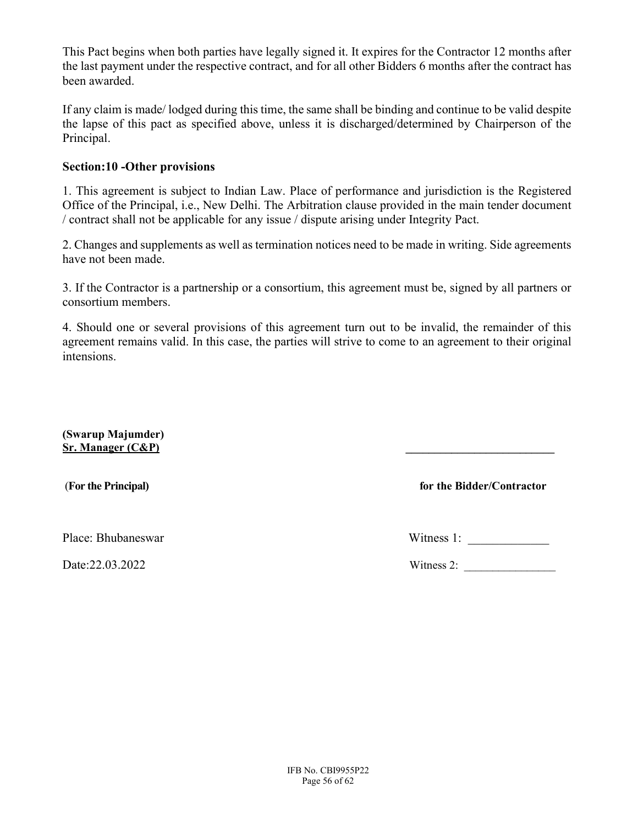This Pact begins when both parties have legally signed it. It expires for the Contractor 12 months after the last payment under the respective contract, and for all other Bidders 6 months after the contract has been awarded.

If any claim is made/ lodged during this time, the same shall be binding and continue to be valid despite the lapse of this pact as specified above, unless it is discharged/determined by Chairperson of the Principal.

#### Section:10 -Other provisions

1. This agreement is subject to Indian Law. Place of performance and jurisdiction is the Registered Office of the Principal, i.e., New Delhi. The Arbitration clause provided in the main tender document / contract shall not be applicable for any issue / dispute arising under Integrity Pact.

2. Changes and supplements as well as termination notices need to be made in writing. Side agreements have not been made.

3. If the Contractor is a partnership or a consortium, this agreement must be, signed by all partners or consortium members.

4. Should one or several provisions of this agreement turn out to be invalid, the remainder of this agreement remains valid. In this case, the parties will strive to come to an agreement to their original intensions.

(Swarup Majumder)  $Sr.$  Manager  $(C&P)$ 

(For the Principal) for the Bidder/Contractor

Place: Bhubaneswar Witness 1:

Date:22.03.2022 Witness 2: \_\_\_\_\_\_\_\_\_\_\_\_\_\_\_\_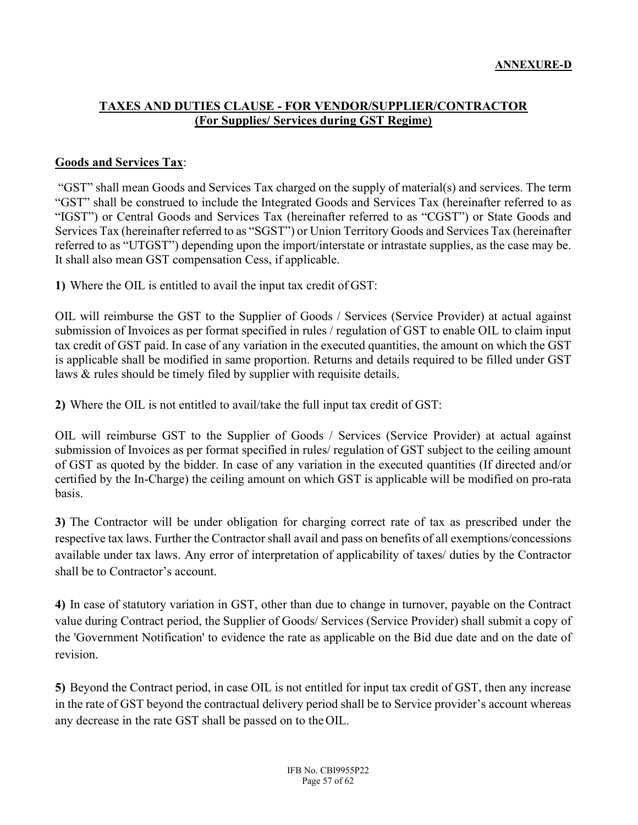#### TAXES AND DUTIES CLAUSE - FOR VENDOR/SUPPLIER/CONTRACTOR (For Supplies/ Services during GST Regime)

#### Goods and Services Tax:

 "GST" shall mean Goods and Services Tax charged on the supply of material(s) and services. The term "GST" shall be construed to include the Integrated Goods and Services Tax (hereinafter referred to as "IGST") or Central Goods and Services Tax (hereinafter referred to as "CGST") or State Goods and Services Tax (hereinafter referred to as "SGST") or Union Territory Goods and Services Tax (hereinafter referred to as "UTGST") depending upon the import/interstate or intrastate supplies, as the case may be. It shall also mean GST compensation Cess, if applicable.

1) Where the OIL is entitled to avail the input tax credit of GST:

OIL will reimburse the GST to the Supplier of Goods / Services (Service Provider) at actual against submission of Invoices as per format specified in rules / regulation of GST to enable OIL to claim input tax credit of GST paid. In case of any variation in the executed quantities, the amount on which the GST is applicable shall be modified in same proportion. Returns and details required to be filled under GST laws & rules should be timely filed by supplier with requisite details.

2) Where the OIL is not entitled to avail/take the full input tax credit of GST:

OIL will reimburse GST to the Supplier of Goods / Services (Service Provider) at actual against submission of Invoices as per format specified in rules/ regulation of GST subject to the ceiling amount of GST as quoted by the bidder. In case of any variation in the executed quantities (If directed and/or certified by the In-Charge) the ceiling amount on which GST is applicable will be modified on pro-rata basis.

3) The Contractor will be under obligation for charging correct rate of tax as prescribed under the respective tax laws. Further the Contractor shall avail and pass on benefits of all exemptions/concessions available under tax laws. Any error of interpretation of applicability of taxes/ duties by the Contractor shall be to Contractor's account.

4) In case of statutory variation in GST, other than due to change in turnover, payable on the Contract value during Contract period, the Supplier of Goods/ Services (Service Provider) shall submit a copy of the 'Government Notification' to evidence the rate as applicable on the Bid due date and on the date of revision.

5) Beyond the Contract period, in case OIL is not entitled for input tax credit of GST, then any increase in the rate of GST beyond the contractual delivery period shall be to Service provider's account whereas any decrease in the rate GST shall be passed on to the OIL.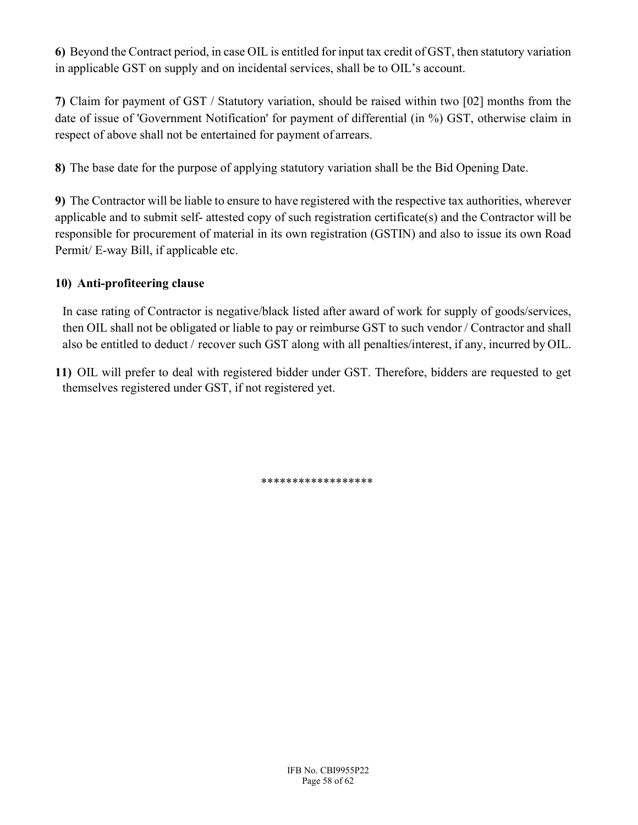6) Beyond the Contract period, in case OIL is entitled for input tax credit of GST, then statutory variation in applicable GST on supply and on incidental services, shall be to OIL's account.

7) Claim for payment of GST / Statutory variation, should be raised within two [02] months from the date of issue of 'Government Notification' for payment of differential (in %) GST, otherwise claim in respect of above shall not be entertained for payment of arrears.

8) The base date for the purpose of applying statutory variation shall be the Bid Opening Date.

9) The Contractor will be liable to ensure to have registered with the respective tax authorities, wherever applicable and to submit self- attested copy of such registration certificate(s) and the Contractor will be responsible for procurement of material in its own registration (GSTIN) and also to issue its own Road Permit/ E-way Bill, if applicable etc.

## 10) Anti-profiteering clause

In case rating of Contractor is negative/black listed after award of work for supply of goods/services, then OIL shall not be obligated or liable to pay or reimburse GST to such vendor / Contractor and shall also be entitled to deduct / recover such GST along with all penalties/interest, if any, incurred by OIL.

11) OIL will prefer to deal with registered bidder under GST. Therefore, bidders are requested to get themselves registered under GST, if not registered yet.

\*\*\*\*\*\*\*\*\*\*\*\*\*\*\*\*\*\*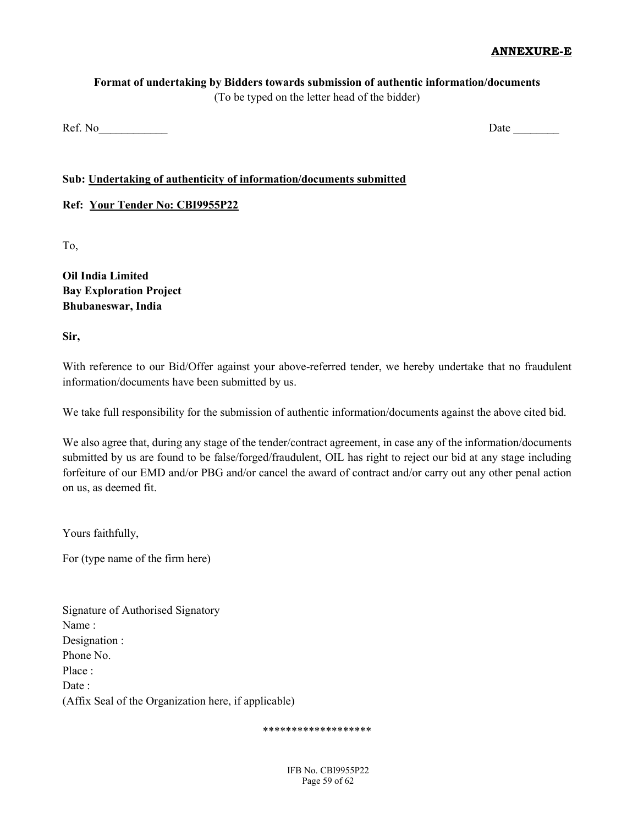#### ANNEXURE-E

#### Format of undertaking by Bidders towards submission of authentic information/documents (To be typed on the letter head of the bidder)

Ref. No **Date** 

#### Sub: Undertaking of authenticity of information/documents submitted

#### Ref: Your Tender No: CBI9955P22

To,

Oil India Limited Bay Exploration Project Bhubaneswar, India

Sir,

With reference to our Bid/Offer against your above-referred tender, we hereby undertake that no fraudulent information/documents have been submitted by us.

We take full responsibility for the submission of authentic information/documents against the above cited bid.

We also agree that, during any stage of the tender/contract agreement, in case any of the information/documents submitted by us are found to be false/forged/fraudulent, OIL has right to reject our bid at any stage including forfeiture of our EMD and/or PBG and/or cancel the award of contract and/or carry out any other penal action on us, as deemed fit.

Yours faithfully,

For (type name of the firm here)

| Signature of Authorised Signatory                    |
|------------------------------------------------------|
| Name:                                                |
| Designation :                                        |
| Phone No.                                            |
| Place:                                               |
| Date :                                               |
| (Affix Seal of the Organization here, if applicable) |

#### \*\*\*\*\*\*\*\*\*\*\*\*\*\*\*\*\*\*\*

IFB No. CBI9955P22 Page 59 of 62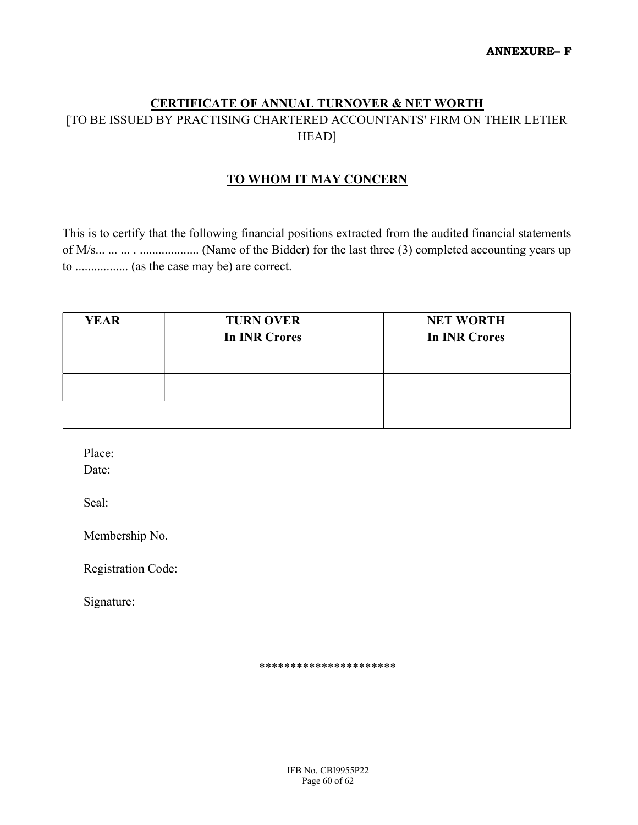## CERTIFICATE OF ANNUAL TURNOVER & NET WORTH [TO BE ISSUED BY PRACTISING CHARTERED ACCOUNTANTS' FIRM ON THEIR LETIER HEAD]

## TO WHOM IT MAY CONCERN

This is to certify that the following financial positions extracted from the audited financial statements of M/s... ... ... . ................... (Name of the Bidder) for the last three (3) completed accounting years up to ................. (as the case may be) are correct.

| <b>YEAR</b> | <b>TURN OVER</b>     | <b>NET WORTH</b>     |
|-------------|----------------------|----------------------|
|             | <b>In INR Crores</b> | <b>In INR Crores</b> |
|             |                      |                      |
|             |                      |                      |
|             |                      |                      |
|             |                      |                      |
|             |                      |                      |

Place:

Date:

Seal:

Membership No.

Registration Code:

Signature:

\*\*\*\*\*\*\*\*\*\*\*\*\*\*\*\*\*\*\*\*\*\*

IFB No. CBI9955P22 Page 60 of 62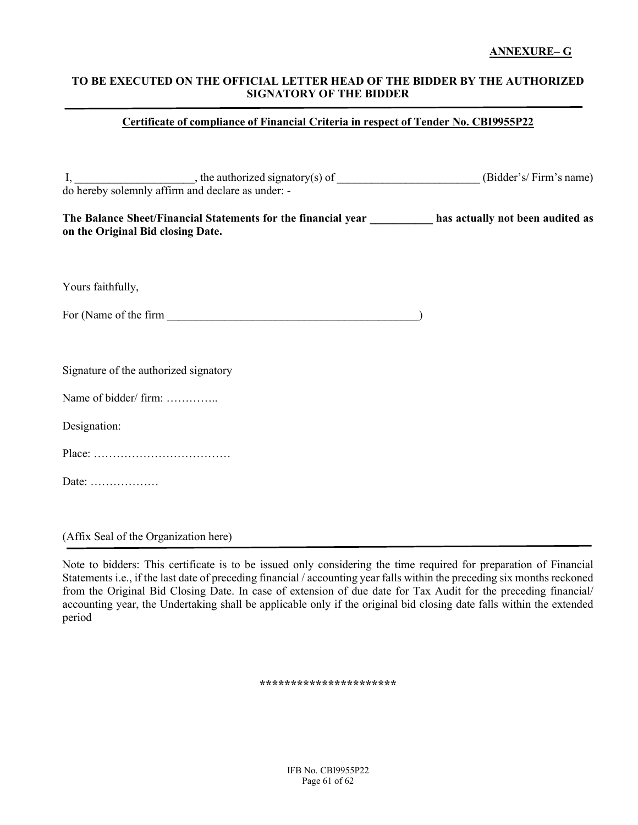#### ANNEXURE– G

#### TO BE EXECUTED ON THE OFFICIAL LETTER HEAD OF THE BIDDER BY THE AUTHORIZED SIGNATORY OF THE BIDDER

#### Certificate of compliance of Financial Criteria in respect of Tender No. CBI9955P22

|                                       | I, the authorized signatory(s) of (Bidder's/Firm's name) do hereby solemnly affirm and declare as under: - |  |
|---------------------------------------|------------------------------------------------------------------------------------------------------------|--|
| on the Original Bid closing Date.     | The Balance Sheet/Financial Statements for the financial year has actually not been audited as             |  |
| Yours faithfully,                     |                                                                                                            |  |
|                                       |                                                                                                            |  |
| Signature of the authorized signatory |                                                                                                            |  |
| Name of bidder/ firm:                 |                                                                                                            |  |
| Designation:                          |                                                                                                            |  |
|                                       |                                                                                                            |  |
| Date:                                 |                                                                                                            |  |
|                                       |                                                                                                            |  |
|                                       |                                                                                                            |  |

(Affix Seal of the Organization here)

Note to bidders: This certificate is to be issued only considering the time required for preparation of Financial Statements i.e., if the last date of preceding financial / accounting year falls within the preceding six months reckoned from the Original Bid Closing Date. In case of extension of due date for Tax Audit for the preceding financial/ accounting year, the Undertaking shall be applicable only if the original bid closing date falls within the extended period

\*\*\*\*\*\*\*\*\*\*\*\*\*\*\*\*\*\*\*\*\*\*